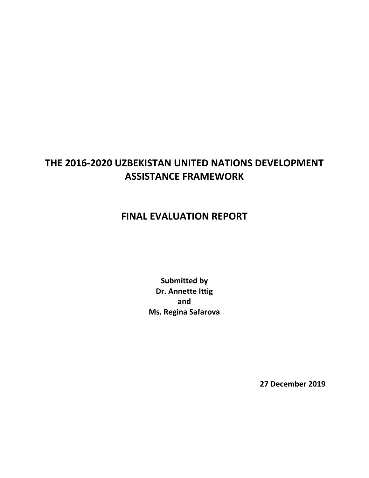# **THE 2016-2020 UZBEKISTAN UNITED NATIONS DEVELOPMENT ASSISTANCE FRAMEWORK**

# **FINAL EVALUATION REPORT**

**Submitted by Dr. Annette Ittig and Ms. Regina Safarova**

**27 December 2019**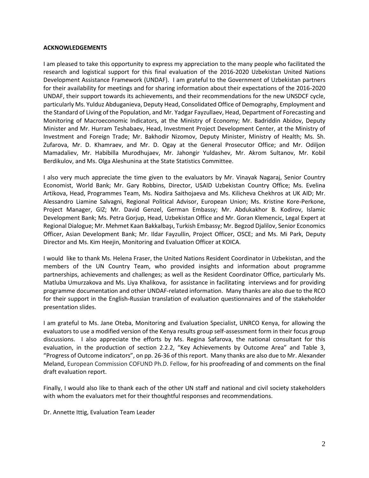#### **ACKNOWLEDGEMENTS**

I am pleased to take this opportunity to express my appreciation to the many people who facilitated the research and logistical support for this final evaluation of the 2016-2020 Uzbekistan United Nations Development Assistance Framework (UNDAF). I am grateful to the Government of Uzbekistan partners for their availability for meetings and for sharing information about their expectations of the 2016-2020 UNDAF, their support towards its achievements, and their recommendations for the new UNSDCF cycle, particularly Ms. Yulduz Abduganieva, Deputy Head, Consolidated Office of Demography, Employment and the Standard of Living of the Population, and Mr. Yadgar Fayzullaev, Head, Department of Forecasting and Monitoring of Macroeconomic Indicators, at the Ministry of Economy; Mr. Badriddin Abidov, Deputy Minister and Mr. Hurram Teshabaev, Head, Investment Project Development Center, at the Ministry of Investment and Foreign Trade; Mr. Bakhodir Nizomov, Deputy Minister, Ministry of Health; Ms. Sh. Zufarova, Mr. D. Khamraev, and Mr. D. Ogay at the General Prosecutor Office; and Mr. Odiljon Mamadaliev, Mr. Habibilla Murodhujaev, Mr. Jahongir Yuldashev, Mr. Akrom Sultanov, Mr. Kobil Berdikulov, and Ms. Olga Aleshunina at the State Statistics Committee.

I also very much appreciate the time given to the evaluators by Mr. Vinayak Nagaraj, Senior Country Economist, World Bank; Mr. Gary Robbins, Director, USAID Uzbekistan Country Office; Ms. Evelina Artikova, Head, Programmes Team, Ms. Nodira Saithojaeva and Ms. Kilicheva Chekhros at UK AID; Mr. Alessandro Liamine Salvagni, Regional Political Advisor, European Union; Ms. Kristine Kore-Perkone, Project Manager, GIZ; Mr. David Genzel, German Embassy; Mr. Abdukakhor B. Kodirov, Islamic Development Bank; Ms. Petra Gorjup, Head, Uzbekistan Office and Mr. Goran Klemencic, Legal Expert at Regional Dialogue; Mr. Mehmet Kaan Bakkalbaşı, Turkish Embassy; Mr. Begzod Djalilov, Senior Economics Officer, Asian Development Bank; Mr. Ildar Fayzullin, Project Officer, OSCE; and Ms. Mi Park, Deputy Director and Ms. Kim Heejin, Monitoring and Evaluation Officer at KOICA.

I would like to thank Ms. Helena Fraser, the United Nations Resident Coordinator in Uzbekistan, and the members of the UN Country Team, who provided insights and information about programme partnerships, achievements and challenges; as well as the Resident Coordinator Office, particularly Ms. Matluba Umurzakova and Ms. Liya Khalikova, for assistance in facilitating interviews and for providing programme documentation and other UNDAF-related information. Many thanks are also due to the RCO for their support in the English-Russian translation of evaluation questionnaires and of the stakeholder presentation slides.

I am grateful to Ms. Jane Oteba, Monitoring and Evaluation Specialist, UNRCO Kenya, for allowing the evaluators to use a modified version of the Kenya results group self-assessment form in their focus group discussions. I also appreciate the efforts by Ms. Regina Safarova, the national consultant for this evaluation, in the production of section 2.2.2, "Key Achievements by Outcome Area" and Table 3, "Progress of Outcome indicators", on pp. 26-36 of this report. Many thanks are also due to Mr. Alexander Meland, European Commission COFUND Ph.D. Fellow, for his proofreading of and comments on the final draft evaluation report.

Finally, I would also like to thank each of the other UN staff and national and civil society stakeholders with whom the evaluators met for their thoughtful responses and recommendations.

Dr. Annette Ittig, Evaluation Team Leader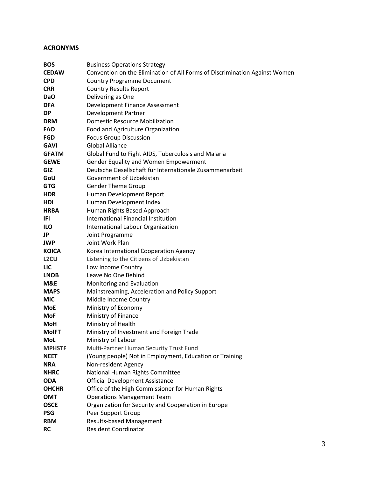# **ACRONYMS**

| <b>BOS</b>        | <b>Business Operations Strategy</b>                                        |
|-------------------|----------------------------------------------------------------------------|
| <b>CEDAW</b>      | Convention on the Elimination of All Forms of Discrimination Against Women |
| <b>CPD</b>        | <b>Country Programme Document</b>                                          |
| <b>CRR</b>        | <b>Country Results Report</b>                                              |
| DaO               | Delivering as One                                                          |
| <b>DFA</b>        | Development Finance Assessment                                             |
| <b>DP</b>         | Development Partner                                                        |
| <b>DRM</b>        | <b>Domestic Resource Mobilization</b>                                      |
| <b>FAO</b>        | Food and Agriculture Organization                                          |
| <b>FGD</b>        | <b>Focus Group Discussion</b>                                              |
| <b>GAVI</b>       | <b>Global Alliance</b>                                                     |
| <b>GFATM</b>      | Global Fund to Fight AIDS, Tuberculosis and Malaria                        |
| <b>GEWE</b>       | Gender Equality and Women Empowerment                                      |
| <b>GIZ</b>        | Deutsche Gesellschaft für Internationale Zusammenarbeit                    |
| GoU               | Government of Uzbekistan                                                   |
| <b>GTG</b>        | <b>Gender Theme Group</b>                                                  |
| <b>HDR</b>        | Human Development Report                                                   |
| <b>HDI</b>        | Human Development Index                                                    |
| <b>HRBA</b>       | Human Rights Based Approach                                                |
| IFI.              | International Financial Institution                                        |
| <b>ILO</b>        | International Labour Organization                                          |
| JP                | Joint Programme                                                            |
| <b>JWP</b>        | Joint Work Plan                                                            |
| <b>KOICA</b>      | Korea International Cooperation Agency                                     |
| L <sub>2</sub> CU | Listening to the Citizens of Uzbekistan                                    |
| LIC               | Low Income Country                                                         |
| <b>LNOB</b>       | Leave No One Behind                                                        |
| M&E               | Monitoring and Evaluation                                                  |
| <b>MAPS</b>       | Mainstreaming, Acceleration and Policy Support                             |
| <b>MIC</b>        | Middle Income Country                                                      |
| MoE               | Ministry of Economy                                                        |
| MoF               | Ministry of Finance                                                        |
| <b>MoH</b>        | Ministry of Health                                                         |
| <b>MoIFT</b>      | Ministry of Investment and Foreign Trade                                   |
| MoL               | Ministry of Labour                                                         |
| <b>MPHSTF</b>     | Multi-Partner Human Security Trust Fund                                    |
| <b>NEET</b>       | (Young people) Not in Employment, Education or Training                    |
| <b>NRA</b>        | Non-resident Agency                                                        |
| <b>NHRC</b>       | National Human Rights Committee                                            |
| <b>ODA</b>        | <b>Official Development Assistance</b>                                     |
| <b>OHCHR</b>      | Office of the High Commissioner for Human Rights                           |
| <b>OMT</b>        | <b>Operations Management Team</b>                                          |
| <b>OSCE</b>       | Organization for Security and Cooperation in Europe                        |
| <b>PSG</b>        | Peer Support Group                                                         |
| <b>RBM</b>        | <b>Results-based Management</b>                                            |
| <b>RC</b>         | <b>Resident Coordinator</b>                                                |
|                   |                                                                            |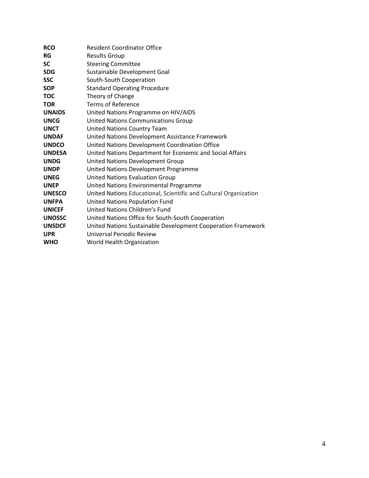| <b>RCO</b>    | <b>Resident Coordinator Office</b>                               |
|---------------|------------------------------------------------------------------|
| <b>RG</b>     | <b>Results Group</b>                                             |
| <b>SC</b>     | <b>Steering Committee</b>                                        |
| <b>SDG</b>    | Sustainable Development Goal                                     |
| <b>SSC</b>    | South-South Cooperation                                          |
| <b>SOP</b>    | <b>Standard Operating Procedure</b>                              |
| <b>TOC</b>    | Theory of Change                                                 |
| <b>TOR</b>    | <b>Terms of Reference</b>                                        |
| <b>UNAIDS</b> | United Nations Programme on HIV/AIDS                             |
| <b>UNCG</b>   | <b>United Nations Communications Group</b>                       |
| <b>UNCT</b>   | United Nations Country Team                                      |
| <b>UNDAF</b>  | United Nations Development Assistance Framework                  |
| <b>UNDCO</b>  | United Nations Development Coordination Office                   |
| <b>UNDESA</b> | United Nations Department for Economic and Social Affairs        |
| <b>UNDG</b>   | United Nations Development Group                                 |
| <b>UNDP</b>   | United Nations Development Programme                             |
| <b>UNEG</b>   | <b>United Nations Evaluation Group</b>                           |
| <b>UNEP</b>   | United Nations Environmental Programme                           |
| <b>UNESCO</b> | United Nations Educational, Scientific and Cultural Organization |
| <b>UNFPA</b>  | United Nations Population Fund                                   |
| <b>UNICEF</b> | United Nations Children's Fund                                   |
| <b>UNOSSC</b> | United Nations Office for South-South Cooperation                |
| <b>UNSDCF</b> | United Nations Sustainable Development Cooperation Framework     |
| <b>UPR</b>    | Universal Periodic Review                                        |
| <b>WHO</b>    | World Health Organization                                        |
|               |                                                                  |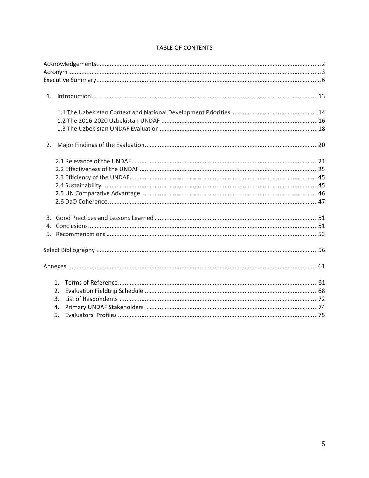| 2. |                |  |
|----|----------------|--|
|    |                |  |
|    |                |  |
|    |                |  |
|    |                |  |
|    |                |  |
|    |                |  |
|    |                |  |
|    |                |  |
|    |                |  |
|    |                |  |
|    |                |  |
|    | $1_{-}$        |  |
|    | 2.             |  |
|    | 3.             |  |
|    | $\mathbf{A}$ . |  |
|    | 5.             |  |

# **TABLE OF CONTENTS**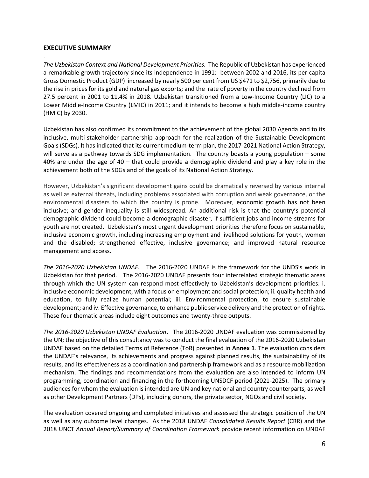#### **EXECUTIVE SUMMARY**

. *The Uzbekistan Context and National Development Priorities.* The Republic of Uzbekistan has experienced a remarkable growth trajectory since its independence in 1991: between 2002 and 2016, its per capita Gross Domestic Product (GDP) increased by nearly 500 per cent from US \$471 to \$2,756, primarily due to the rise in prices for its gold and natural gas exports; and the rate of poverty in the country declined from 27.5 percent in 2001 to 11.4% in 2018*.* Uzbekistan transitioned from a Low-Income Country (LIC) to a Lower Middle-Income Country (LMIC) in 2011; and it intends to become a high middle-income country (HMIC) by 2030.

Uzbekistan has also confirmed its commitment to the achievement of the global 2030 Agenda and to its inclusive, multi-stakeholder partnership approach for the realization of the Sustainable Development Goals (SDGs). It has indicated that its current medium-term plan, the 2017-2021 National Action Strategy, will serve as a pathway towards SDG implementation. The country boasts a young population – some 40% are under the age of 40 – that could provide a demographic dividend and play a key role in the achievement both of the SDGs and of the goals of its National Action Strategy.

However, Uzbekistan's significant development gains could be dramatically reversed by various internal as well as external threats, including problems associated with corruption and weak governance, or the environmental disasters to which the country is prone. Moreover, economic growth has not been inclusive; and gender inequality is still widespread. An additional risk is that the country's potential demographic dividend could become a demographic disaster, if sufficient jobs and income streams for youth are not created. Uzbekistan's most urgent development priorities therefore focus on sustainable, inclusive economic growth, including increasing employment and livelihood solutions for youth, women and the disabled; strengthened effective, inclusive governance; and improved natural resource management and access.

*The 2016-2020 Uzbekistan UNDAF.* The 2016-2020 UNDAF is the framework for the UNDS's work in Uzbekistan for that period. The 2016-2020 UNDAF presents four interrelated strategic thematic areas through which the UN system can respond most effectively to Uzbekistan's development priorities: i. inclusive economic development, with a focus on employment and social protection; ii. quality health and education, to fully realize human potential; iii. Environmental protection, to ensure sustainable development; and iv. Effective governance, to enhance public service delivery and the protection of rights. These four thematic areas include eight outcomes and twenty-three outputs.

*The 2016-2020 Uzbekistan UNDAF Evaluation***.** The 2016-2020 UNDAF evaluation was commissioned by the UN; the objective of this consultancy was to conduct the final evaluation of the 2016-2020 Uzbekistan UNDAF based on the detailed Terms of Reference (ToR) presented in **Annex 1**. The evaluation considers the UNDAF's relevance, its achievements and progress against planned results, the sustainability of its results, and its effectiveness as a coordination and partnership framework and as a resource mobilization mechanism. The findings and recommendations from the evaluation are also intended to inform UN programming, coordination and financing in the forthcoming UNSDCF period (2021-2025). The primary audiences for whom the evaluation is intended are UN and key national and country counterparts, as well as other Development Partners (DPs), including donors, the private sector, NGOs and civil society.

The evaluation covered ongoing and completed initiatives and assessed the strategic position of the UN as well as any outcome level changes. As the 2018 UNDAF *Consolidated Results Report* (CRR) and the 2018 UNCT *Annual Report/Summary of Coordination Framework* provide recent information on UNDAF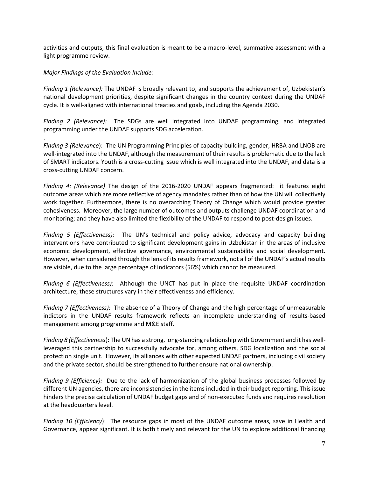activities and outputs, this final evaluation is meant to be a macro-level, summative assessment with a light programme review.

#### *Major Findings of the Evaluation Include:*

.

*Finding 1 (Relevance):* The UNDAF is broadly relevant to, and supports the achievement of, Uzbekistan's national development priorities, despite significant changes in the country context during the UNDAF cycle. It is well-aligned with international treaties and goals, including the Agenda 2030.

*Finding 2 (Relevance):* The SDGs are well integrated into UNDAF programming, and integrated programming under the UNDAF supports SDG acceleration.

*Finding 3 (Relevance*): The UN Programming Principles of capacity building, gender, HRBA and LNOB are well-integrated into the UNDAF, although the measurement of their results is problematic due to the lack of SMART indicators. Youth is a cross-cutting issue which is well integrated into the UNDAF, and data is a cross-cutting UNDAF concern.

*Finding 4: (Relevance)* The design of the 2016-2020 UNDAF appears fragmented: it features eight outcome areas which are more reflective of agency mandates rather than of how the UN will collectively work together. Furthermore, there is no overarching Theory of Change which would provide greater cohesiveness. Moreover, the large number of outcomes and outputs challenge UNDAF coordination and monitoring; and they have also limited the flexibility of the UNDAF to respond to post-design issues.

*Finding 5 (Effectiveness):* The UN's technical and policy advice, advocacy and capacity building interventions have contributed to significant development gains in Uzbekistan in the areas of inclusive economic development, effective governance, environmental sustainability and social development. However, when considered through the lens of its results framework, not all of the UNDAF's actual results are visible, due to the large percentage of indicators (56%) which cannot be measured.

*Finding 6 (Effectiveness)*: Although the UNCT has put in place the requisite UNDAF coordination architecture, these structures vary in their effectiveness and efficiency.

*Finding 7 (Effectiveness):* The absence of a Theory of Change and the high percentage of unmeasurable indictors in the UNDAF results framework reflects an incomplete understanding of results-based management among programme and M&E staff.

*Finding 8 (Effectiveness*): The UN has a strong, long-standing relationship with Government and it has wellleveraged this partnership to successfully advocate for, among others, SDG localization and the social protection single unit. However, its alliances with other expected UNDAF partners, including civil society and the private sector, should be strengthened to further ensure national ownership.

*Finding 9 (Efficiency):* Due to the lack of harmonization of the global business processes followed by different UN agencies, there are inconsistencies in the items included in their budget reporting. This issue hinders the precise calculation of UNDAF budget gaps and of non-executed funds and requires resolution at the headquarters level.

*Finding 10 (Efficiency*): The resource gaps in most of the UNDAF outcome areas, save in Health and Governance, appear significant. It is both timely and relevant for the UN to explore additional financing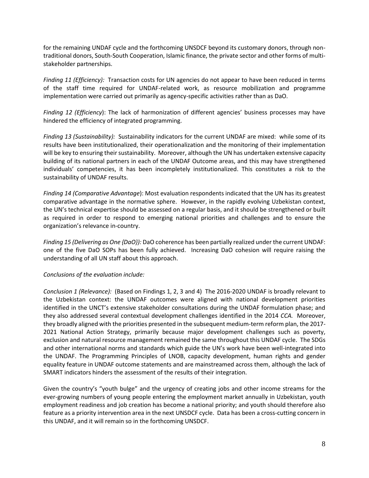for the remaining UNDAF cycle and the forthcoming UNSDCF beyond its customary donors, through nontraditional donors, South-South Cooperation, Islamic finance, the private sector and other forms of multistakeholder partnerships.

*Finding 11 (Efficiency):* Transaction costs for UN agencies do not appear to have been reduced in terms of the staff time required for UNDAF-related work, as resource mobilization and programme implementation were carried out primarily as agency-specific activities rather than as DaO.

*Finding 12 (Efficiency*): The lack of harmonization of different agencies' business processes may have hindered the efficiency of integrated programming.

*Finding 13 (Sustainability):* Sustainability indicators for the current UNDAF are mixed: while some of its results have been institutionalized, their operationalization and the monitoring of their implementation will be key to ensuring their sustainability. Moreover, although the UN has undertaken extensive capacity building of its national partners in each of the UNDAF Outcome areas, and this may have strengthened individuals' competencies, it has been incompletely institutionalized. This constitutes a risk to the sustainability of UNDAF results.

*Finding 14 (Comparative Advantage*): Most evaluation respondents indicated that the UN has its greatest comparative advantage in the normative sphere. However, in the rapidly evolving Uzbekistan context, the UN's technical expertise should be assessed on a regular basis, and it should be strengthened or built as required in order to respond to emerging national priorities and challenges and to ensure the organization's relevance in-country.

*Finding 15 (Delivering as One {DaO}):* DaO coherence has been partially realized under the current UNDAF: one of the five DaO SOPs has been fully achieved. Increasing DaO cohesion will require raising the understanding of all UN staff about this approach.

#### *Conclusions of the evaluation include:*

*Conclusion 1 (Relevance):* (Based on Findings 1, 2, 3 and 4)The 2016-2020 UNDAF is broadly relevant to the Uzbekistan context: the UNDAF outcomes were aligned with national development priorities identified in the UNCT's extensive stakeholder consultations during the UNDAF formulation phase; and they also addressed several contextual development challenges identified in the 2014 *CCA.* Moreover, they broadly aligned with the priorities presented in the subsequent medium-term reform plan, the 2017- 2021 National Action Strategy, primarily because major development challenges such as poverty, exclusion and natural resource management remained the same throughout this UNDAF cycle. The SDGs and other international norms and standards which guide the UN's work have been well-integrated into the UNDAF. The Programming Principles of LNOB, capacity development, human rights and gender equality feature in UNDAF outcome statements and are mainstreamed across them, although the lack of SMART indicators hinders the assessment of the results of their integration.

Given the country's "youth bulge" and the urgency of creating jobs and other income streams for the ever-growing numbers of young people entering the employment market annually in Uzbekistan, youth employment readiness and job creation has become a national priority; and youth should therefore also feature as a priority intervention area in the next UNSDCF cycle. Data has been a cross-cutting concern in this UNDAF, and it will remain so in the forthcoming UNSDCF.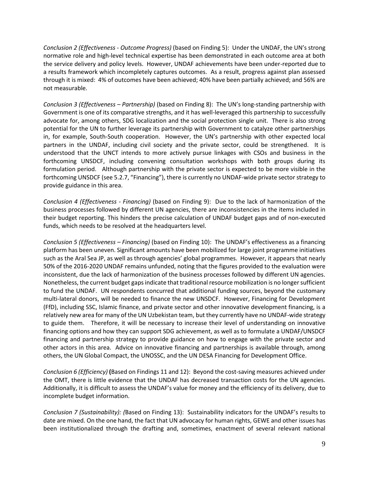*Conclusion 2 (Effectiveness - Outcome Progress)* (based on Finding 5): Under the UNDAF, the UN's strong normative role and high-level technical expertise has been demonstrated in each outcome area at both the service delivery and policy levels. However, UNDAF achievements have been under-reported due to a results framework which incompletely captures outcomes. As a result, progress against plan assessed through it is mixed: 4% of outcomes have been achieved; 40% have been partially achieved; and 56% are not measurable.

*Conclusion 3 (Effectiveness – Partnership)* (based on Finding 8): The UN's long-standing partnership with Government is one of its comparative strengths, and it has well-leveraged this partnership to successfully advocate for, among others, SDG localization and the social protection single unit. There is also strong potential for the UN to further leverage its partnership with Government to catalyze other partnerships in, for example, South-South cooperation. However, the UN's partnership with other expected local partners in the UNDAF, including civil society and the private sector, could be strengthened. It is understood that the UNCT intends to more actively pursue linkages with CSOs and business in the forthcoming UNSDCF, including convening consultation workshops with both groups during its formulation period. Although partnership with the private sector is expected to be more visible in the forthcoming UNSDCF (see 5.2.7, "Financing"), there is currently no UNDAF-wide private sector strategy to provide guidance in this area.

*Conclusion 4 (Effectiveness - Financing)* (based on Finding 9): Due to the lack of harmonization of the business processes followed by different UN agencies, there are inconsistencies in the items included in their budget reporting. This hinders the precise calculation of UNDAF budget gaps and of non-executed funds, which needs to be resolved at the headquarters level.

*Conclusion 5 (Effectiveness – Financing)* (based on Finding 10): The UNDAF's effectiveness as a financing platform has been uneven. Significant amounts have been mobilized for large joint programme initiatives such as the Aral Sea JP, as well as through agencies' global programmes. However, it appears that nearly 50% of the 2016-2020 UNDAF remains unfunded, noting that the figures provided to the evaluation were inconsistent, due the lack of harmonization of the business processes followed by different UN agencies. Nonetheless, the current budget gaps indicate that traditional resource mobilization is no longer sufficient to fund the UNDAF. UN respondents concurred that additional funding sources, beyond the customary multi-lateral donors, will be needed to finance the new UNSDCF. However, Financing for Development (FfD), including SSC, Islamic finance, and private sector and other innovative development financing, is a relatively new area for many of the UN Uzbekistan team, but they currently have no UNDAF-wide strategy to guide them. Therefore, it will be necessary to increase their level of understanding on innovative financing options and how they can support SDG achievement, as well as to formulate a UNDAF/UNSDCF financing and partnership strategy to provide guidance on how to engage with the private sector and other actors in this area. Advice on innovative financing and partnerships is available through, among others, the UN Global Compact, the UNOSSC, and the UN DESA Financing for Development Office.

*Conclusion 6 (Efficiency)* **(**Based on Findings 11 and 12): Beyond the cost-saving measures achieved under the OMT, there is little evidence that the UNDAF has decreased transaction costs for the UN agencies. Additionally, it is difficult to assess the UNDAF's value for money and the efficiency of its delivery, due to incomplete budget information.

*Conclusion 7 (Sustainability): (*Based on Finding 13): Sustainability indicators for the UNDAF's results to date are mixed. On the one hand, the fact that UN advocacy for human rights, GEWE and other issues has been institutionalized through the drafting and, sometimes, enactment of several relevant national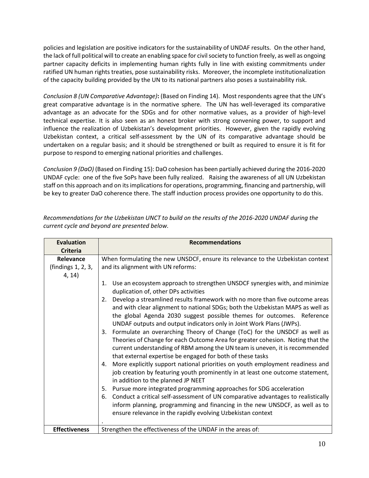policies and legislation are positive indicators for the sustainability of UNDAF results. On the other hand, the lack of full political will to create an enabling space for civil society to function freely, as well as ongoing partner capacity deficits in implementing human rights fully in line with existing commitments under ratified UN human rights treaties, pose sustainability risks. Moreover, the incomplete institutionalization of the capacity building provided by the UN to its national partners also poses a sustainability risk.

*Conclusion 8 (UN Comparative Advantage)***:** (Based on Finding 14). Most respondents agree that the UN's great comparative advantage is in the normative sphere. The UN has well-leveraged its comparative advantage as an advocate for the SDGs and for other normative values, as a provider of high-level technical expertise. It is also seen as an honest broker with strong convening power, to support and influence the realization of Uzbekistan's development priorities. However, given the rapidly evolving Uzbekistan context, a critical self-assessment by the UN of its comparative advantage should be undertaken on a regular basis; and it should be strengthened or built as required to ensure it is fit for purpose to respond to emerging national priorities and challenges.

*Conclusion 9 (DaO)* (Based on Finding 15): DaO cohesion has been partially achieved during the 2016-2020 UNDAF cycle: one of the five SoPs have been fully realized. Raising the awareness of all UN Uzbekistan staff on this approach and on its implications for operations, programming, financing and partnership, will be key to greater DaO coherence there. The staff induction process provides one opportunity to do this.

| <b>Evaluation</b>    | <b>Recommendations</b>                                                                                                                                                                                                                                                                                                                                                                                                                                                                                                                                                                                                                                                                                                                                                                                                                                                                                                                                                                                                                                                                                                                                                      |
|----------------------|-----------------------------------------------------------------------------------------------------------------------------------------------------------------------------------------------------------------------------------------------------------------------------------------------------------------------------------------------------------------------------------------------------------------------------------------------------------------------------------------------------------------------------------------------------------------------------------------------------------------------------------------------------------------------------------------------------------------------------------------------------------------------------------------------------------------------------------------------------------------------------------------------------------------------------------------------------------------------------------------------------------------------------------------------------------------------------------------------------------------------------------------------------------------------------|
| <b>Criteria</b>      |                                                                                                                                                                                                                                                                                                                                                                                                                                                                                                                                                                                                                                                                                                                                                                                                                                                                                                                                                                                                                                                                                                                                                                             |
| Relevance            | When formulating the new UNSDCF, ensure its relevance to the Uzbekistan context                                                                                                                                                                                                                                                                                                                                                                                                                                                                                                                                                                                                                                                                                                                                                                                                                                                                                                                                                                                                                                                                                             |
| (findings 1, 2, 3,   | and its alignment with UN reforms:                                                                                                                                                                                                                                                                                                                                                                                                                                                                                                                                                                                                                                                                                                                                                                                                                                                                                                                                                                                                                                                                                                                                          |
| 4, 14)               |                                                                                                                                                                                                                                                                                                                                                                                                                                                                                                                                                                                                                                                                                                                                                                                                                                                                                                                                                                                                                                                                                                                                                                             |
|                      | Use an ecosystem approach to strengthen UNSDCF synergies with, and minimize<br>1.<br>duplication of, other DPs activities                                                                                                                                                                                                                                                                                                                                                                                                                                                                                                                                                                                                                                                                                                                                                                                                                                                                                                                                                                                                                                                   |
|                      | Develop a streamlined results framework with no more than five outcome areas<br>2.<br>and with clear alignment to national SDGs; both the Uzbekistan MAPS as well as<br>the global Agenda 2030 suggest possible themes for outcomes. Reference<br>UNDAF outputs and output indicators only in Joint Work Plans (JWPs).<br>Formulate an overarching Theory of Change (ToC) for the UNSDCF as well as<br>3.<br>Theories of Change for each Outcome Area for greater cohesion. Noting that the<br>current understanding of RBM among the UN team is uneven, it is recommended<br>that external expertise be engaged for both of these tasks<br>More explicitly support national priorities on youth employment readiness and<br>4.<br>job creation by featuring youth prominently in at least one outcome statement,<br>in addition to the planned JP NEET<br>Pursue more integrated programming approaches for SDG acceleration<br>5.<br>Conduct a critical self-assessment of UN comparative advantages to realistically<br>6.<br>inform planning, programming and financing in the new UNSDCF, as well as to<br>ensure relevance in the rapidly evolving Uzbekistan context |
| <b>Effectiveness</b> | Strengthen the effectiveness of the UNDAF in the areas of:                                                                                                                                                                                                                                                                                                                                                                                                                                                                                                                                                                                                                                                                                                                                                                                                                                                                                                                                                                                                                                                                                                                  |

*Recommendations for the Uzbekistan UNCT to build on the results of the 2016-2020 UNDAF during the current cycle and beyond are presented below.*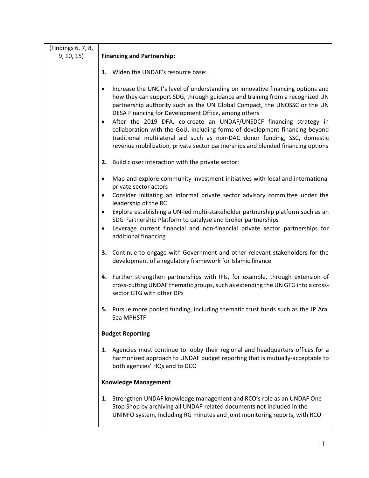| (Findings 6, 7, 8, |                                                                                                                                                                                                                                                                                                                                                                                                                                                                                                                                                                                                                                                    |
|--------------------|----------------------------------------------------------------------------------------------------------------------------------------------------------------------------------------------------------------------------------------------------------------------------------------------------------------------------------------------------------------------------------------------------------------------------------------------------------------------------------------------------------------------------------------------------------------------------------------------------------------------------------------------------|
| 9, 10, 15)         | <b>Financing and Partnership:</b>                                                                                                                                                                                                                                                                                                                                                                                                                                                                                                                                                                                                                  |
|                    | 1. Widen the UNDAF's resource base:                                                                                                                                                                                                                                                                                                                                                                                                                                                                                                                                                                                                                |
|                    | Increase the UNCT's level of understanding on innovative financing options and<br>$\bullet$<br>how they can support SDG, through guidance and training from a recognized UN<br>partnership authority such as the UN Global Compact, the UNOSSC or the UN<br>DESA Financing for Development Office, among others<br>After the 2019 DFA, co-create an UNDAF/UNSDCF financing strategy in<br>$\bullet$<br>collaboration with the GoU, including forms of development financing beyond<br>traditional multilateral aid such as non-DAC donor funding, SSC, domestic<br>revenue mobilization, private sector partnerships and blended financing options |
|                    | 2. Build closer interaction with the private sector:                                                                                                                                                                                                                                                                                                                                                                                                                                                                                                                                                                                               |
|                    | Map and explore community investment initiatives with local and international<br>$\bullet$<br>private sector actors<br>Consider initiating an informal private sector advisory committee under the<br>٠<br>leadership of the RC<br>Explore establishing a UN-led multi-stakeholder partnership platform such as an<br>$\bullet$<br>SDG Partnership Platform to catalyze and broker partnerships<br>Leverage current financial and non-financial private sector partnerships for<br>$\bullet$<br>additional financing                                                                                                                               |
|                    | 3. Continue to engage with Government and other relevant stakeholders for the<br>development of a regulatory framework for Islamic finance                                                                                                                                                                                                                                                                                                                                                                                                                                                                                                         |
|                    | 4. Further strengthen partnerships with IFIs, for example, through extension of<br>cross-cutting UNDAF thematic groups, such as extending the UN GTG into a cross-<br>sector GTG with other DPs                                                                                                                                                                                                                                                                                                                                                                                                                                                    |
|                    | 5. Pursue more pooled funding, including thematic trust funds such as the JP Aral<br>Sea MPHSTF                                                                                                                                                                                                                                                                                                                                                                                                                                                                                                                                                    |
|                    | <b>Budget Reporting</b>                                                                                                                                                                                                                                                                                                                                                                                                                                                                                                                                                                                                                            |
|                    | Agencies must continue to lobby their regional and headquarters offices for a<br>1.<br>harmonized approach to UNDAF budget reporting that is mutually-acceptable to<br>both agencies' HQs and to DCO                                                                                                                                                                                                                                                                                                                                                                                                                                               |
|                    | <b>Knowledge Management</b>                                                                                                                                                                                                                                                                                                                                                                                                                                                                                                                                                                                                                        |
|                    | 1. Strengthen UNDAF knowledge management and RCO's role as an UNDAF One<br>Stop Shop by archiving all UNDAF-related documents not included in the<br>UNINFO system, including RG minutes and joint monitoring reports, with RCO                                                                                                                                                                                                                                                                                                                                                                                                                    |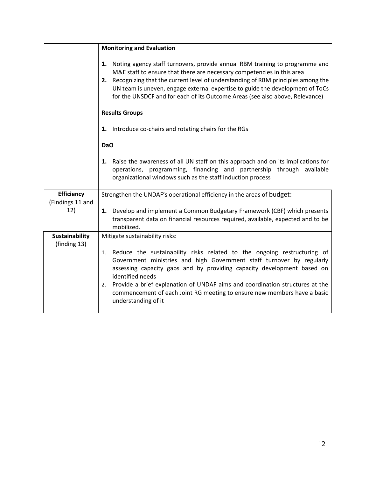|                                       | <b>Monitoring and Evaluation</b>                                                                                                                                                                                                                                                                                                                                                                                                        |  |  |  |  |  |
|---------------------------------------|-----------------------------------------------------------------------------------------------------------------------------------------------------------------------------------------------------------------------------------------------------------------------------------------------------------------------------------------------------------------------------------------------------------------------------------------|--|--|--|--|--|
|                                       | 1. Noting agency staff turnovers, provide annual RBM training to programme and<br>M&E staff to ensure that there are necessary competencies in this area<br>2. Recognizing that the current level of understanding of RBM principles among the<br>UN team is uneven, engage external expertise to guide the development of ToCs<br>for the UNSDCF and for each of its Outcome Areas (see also above, Relevance)                         |  |  |  |  |  |
|                                       | <b>Results Groups</b>                                                                                                                                                                                                                                                                                                                                                                                                                   |  |  |  |  |  |
|                                       | 1. Introduce co-chairs and rotating chairs for the RGs                                                                                                                                                                                                                                                                                                                                                                                  |  |  |  |  |  |
|                                       | DaO                                                                                                                                                                                                                                                                                                                                                                                                                                     |  |  |  |  |  |
|                                       | 1. Raise the awareness of all UN staff on this approach and on its implications for<br>operations, programming, financing and partnership through available<br>organizational windows such as the staff induction process                                                                                                                                                                                                               |  |  |  |  |  |
| <b>Efficiency</b><br>(Findings 11 and | Strengthen the UNDAF's operational efficiency in the areas of budget:                                                                                                                                                                                                                                                                                                                                                                   |  |  |  |  |  |
| 12)                                   | 1. Develop and implement a Common Budgetary Framework (CBF) which presents<br>transparent data on financial resources required, available, expected and to be<br>mobilized.                                                                                                                                                                                                                                                             |  |  |  |  |  |
| <b>Sustainability</b><br>(finding 13) | Mitigate sustainability risks:                                                                                                                                                                                                                                                                                                                                                                                                          |  |  |  |  |  |
|                                       | 1. Reduce the sustainability risks related to the ongoing restructuring of<br>Government ministries and high Government staff turnover by regularly<br>assessing capacity gaps and by providing capacity development based on<br>identified needs<br>2. Provide a brief explanation of UNDAF aims and coordination structures at the<br>commencement of each Joint RG meeting to ensure new members have a basic<br>understanding of it |  |  |  |  |  |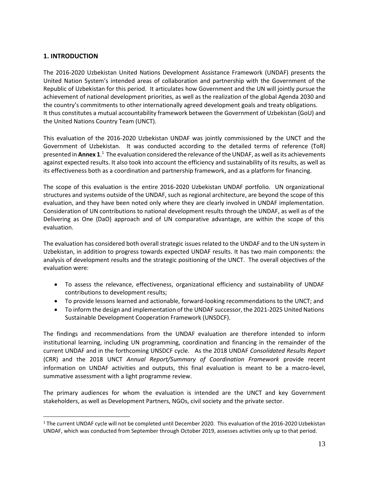# **1. INTRODUCTION**

The 2016-2020 Uzbekistan United Nations Development Assistance Framework (UNDAF) presents the United Nation System's intended areas of collaboration and partnership with the Government of the Republic of Uzbekistan for this period. It articulates how Government and the UN will jointly pursue the achievement of national development priorities, as well as the realization of the global Agenda 2030 and the country's commitments to other internationally agreed development goals and treaty obligations. It thus constitutes a mutual accountability framework between the Government of Uzbekistan (GoU) and the United Nations Country Team (UNCT).

This evaluation of the 2016-2020 Uzbekistan UNDAF was jointly commissioned by the UNCT and the Government of Uzbekistan. It was conducted according to the detailed terms of reference (ToR) presented in Annex 1.<sup>1</sup> The evaluation considered the relevance of the UNDAF, as well as its achievements against expected results. It also took into account the efficiency and sustainability of its results, as well as its effectiveness both as a coordination and partnership framework, and as a platform for financing.

The scope of this evaluation is the entire 2016-2020 Uzbekistan UNDAF portfolio. UN organizational structures and systems outside of the UNDAF, such as regional architecture, are beyond the scope of this evaluation, and they have been noted only where they are clearly involved in UNDAF implementation. Consideration of UN contributions to national development results through the UNDAF, as well as of the Delivering as One (DaO) approach and of UN comparative advantage, are within the scope of this evaluation.

The evaluation has considered both overall strategic issues related to the UNDAF and to the UN system in Uzbekistan, in addition to progress towards expected UNDAF results. It has two main components: the analysis of development results and the strategic positioning of the UNCT. The overall objectives of the evaluation were:

- To assess the relevance, effectiveness, organizational efficiency and sustainability of UNDAF contributions to development results;
- To provide lessons learned and actionable, forward-looking recommendations to the UNCT; and
- To inform the design and implementation of the UNDAF successor, the 2021-2025 United Nations Sustainable Development Cooperation Framework (UNSDCF).

The findings and recommendations from the UNDAF evaluation are therefore intended to inform institutional learning, including UN programming, coordination and financing in the remainder of the current UNDAF and in the forthcoming UNSDCF cycle. As the 2018 UNDAF *Consolidated Results Report*  (CRR) and the 2018 UNCT *Annual Report/Summary of Coordination Framework* provide recent information on UNDAF activities and outputs, this final evaluation is meant to be a macro-level, summative assessment with a light programme review.

The primary audiences for whom the evaluation is intended are the UNCT and key Government stakeholders, as well as Development Partners, NGOs, civil society and the private sector.

 $1$  The current UNDAF cycle will not be completed until December 2020. This evaluation of the 2016-2020 Uzbekistan UNDAF, which was conducted from September through October 2019, assesses activities only up to that period.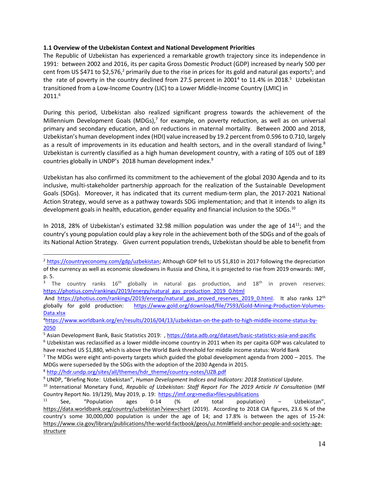# **1.1 Overview of the Uzbekistan Context and National Development Priorities**

The Republic of Uzbekistan has experienced a remarkable growth trajectory since its independence in 1991: between 2002 and 2016, its per capita Gross Domestic Product (GDP) increased by nearly 500 per cent from US \$471 to \$2,576,<sup>2</sup> primarily due to the rise in prices for its gold and natural gas exports<sup>3</sup>; and the rate of poverty in the country declined from 27.5 percent in 2001<sup>4</sup> to 11.4% in 2018.<sup>5</sup> Uzbekistan transitioned from a Low-Income Country (LIC) to a Lower Middle-Income Country (LMIC) in 2011.<sup>6</sup>

During this period, Uzbekistan also realized significant progress towards the achievement of the Millennium Development Goals (MDGs),<sup>7</sup> for example, on poverty reduction, as well as on universal primary and secondary education, and on reductions in maternal mortality*.* Between 2000 and 2018, Uzbekistan's human development index (HDI) value increased by 19.2 percent from 0.596 to 0.710, largely as a result of improvements in its education and health sectors, and in the overall standard of living.<sup>8</sup> Uzbekistan is currently classified as a high human development country, with a rating of 105 out of 189 countries globally in UNDP's 2018 human development index. 9

Uzbekistan has also confirmed its commitment to the achievement of the global 2030 Agenda and to its inclusive, multi-stakeholder partnership approach for the realization of the Sustainable Development Goals (SDGs). Moreover, it has indicated that its current medium-term plan, the 2017-2021 National Action Strategy, would serve as a pathway towards SDG implementation; and that it intends to align its development goals in health, education, gender equality and financial inclusion to the SDGs.<sup>10</sup>

In 2018, 28% of Uzbekistan's estimated 32.98 million population was under the age of  $14^{11}$ ; and the country's young population could play a key role in the achievement both of the SDGs and of the goals of its National Action Strategy. Given current population trends, Uzbekistan should be able to benefit from

8 [http://hdr.undp.org/sites/all/themes/hdr\\_theme/country-notes/UZB.pdf](http://hdr.undp.org/sites/all/themes/hdr_theme/country-notes/UZB.pdf)

<sup>2</sup> [https://countryeconomy.com/gdp/uzbekistan;](https://countryeconomy.com/gdp/uzbekistan) Although GDP fell to US \$1,810 in 2017 following the depreciation of the currency as well as economic slowdowns in Russia and China, it is projected to rise from 2019 onwards: IMF, p. 5.<br> $rac{3}{7}$ 

The country ranks  $16<sup>th</sup>$  globally in natural gas production, and  $18<sup>th</sup>$  in proven reserves: [https://photius.com/rankings/2019/energy/natural\\_gas\\_production\\_2019\\_0.html](https://photius.com/rankings/2019/energy/natural_gas_production_2019_0.html)

And https://photius.com/rankings/2019/energy/natural gas proved reserves 2019 0.html. It also ranks 12<sup>th</sup> globally for gold production: [https://www.gold.org/download/file/7593/Gold-Mining-Production-Volumes-](https://www.gold.org/download/file/7593/Gold-Mining-Production-Volumes-Data.xlsx)[Data.xlsx](https://www.gold.org/download/file/7593/Gold-Mining-Production-Volumes-Data.xlsx)

<sup>4</sup>[https://www.worldbank.org/en/results/2016/04/13/uzbekistan-on-the-path-to-high-middle-income-status-by-](https://www.worldbank.org/en/results/2016/04/13/uzbekistan-on-the-path-to-high-middle-income-status-by-2050)[2050](https://www.worldbank.org/en/results/2016/04/13/uzbekistan-on-the-path-to-high-middle-income-status-by-2050)

<sup>5</sup> Asian Development Bank, Basic Statistics 2019: ,<https://data.adb.org/dataset/basic-statistics-asia-and-pacific>

 $6$  Uzbekistan was reclassified as a lower middle-income country in 2011 when its per capita GDP was calculated to have reached US \$1,880, which is above the World Bank threshold for middle income status: World Bank

 $7$  The MDGs were eight anti-poverty targets which guided the global development agenda from 2000 – 2015. The MDGs were superseded by the SDGs with the adoption of the 2030 Agenda in 2015.

<sup>9</sup> UNDP, "Briefing Note: Uzbekistan", *Human Development Indices and Indicators: 2018 Statistical Update.*

<sup>10</sup> International Monetary Fund, *Republic of Uzbekistan: Staff Report For The 2019 Article IV Consultation* (IMF Country Report No. 19/129), May 2019, p. 19: https://imf.org>media>files>publications

<sup>&</sup>lt;sup>11</sup> See, "Population ages 0-14 (% of total population) – Uzbekistan", <https://data.worldbank.org/country/uzbekistan?view=chart> (2019). According to 2018 CIA figures, 23.6 % of the country's some 30,000,000 population is under the age of 14; and 17.8% is between the ages of 15-24: [https://www.cia.gov/library/publications/the-world-factbook/geos/uz.html#field-anchor-people-and-society-age](https://www.cia.gov/library/publications/the-world-factbook/geos/uz.html#field-anchor-people-and-society-age-structure)[structure](https://www.cia.gov/library/publications/the-world-factbook/geos/uz.html#field-anchor-people-and-society-age-structure)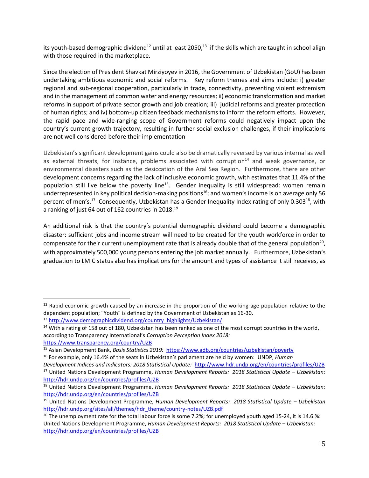its youth-based demographic dividend<sup>12</sup> until at least 2050,<sup>13</sup> if the skills which are taught in school align with those required in the marketplace.

Since the election of President Shavkat Mirziyoyev in 2016, the Government of Uzbekistan (GoU) has been undertaking ambitious economic and social reforms. Key reform themes and aims include: i) greater regional and sub-regional cooperation, particularly in trade, connectivity, preventing violent extremism and in the management of common water and energy resources; ii) economic transformation and market reforms in support of private sector growth and job creation; iii) judicial reforms and greater protection of human rights; and iv) bottom-up citizen feedback mechanisms to inform the reform efforts. However, the rapid pace and wide-ranging scope of Government reforms could negatively impact upon the country's current growth trajectory, resulting in further social exclusion challenges, if their implications are not well considered before their implementation

Uzbekistan's significant development gains could also be dramatically reversed by various internal as well as external threats, for instance, problems associated with corruption $14$  and weak governance, or environmental disasters such as the desiccation of the Aral Sea Region. Furthermore, there are other development concerns regarding the lack of inclusive economic growth, with estimates that 11.4% of the population still live below the poverty line<sup>15</sup>. Gender inequality is still widespread: women remain underrepresented in key political decision-making positions<sup>16</sup>; and women's income is on average only 56 percent of men's.<sup>17</sup> Consequently, Uzbekistan has a Gender Inequality Index rating of only 0.303<sup>18</sup>, with a ranking of just 64 out of 162 countries in 2018.<sup>19</sup>

An additional risk is that the country's potential demographic dividend could become a demographic disaster: sufficient jobs and income stream will need to be created for the youth workforce in order to compensate for their current unemployment rate that is already double that of the general population<sup>20</sup>, with approximately 500,000 young persons entering the job market annually. Furthermore, Uzbekistan's graduation to LMIC status also has implications for the amount and types of assistance it still receives, as

<sup>&</sup>lt;sup>12</sup> Rapid economic growth caused by an increase in the proportion of the working-age population relative to the dependent population; "Youth" is defined by the Government of Uzbekistan as 16-30.

<sup>13</sup> [http://www.demographicdividend.org/country\\_highlights/Uzbekistan/](http://www.demographicdividend.org/country_highlights/Uzbekistan/)

<sup>&</sup>lt;sup>14</sup> With a rating of 158 out of 180, Uzbekistan has been ranked as one of the most corrupt countries in the world, according to Transparency International's *Corruption Perception Index 2018:*  <https://www.transparency.org/country/UZB>

<sup>15</sup> Asian Development Bank, *Basis Statistics 2019:* <https://www.adb.org/countries/uzbekistan/poverty>

<sup>16</sup> For example, only 16.4% of the seats in Uzbekistan's parliament are held by women: UNDP, *Human* 

*Development Indices and Indicators: 2018 Statistical Update:* <http://www.hdr.undp.org/en/countries/profiles/UZB> <sup>17</sup> United Nations Development Programme, *Human Development Reports: 2018 Statistical Update – Uzbekistan:*  <http://hdr.undp.org/en/countries/profiles/UZB>

<sup>18</sup> United Nations Development Programme, *Human Development Reports: 2018 Statistical Update – Uzbekistan:*  <http://hdr.undp.org/en/countries/profiles/UZB>

<sup>19</sup> United Nations Development Programme, *Human Development Reports: 2018 Statistical Update – Uzbekistan* [http://hdr.undp.org/sites/all/themes/hdr\\_theme/country-notes/UZB.pdf](http://hdr.undp.org/sites/all/themes/hdr_theme/country-notes/UZB.pdf)

<sup>&</sup>lt;sup>20</sup> The unemployment rate for the total labour force is some 7.2%; for unemployed youth aged 15-24, it is 14.6.%: United Nations Development Programme, *Human Development Reports: 2018 Statistical Update – Uzbekistan:*  <http://hdr.undp.org/en/countries/profiles/UZB>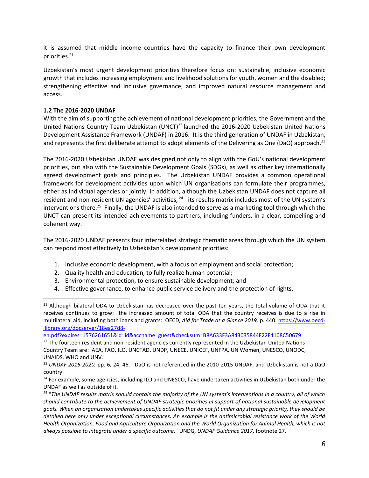it is assumed that middle income countries have the capacity to finance their own development priorities. 21

Uzbekistan's most urgent development priorities therefore focus on: sustainable, inclusive economic growth that includes increasing employment and livelihood solutions for youth, women and the disabled; strengthening effective and inclusive governance; and improved natural resource management and access.

# **1.2 The 2016-2020 UNDAF**

With the aim of supporting the achievement of national development priorities, the Government and the United Nations Country Team Uzbekistan (UNCT)<sup>22</sup> launched the 2016-2020 Uzbekistan United Nations Development Assistance Framework (UNDAF) in 2016. It is the third generation of UNDAF in Uzbekistan, and represents the first deliberate attempt to adopt elements of the Delivering as One (DaO) approach.<sup>23</sup>

The 2016-2020 Uzbekistan UNDAF was designed not only to align with the GoU's national development priorities, but also with the Sustainable Development Goals (SDGs), as well as other key internationally agreed development goals and principles. The Uzbekistan UNDAF provides a common operational framework for development activities upon which UN organisations can formulate their programmes, either as individual agencies or jointly. In addition, although the Uzbekistan UNDAF does not capture all resident and non-resident UN agencies' activities, <sup>24</sup> its results matrix includes most of the UN system's interventions there.<sup>25</sup> Finally, the UNDAF is also intended to serve as a marketing tool through which the UNCT can present its intended achievements to partners, including funders, in a clear, compelling and coherent way.

The 2016-2020 UNDAF presents four interrelated strategic thematic areas through which the UN system can respond most effectively to Uzbekistan's development priorities:

- 1. Inclusive economic development, with a focus on employment and social protection;
- 2. Quality health and education, to fully realize human potential;
- 3. Environmental protection, to ensure sustainable development; and
- 4. Effective governance, to enhance public service delivery and the protection of rights.

[en.pdf?expires=1576261651&id=id&accname=guest&checksum=B8A633F3A843035844F22F4108C50679](https://www.oecd-ilibrary.org/docserver/18ea27d8-en.pdf?expires=1576261651&id=id&accname=guest&checksum=B8A633F3A843035844F22F4108C50679)

<sup>&</sup>lt;sup>21</sup> Although bilateral ODA to Uzbekistan has decreased over the past ten years, the total volume of ODA that it receives continues to grow: the increased amount of total ODA that the country receives is due to a rise in multilateral aid, including both loans and grants: OECD, *Aid for Trade at a Glance 2019,* p. 440[: https://www.oecd](https://www.oecd-ilibrary.org/docserver/18ea27d8-en.pdf?expires=1576261651&id=id&accname=guest&checksum=B8A633F3A843035844F22F4108C50679)[ilibrary.org/docserver/18ea27d8-](https://www.oecd-ilibrary.org/docserver/18ea27d8-en.pdf?expires=1576261651&id=id&accname=guest&checksum=B8A633F3A843035844F22F4108C50679)

<sup>&</sup>lt;sup>22</sup> The fourteen resident and non-resident agencies currently represented in the Uzbekistan United Nations Country Team are: IAEA, FAO, ILO, UNCTAD, UNDP, UNECE, UNICEF, UNFPA, UN Women, UNESCO, UNODC, UNAIDS, WHO and UNV.

<sup>23</sup> *UNDAF 2016-2020,* pp. 6, 24, 46. DaO is not referenced in the 2010-2015 UNDAF, and Uzbekistan is not a DaO country.

<sup>&</sup>lt;sup>24</sup> For example, some agencies, including ILO and UNESCO, have undertaken activities in Uzbekistan both under the UNDAF as well as outside of it.

<sup>&</sup>lt;sup>25</sup> "The UNDAF results matrix should contain the majority of the UN system's interventions in a country, all of which *should contribute to the achievement of UNDAF strategic priorities in support of national sustainable development goals. When an organization undertakes specific activities that do not fit under any strategic priority, they should be detailed here only under exceptional circumstances. An example is the antimicrobial resistance work of the World Health Organization, Food and Agriculture Organization and the World Organization for Animal Health, which is not always possible to integrate under a specific outcome*." UNDG, *UNDAF Guidance 2017,* footnote 27.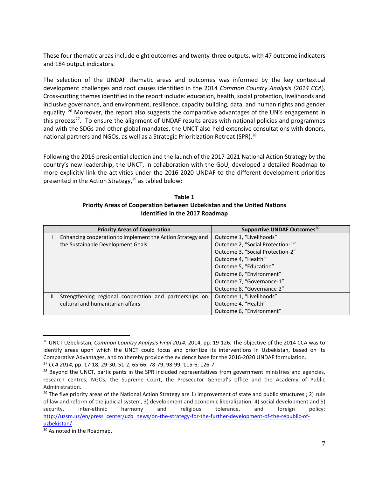These four thematic areas include eight outcomes and twenty-three outputs, with 47 outcome indicators and 184 output indicators.

The selection of the UNDAF thematic areas and outcomes was informed by the key contextual development challenges and root causes identified in the 2014 *Common Country Analysis (2014 CCA*). Cross-cutting themes identified in the report include: education, health, social protection, livelihoods and inclusive governance, and environment, resilience, capacity building, data, and human rights and gender equality.<sup>26</sup> Moreover, the report also suggests the comparative advantages of the UN's engagement in this process<sup>27</sup>. To ensure the alignment of UNDAF results areas with national policies and programmes and with the SDGs and other global mandates, the UNCT also held extensive consultations with donors, national partners and NGOs, as well as a Strategic Prioritization Retreat (SPR).<sup>28</sup>

Following the 2016 presidential election and the launch of the 2017-2021 National Action Strategy by the country's new leadership, the UNCT, in collaboration with the GoU, developed a detailed Roadmap to more explicitly link the activities under the 2016-2020 UNDAF to the different development priorities presented in the Action Strategy, <sup>29</sup> as tabled below:

| Table 1                                                                 |
|-------------------------------------------------------------------------|
| Priority Areas of Cooperation between Uzbekistan and the United Nations |
| Identified in the 2017 Roadmap                                          |

|               | <b>Priority Areas of Cooperation</b>                       | Supportive UNDAF Outcomes <sup>30</sup> |  |  |
|---------------|------------------------------------------------------------|-----------------------------------------|--|--|
|               | Enhancing cooperation to implement the Action Strategy and | Outcome 1, "Livelihoods"                |  |  |
|               | the Sustainable Development Goals                          | Outcome 2, "Social Protection-1"        |  |  |
|               |                                                            | Outcome 3, "Social Protection-2"        |  |  |
|               |                                                            | Outcome 4, "Health"                     |  |  |
|               |                                                            | Outcome 5, "Education"                  |  |  |
|               |                                                            | Outcome 6, "Environment"                |  |  |
|               |                                                            | Outcome 7, "Governance-1"               |  |  |
|               |                                                            | Outcome 8, "Governance-2"               |  |  |
| $\mathbf{II}$ | Strengthening regional cooperation and partnerships on     | Outcome 1, "Livelihoods"                |  |  |
|               | cultural and humanitarian affairs                          | Outcome 4, "Health"                     |  |  |
|               |                                                            | Outcome 6, "Environment"                |  |  |

<sup>26</sup> UNCT Uzbekistan, *Common Country Analysis Final 2014*, 2014, pp. 19-126. The objective of the 2014 CCA was to identify areas upon which the UNCT could focus and prioritize its interventions in Uzbekistan, based on its Comparative Advantages, and to thereby provide the evidence base for the 2016-2020 UNDAF formulation.

<sup>27</sup> *CCA 2014*, pp. 17-18; 29-30; 51-2; 65-66; 78-79; 98-99; 115-6; 126-7.

 $28$  Beyond the UNCT, participants in the SPR included representatives from government ministries and agencies, research centres, NGOs, the Supreme Court, the Prosecutor General's office and the Academy of Public Administration.

<sup>&</sup>lt;sup>29</sup> The five priority areas of the National Action Strategy are 1) improvement of state and public structures ; 2) rule of law and reform of the judicial system, 3) development and economic liberalization, 4) social development and 5) security, inter-ethnic harmony and religious tolerance, and foreign policy: [http://uzsm.uz/en/press\\_center/uzb\\_news/on-the-strategy-for-the-further-development-of-the-republic-of](http://uzsm.uz/en/press_center/uzb_news/on-the-strategy-for-the-further-development-of-the-republic-of-uzbekistan/)[uzbekistan/](http://uzsm.uz/en/press_center/uzb_news/on-the-strategy-for-the-further-development-of-the-republic-of-uzbekistan/)

<sup>&</sup>lt;sup>30</sup> As noted in the Roadmap.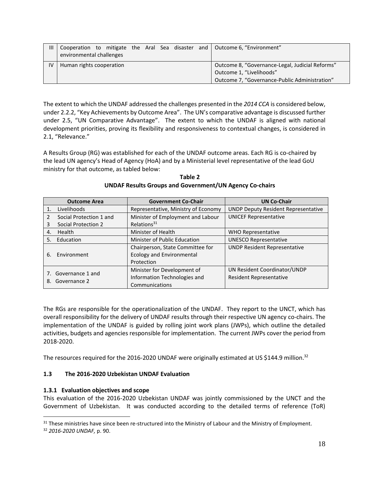| Ш  | environmental challenges |                          |                                               |                                                 |  |  |  |  | Cooperation to mitigate the Aral Sea disaster and Outcome 6, "Environment" |
|----|--------------------------|--------------------------|-----------------------------------------------|-------------------------------------------------|--|--|--|--|----------------------------------------------------------------------------|
| IV | Human rights cooperation |                          |                                               | Outcome 8, "Governance-Legal, Judicial Reforms" |  |  |  |  |                                                                            |
|    |                          | Outcome 1, "Livelihoods" |                                               |                                                 |  |  |  |  |                                                                            |
|    |                          |                          | Outcome 7, "Governance-Public Administration" |                                                 |  |  |  |  |                                                                            |

The extent to which the UNDAF addressed the challenges presented in the *2014 CCA* is considered below, under 2.2.2, "Key Achievements by Outcome Area". The UN's comparative advantage is discussed further under 2.5, "UN Comparative Advantage". The extent to which the UNDAF is aligned with national development priorities, proving its flexibility and responsiveness to contextual changes, is considered in 2.1, "Relevance."

A Results Group (RG) was established for each of the UNDAF outcome areas. Each RG is co-chaired by the lead UN agency's Head of Agency (HoA) and by a Ministerial level representative of the lead GoU ministry for that outcome, as tabled below:

|    | <b>Outcome Area</b>     | <b>Government Co-Chair</b>          | <b>UN Co-Chair</b>                         |  |
|----|-------------------------|-------------------------------------|--------------------------------------------|--|
|    | Livelihoods             | Representative, Ministry of Economy | <b>UNDP Deputy Resident Representative</b> |  |
| 2  | Social Protection 1 and | Minister of Employment and Labour   | <b>UNICEF Representative</b>               |  |
| 3  | Social Protection 2     | Relations <sup>31</sup>             |                                            |  |
| 4. | Health                  | Minister of Health                  | <b>WHO Representative</b>                  |  |
| 5. | Education               | Minister of Public Education        | <b>UNESCO Representative</b>               |  |
|    |                         | Chairperson, State Committee for    | <b>UNDP Resident Representative</b>        |  |
| 6. | Environment             | <b>Ecology and Environmental</b>    |                                            |  |
|    |                         | Protection                          |                                            |  |
|    | 7. Governance 1 and     | Minister for Development of         | UN Resident Coordinator/UNDP               |  |
| 8. | Governance 2            | Information Technologies and        | Resident Representative                    |  |
|    |                         | Communications                      |                                            |  |

**Table 2 UNDAF Results Groups and Government/UN Agency Co-chairs**

The RGs are responsible for the operationalization of the UNDAF. They report to the UNCT, which has overall responsibility for the delivery of UNDAF results through their respective UN agency co-chairs. The implementation of the UNDAF is guided by rolling joint work plans (JWPs), which outline the detailed activities, budgets and agencies responsible for implementation. The current JWPs cover the period from 2018-2020.

The resources required for the 2016-2020 UNDAF were originally estimated at US \$144.9 million.<sup>32</sup>

# **1.3 The 2016-2020 Uzbekistan UNDAF Evaluation**

# **1.3.1 Evaluation objectives and scope**

This evaluation of the 2016-2020 Uzbekistan UNDAF was jointly commissioned by the UNCT and the Government of Uzbekistan. It was conducted according to the detailed terms of reference (ToR)

<sup>&</sup>lt;sup>31</sup> These ministries have since been re-structured into the Ministry of Labour and the Ministry of Employment.

<sup>32</sup> *2016-2020 UNDAF,* p. 90.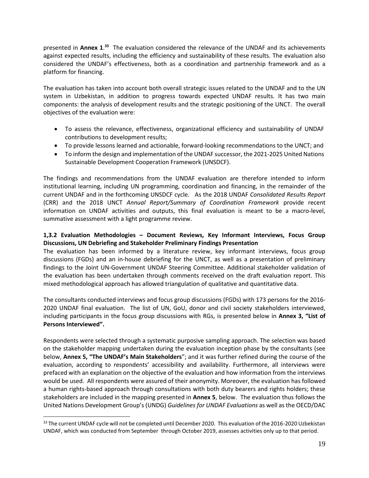presented in Annex 1.<sup>33</sup> The evaluation considered the relevance of the UNDAF and its achievements against expected results, including the efficiency and sustainability of these results. The evaluation also considered the UNDAF's effectiveness, both as a coordination and partnership framework and as a platform for financing.

The evaluation has taken into account both overall strategic issues related to the UNDAF and to the UN system in Uzbekistan, in addition to progress towards expected UNDAF results. It has two main components: the analysis of development results and the strategic positioning of the UNCT. The overall objectives of the evaluation were:

- To assess the relevance, effectiveness, organizational efficiency and sustainability of UNDAF contributions to development results;
- To provide lessons learned and actionable, forward-looking recommendations to the UNCT; and
- To inform the design and implementation of the UNDAF successor, the 2021-2025 United Nations Sustainable Development Cooperation Framework (UNSDCF).

The findings and recommendations from the UNDAF evaluation are therefore intended to inform institutional learning, including UN programming, coordination and financing, in the remainder of the current UNDAF and in the forthcoming UNSDCF cycle. As the 2018 UNDAF *Consolidated Results Report*  (CRR) and the 2018 UNCT *Annual Report/Summary of Coordination Framework* provide recent information on UNDAF activities and outputs, this final evaluation is meant to be a macro-level, summative assessment with a light programme review.

# **1,3.2 Evaluation Methodologies – Document Reviews, Key Informant Interviews, Focus Group Discussions, UN Debriefing and Stakeholder Preliminary Findings Presentation**

The evaluation has been informed by a literature review, key informant interviews, focus group discussions (FGDs) and an in-house debriefing for the UNCT, as well as a presentation of preliminary findings to the Joint UN-Government UNDAF Steering Committee. Additional stakeholder validation of the evaluation has been undertaken through comments received on the draft evaluation report. This mixed methodological approach has allowed triangulation of qualitative and quantitative data.

The consultants conducted interviews and focus group discussions (FGDs) with 173 persons for the 2016- 2020 UNDAF final evaluation. The list of UN, GoU, donor and civil society stakeholders interviewed, including participants in the focus group discussions with RGs, is presented below in **Annex 3, "List of Persons Interviewed".** 

Respondents were selected through a systematic purposive sampling approach. The selection was based on the stakeholder mapping undertaken during the evaluation inception phase by the consultants (see below, **Annex 5, "The UNDAF's Main Stakeholders**"; and it was further refined during the course of the evaluation, according to respondents' accessibility and availability. Furthermore, all interviews were prefaced with an explanation on the objective of the evaluation and how information from the interviews would be used. All respondents were assured of their anonymity. Moreover, the evaluation has followed a human rights-based approach through consultations with both duty bearers and rights holders; these stakeholders are included in the mapping presented in **Annex 5**, below. The evaluation thus follows the United Nations Development Group's (UNDG) *Guidelines for UNDAF Evaluations* as well as the OECD/DAC

<sup>&</sup>lt;sup>33</sup> The current UNDAF cycle will not be completed until December 2020. This evaluation of the 2016-2020 Uzbekistan UNDAF, which was conducted from September through October 2019, assesses activities only up to that period.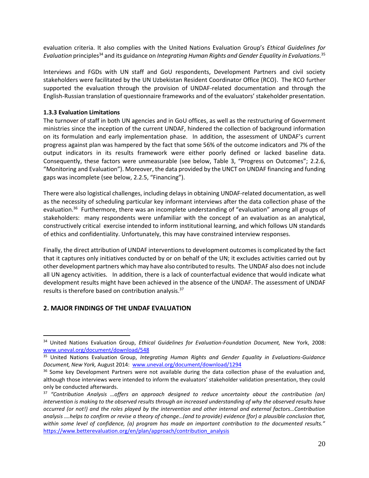evaluation criteria. It also complies with the United Nations Evaluation Group's *Ethical Guidelines for Evaluation* principles<sup>34</sup> and its guidance on *Integrating Human Rights and Gender Equality in Evaluations.* 35

Interviews and FGDs with UN staff and GoU respondents, Development Partners and civil society stakeholders were facilitated by the UN Uzbekistan Resident Coordinator Office (RCO). The RCO further supported the evaluation through the provision of UNDAF-related documentation and through the English-Russian translation of questionnaire frameworks and of the evaluators' stakeholder presentation.

#### **1.3.3 Evaluation Limitations**

The turnover of staff in both UN agencies and in GoU offices, as well as the restructuring of Government ministries since the inception of the current UNDAF, hindered the collection of background information on its formulation and early implementation phase. In addition, the assessment of UNDAF's current progress against plan was hampered by the fact that some 56% of the outcome indicators and 7% of the output indicators in its results framework were either poorly defined or lacked baseline data. Consequently, these factors were unmeasurable (see below, Table 3, "Progress on Outcomes"; 2.2.6, "Monitoring and Evaluation"). Moreover, the data provided by the UNCT on UNDAF financing and funding gaps was incomplete (see below, 2.2.5, "Financing").

There were also logistical challenges, including delays in obtaining UNDAF-related documentation, as well as the necessity of scheduling particular key informant interviews after the data collection phase of the evaluation.<sup>36</sup> Furthermore, there was an incomplete understanding of "evaluation" among all groups of stakeholders: many respondents were unfamiliar with the concept of an evaluation as an analytical, constructively critical exercise intended to inform institutional learning, and which follows UN standards of ethics and confidentiality. Unfortunately, this may have constrained interview responses.

Finally, the direct attribution of UNDAF interventions to development outcomesis complicated by the fact that it captures only initiatives conducted by or on behalf of the UN; it excludes activities carried out by other development partners which may have also contributed to results. The UNDAF also does not include all UN agency activities. In addition, there is a lack of counterfactual evidence that would indicate what development results might have been achieved in the absence of the UNDAF. The assessment of UNDAF results is therefore based on contribution analysis.<sup>37</sup>

# **2. MAJOR FINDINGS OF THE UNDAF EVALUATION**

<sup>34</sup> United Nations Evaluation Group, *Ethical Guidelines for Evaluation-Foundation Document,* New York, 2008: [www.uneval.org/document/download/548](http://www.uneval.org/document/download/548)

<sup>35</sup> United Nations Evaluation Group, *Integrating Human Rights and Gender Equality in Evaluations-Guidance Document, New York,* August 2014: [www.uneval.org/document/download/1294](http://www.uneval.org/document/download/1294)

<sup>&</sup>lt;sup>36</sup> Some key Development Partners were not available during the data collection phase of the evaluation and, although those interviews were intended to inform the evaluators' stakeholder validation presentation, they could only be conducted afterwards.

<sup>37</sup> *"Contribution Analysis …offers an approach designed to reduce uncertainty about the contribution (an) intervention is making to the observed results through an increased understanding of why the observed results have occurred (or not!) and the roles played by the intervention and other internal and external factors…Contribution analysis ….helps to confirm or revise a theory of change…(and to provide) evidence (for) a plausible conclusion that, within some level of confidence, (a) program has made an important contribution to the documented results."*  [https://www.betterevaluation.org/en/plan/approach/contribution\\_analysis](https://www.betterevaluation.org/en/plan/approach/contribution_analysis)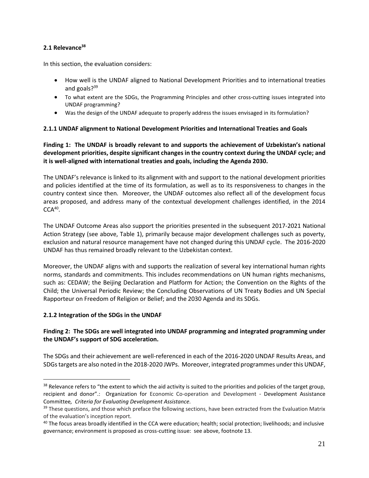### **2.1 Relevance<sup>38</sup>**

In this section, the evaluation considers:

- How well is the UNDAF aligned to National Development Priorities and to international treaties and goals?<sup>39</sup>
- To what extent are the SDGs, the Programming Principles and other cross-cutting issues integrated into UNDAF programming?
- Was the design of the UNDAF adequate to properly address the issues envisaged in its formulation?

### **2.1.1 UNDAF alignment to National Development Priorities and International Treaties and Goals**

**Finding 1: The UNDAF is broadly relevant to and supports the achievement of Uzbekistan's national development priorities, despite significant changes in the country context during the UNDAF cycle; and it is well-aligned with international treaties and goals, including the Agenda 2030.**

The UNDAF's relevance is linked to its alignment with and support to the national development priorities and policies identified at the time of its formulation, as well as to its responsiveness to changes in the country context since then. Moreover, the UNDAF outcomes also reflect all of the development focus areas proposed, and address many of the contextual development challenges identified, in the 2014  $CCA<sup>40</sup>$ .

The UNDAF Outcome Areas also support the priorities presented in the subsequent 2017-2021 National Action Strategy (see above, Table 1), primarily because major development challenges such as poverty, exclusion and natural resource management have not changed during this UNDAF cycle. The 2016-2020 UNDAF has thus remained broadly relevant to the Uzbekistan context.

Moreover, the UNDAF aligns with and supports the realization of several key international human rights norms, standards and commitments. This includes recommendations on UN human rights mechanisms, such as: CEDAW; the Beijing Declaration and Platform for Action; the Convention on the Rights of the Child; the Universal Periodic Review; the Concluding Observations of UN Treaty Bodies and UN Special Rapporteur on Freedom of Religion or Belief; and the 2030 Agenda and its SDGs.

#### **2.1.2 Integration of the SDGs in the UNDAF**

### **Finding 2: The SDGs are well integrated into UNDAF programming and integrated programming under the UNDAF's support of SDG acceleration.**

The SDGs and their achievement are well-referenced in each of the 2016-2020 UNDAF Results Areas, and SDGstargets are also noted in the 2018-2020 JWPs. Moreover, integrated programmes under this UNDAF,

<sup>&</sup>lt;sup>38</sup> Relevance refers to "the extent to which the aid activity is suited to the priorities and policies of the target group, recipient and donor".: Organization for Economic Co-operation and Development - Development Assistance Committee*, Criteria for Evaluating Development Assistance.*

<sup>&</sup>lt;sup>39</sup> These questions, and those which preface the following sections, have been extracted from the Evaluation Matrix of the evaluation's inception report.

 $40$  The focus areas broadly identified in the CCA were education; health; social protection; livelihoods; and inclusive governance; environment is proposed as cross-cutting issue: see above, footnote 13.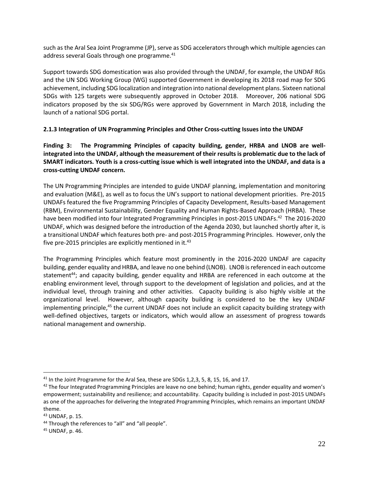such as the Aral Sea Joint Programme (JP), serve as SDG accelerators through which multiple agencies can address several Goals through one programme. $^{41}$ 

Support towards SDG domestication was also provided through the UNDAF, for example, the UNDAF RGs and the UN SDG Working Group (WG) supported Government in developing its 2018 road map for SDG achievement, including SDG localization and integration into national development plans. Sixteen national SDGs with 125 targets were subsequently approved in October 2018. Moreover, 206 national SDG indicators proposed by the six SDG/RGs were approved by Government in March 2018, including the launch of a national SDG portal.

# **2.1.3 Integration of UN Programming Principles and Other Cross-cutting Issues into the UNDAF**

**Finding 3: The Programming Principles of capacity building, gender, HRBA and LNOB are wellintegrated into the UNDAF, although the measurement of their results is problematic due to the lack of SMART indicators. Youth is a cross-cutting issue which is well integrated into the UNDAF, and data is a cross-cutting UNDAF concern.**

The UN Programming Principles are intended to guide UNDAF planning, implementation and monitoring and evaluation (M&E), as well as to focus the UN's support to national development priorities. Pre-2015 UNDAFs featured the five Programming Principles of Capacity Development, Results-based Management (RBM), Environmental Sustainability, Gender Equality and Human Rights-Based Approach (HRBA). These have been modified into four Integrated Programming Principles in post-2015 UNDAFs.<sup>42</sup> The 2016-2020 UNDAF, which was designed before the introduction of the Agenda 2030, but launched shortly after it, is a transitional UNDAF which features both pre- and post-2015 Programming Principles. However, only the five pre-2015 principles are explicitly mentioned in it.<sup>43</sup>

The Programming Principles which feature most prominently in the 2016-2020 UNDAF are capacity building, gender equality and HRBA, and leave no one behind (LNOB). LNOB is referenced in each outcome statement<sup>44</sup>; and capacity building, gender equality and HRBA are referenced in each outcome at the enabling environment level, through support to the development of legislation and policies, and at the individual level, through training and other activities. Capacity building is also highly visible at the organizational level. However, although capacity building is considered to be the key UNDAF implementing principle,<sup>45</sup> the current UNDAF does not include an explicit capacity building strategy with well-defined objectives, targets or indicators, which would allow an assessment of progress towards national management and ownership.

<sup>&</sup>lt;sup>41</sup> In the Joint Programme for the Aral Sea, these are SDGs 1, 2, 3, 5, 8, 15, 16, and 17.

 $42$  The four Integrated Programming Principles are leave no one behind; human rights, gender equality and women's empowerment; sustainability and resilience; and accountability. Capacity building is included in post-2015 UNDAFs as one of the approaches for delivering the Integrated Programming Principles, which remains an important UNDAF theme.

<sup>43</sup> UNDAF, p. 15.

<sup>&</sup>lt;sup>44</sup> Through the references to "all" and "all people".

<sup>45</sup> UNDAF, p. 46.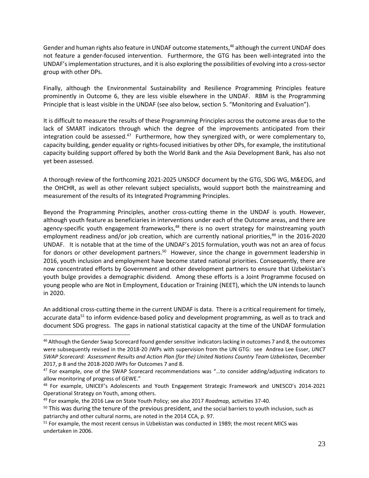Gender and human rights also feature in UNDAF outcome statements, <sup>46</sup> although the current UNDAF does not feature a gender-focused intervention. Furthermore, the GTG has been well-integrated into the UNDAF's implementation structures, and it is also exploring the possibilities of evolving into a cross-sector group with other DPs.

Finally, although the Environmental Sustainability and Resilience Programming Principles feature prominently in Outcome 6, they are less visible elsewhere in the UNDAF. RBM is the Programming Principle that is least visible in the UNDAF (see also below, section 5. "Monitoring and Evaluation").

It is difficult to measure the results of these Programming Principles across the outcome areas due to the lack of SMART indicators through which the degree of the improvements anticipated from their integration could be assessed.<sup>47</sup> Furthermore, how they synergized with, or were complementary to, capacity building, gender equality or rights-focused initiatives by other DPs, for example, the institutional capacity building support offered by both the World Bank and the Asia Development Bank, has also not yet been assessed.

A thorough review of the forthcoming 2021-2025 UNSDCF document by the GTG, SDG WG, M&EDG, and the OHCHR, as well as other relevant subject specialists, would support both the mainstreaming and measurement of the results of its Integrated Programming Principles.

Beyond the Programming Principles, another cross-cutting theme in the UNDAF is youth. However, although youth feature as beneficiaries in interventions under each of the Outcome areas, and there are agency-specific youth engagement frameworks,<sup>48</sup> there is no overt strategy for mainstreaming youth employment readiness and/or job creation, which are currently national priorities, <sup>49</sup> in the 2016-2020 UNDAF. It is notable that at the time of the UNDAF's 2015 formulation, youth was not an area of focus for donors or other development partners.<sup>50</sup> However, since the change in government leadership in 2016, youth inclusion and employment have become stated national priorities. Consequently, there are now concentrated efforts by Government and other development partners to ensure that Uzbekistan's youth bulge provides a demographic dividend. Among these efforts is a Joint Programme focused on young people who are Not in Employment, Education or Training (NEET), which the UN intends to launch in 2020.

An additional cross-cutting theme in the current UNDAF is data. There is a critical requirement for timely, accurate data<sup>51</sup> to inform evidence-based policy and development programming, as well as to track and document SDG progress. The gaps in national statistical capacity at the time of the UNDAF formulation

<sup>&</sup>lt;sup>46</sup> Although the Gender Swap Scorecard found gender sensitive indicators lacking in outcomes 7 and 8, the outcomes were subsequently revised in the 2018-20 JWPs with supervision from the UN GTG: see Andrea Lee Esser, *UNCT SWAP Scorecard: Assessment Results and Action Plan (for the) United Nations Country Team Uzbekistan,* December 2017, p 8 and the 2018-2020 JWPs for Outcomes 7 and 8.

<sup>&</sup>lt;sup>47</sup> For example, one of the SWAP Scorecard recommendations was "...to consider adding/adjusting indicators to allow monitoring of progress of GEWE."

<sup>48</sup> For example, UNICEF's Adolescents and Youth Engagement Strategic Framework and UNESCO's 2014-2021 Operational Strategy on Youth, among others.

<sup>49</sup> For example, the 2016 Law on State Youth Policy; see also 2017 *Roadmap,* activities 37-40.

 $50$  This was during the tenure of the previous president, and the social barriers to youth inclusion, such as patriarchy and other cultural norms, are noted in the 2014 CCA, p. 97.

<sup>&</sup>lt;sup>51</sup> For example, the most recent census in Uzbekistan was conducted in 1989; the most recent MICS was undertaken in 2006.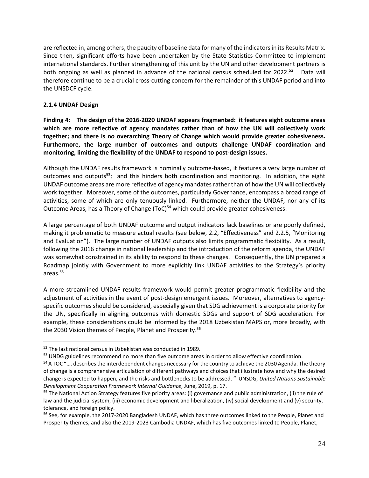are reflected in, among others, the paucity of baseline data for many of the indicators in its Results Matrix. Since then, significant efforts have been undertaken by the State Statistics Committee to implement international standards. Further strengthening of this unit by the UN and other development partners is both ongoing as well as planned in advance of the national census scheduled for 2022.<sup>52</sup> Data will therefore continue to be a crucial cross-cutting concern for the remainder of this UNDAF period and into the UNSDCF cycle.

# **2.1.4 UNDAF Design**

**Finding 4: The design of the 2016-2020 UNDAF appears fragmented: it features eight outcome areas which are more reflective of agency mandates rather than of how the UN will collectively work together; and there is no overarching Theory of Change which would provide greater cohesiveness. Furthermore, the large number of outcomes and outputs challenge UNDAF coordination and monitoring, limiting the flexibility of the UNDAF to respond to post-design issues.**

Although the UNDAF results framework is nominally outcome-based, it features a very large number of outcomes and outputs<sup>53</sup>; and this hinders both coordination and monitoring. In addition, the eight UNDAF outcome areas are more reflective of agency mandates rather than of how the UN will collectively work together. Moreover, some of the outcomes, particularly Governance, encompass a broad range of activities, some of which are only tenuously linked. Furthermore, neither the UNDAF, nor any of its Outcome Areas, has a Theory of Change (ToC)<sup>54</sup> which could provide greater cohesiveness.

A large percentage of both UNDAF outcome and output indicators lack baselines or are poorly defined, making it problematic to measure actual results (see below, 2.2, "Effectiveness" and 2.2.5, "Monitoring and Evaluation"). The large number of UNDAF outputs also limits programmatic flexibility. As a result, following the 2016 change in national leadership and the introduction of the reform agenda, the UNDAF was somewhat constrained in its ability to respond to these changes. Consequently, the UN prepared a Roadmap jointly with Government to more explicitly link UNDAF activities to the Strategy's priority areas.<sup>55</sup>

A more streamlined UNDAF results framework would permit greater programmatic flexibility and the adjustment of activities in the event of post-design emergent issues. Moreover, alternatives to agencyspecific outcomes should be considered, especially given that SDG achievement is a corporate priority for the UN, specifically in aligning outcomes with domestic SDGs and support of SDG acceleration. For example, these considerations could be informed by the 2018 Uzbekistan MAPS or, more broadly, with the 2030 Vision themes of People, Planet and Prosperity. 56

<sup>52</sup> The last national census in Uzbekistan was conducted in 1989.

<sup>&</sup>lt;sup>53</sup> UNDG guidelines recommend no more than five outcome areas in order to allow effective coordination.

<sup>&</sup>lt;sup>54</sup> A TOC ".... describes the interdependent changes necessary for the country to achieve the 2030 Agenda. The theory of change is a comprehensive articulation of different pathways and choices that illustrate how and why the desired change is expected to happen, and the risks and bottlenecks to be addressed. " UNSDG, *United Nations Sustainable Development Cooperation Framework Internal Guidance*, June, 2019, p. 17.

<sup>&</sup>lt;sup>55</sup> The National Action Strategy features five priority areas: (i) governance and public administration, (ii) the rule of law and the judicial system, (iii) economic development and liberalization, (iv) social development and (v) security, tolerance, and foreign policy.

<sup>&</sup>lt;sup>56</sup> See, for example, the 2017-2020 Bangladesh UNDAF, which has three outcomes linked to the People, Planet and Prosperity themes, and also the 2019-2023 Cambodia UNDAF, which has five outcomes linked to People, Planet,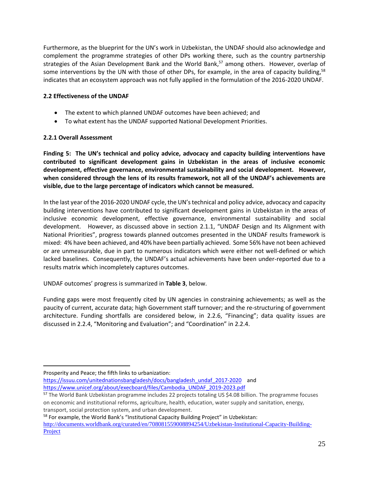Furthermore, as the blueprint for the UN's work in Uzbekistan, the UNDAF should also acknowledge and complement the programme strategies of other DPs working there, such as the country partnership strategies of the Asian Development Bank and the World Bank, <sup>57</sup> among others. However, overlap of some interventions by the UN with those of other DPs, for example, in the area of capacity building,<sup>58</sup> indicates that an ecosystem approach was not fully applied in the formulation of the 2016-2020 UNDAF.

# **2.2 Effectiveness of the UNDAF**

- The extent to which planned UNDAF outcomes have been achieved; and
- To what extent has the UNDAF supported National Development Priorities.

### **2.2.1 Overall Assessment**

**Finding 5: The UN's technical and policy advice, advocacy and capacity building interventions have contributed to significant development gains in Uzbekistan in the areas of inclusive economic development, effective governance, environmental sustainability and social development. However, when considered through the lens of its results framework, not all of the UNDAF's achievements are visible, due to the large percentage of indicators which cannot be measured.** 

In the last year of the 2016-2020 UNDAF cycle, the UN'stechnical and policy advice, advocacy and capacity building interventions have contributed to significant development gains in Uzbekistan in the areas of inclusive economic development, effective governance, environmental sustainability and social development. However, as discussed above in section 2.1.1, "UNDAF Design and Its Alignment with National Priorities", progress towards planned outcomes presented in the UNDAF results framework is mixed: 4% have been achieved, and 40% have been partially achieved. Some 56% have not been achieved or are unmeasurable, due in part to numerous indicators which were either not well-defined or which lacked baselines. Consequently, the UNDAF's actual achievements have been under-reported due to a results matrix which incompletely captures outcomes.

UNDAF outcomes' progress is summarized in **Table 3**, below.

Funding gaps were most frequently cited by UN agencies in constraining achievements; as well as the paucity of current, accurate data; high Government staff turnover; and the re-structuring of government architecture. Funding shortfalls are considered below, in 2.2.6, "Financing"; data quality issues are discussed in 2.2.4, "Monitoring and Evaluation"; and "Coordination" in 2.2.4.

- [https://issuu.com/unitednationsbangladesh/docs/bangladesh\\_undaf\\_2017-2020](https://issuu.com/unitednationsbangladesh/docs/bangladesh_undaf_2017-2020) and [https://www.unicef.org/about/execboard/files/Cambodia\\_UNDAF\\_2019-2023.pdf](https://www.unicef.org/about/execboard/files/Cambodia_UNDAF_2019-2023.pdf)
- 57 The World Bank Uzbekistan programme includes 22 projects totaling US \$4.08 billion. The programme focuses on economic and institutional reforms, agriculture, health, education, water supply and sanitation, energy, transport, social protection system, and urban development.

58 For example, the World Bank's "Institutional Capacity Building Project" in Uzbekistan: [http://documents.worldbank.org/curated/en/708081559008894254/Uzbekistan-Institutional-Capacity-Building-](http://documents.worldbank.org/curated/en/708081559008894254/Uzbekistan-Institutional-Capacity-Building-Project)**[Project](http://documents.worldbank.org/curated/en/708081559008894254/Uzbekistan-Institutional-Capacity-Building-Project)** 

Prosperity and Peace; the fifth links to urbanization: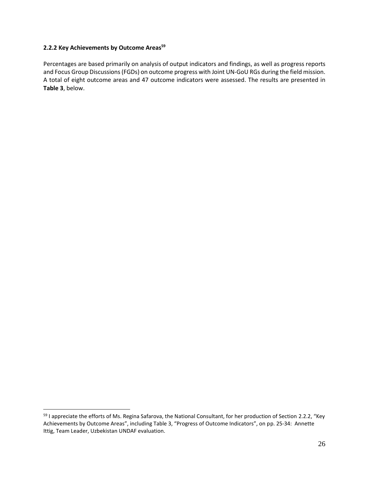#### **2.2.2 Key Achievements by Outcome Areas<sup>59</sup>**

Percentages are based primarily on analysis of output indicators and findings, as well as progress reports and Focus Group Discussions (FGDs) on outcome progress with Joint UN-GoU RGs during the field mission. A total of eight outcome areas and 47 outcome indicators were assessed. The results are presented in **Table 3**, below.

<sup>59</sup> I appreciate the efforts of Ms. Regina Safarova, the National Consultant, for her production of Section 2.2.2, "Key Achievements by Outcome Areas", including Table 3, "Progress of Outcome Indicators", on pp. 25-34: Annette Ittig, Team Leader, Uzbekistan UNDAF evaluation.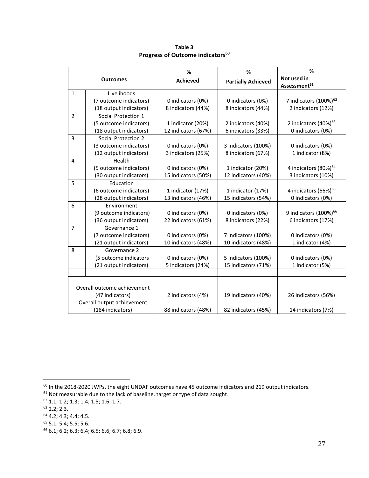| <b>Outcomes</b>             |                            | %<br><b>Achieved</b> | %                         | %<br>Not used in                  |
|-----------------------------|----------------------------|----------------------|---------------------------|-----------------------------------|
|                             |                            |                      | <b>Partially Achieved</b> | Assessment <sup>61</sup>          |
| $\mathbf{1}$                | Livelihoods                |                      |                           |                                   |
|                             | (7 outcome indicators)     | 0 indicators (0%)    | 0 indicators (0%)         | 7 indicators (100%) <sup>62</sup> |
|                             | (18 output indicators)     | 8 indicators (44%)   | 8 indicators (44%)        | 2 indicators (12%)                |
| $\overline{2}$              | Social Protection 1        |                      |                           |                                   |
|                             | (5 outcome indicators)     | 1 indicator (20%)    | 2 indicators (40%)        | 2 indicators (40%) <sup>63</sup>  |
|                             | (18 output indicators)     | 12 indicators (67%)  | 6 indicators (33%)        | 0 indicators (0%)                 |
| $\overline{3}$              | Social Protection 2        |                      |                           |                                   |
|                             | (3 outcome indicators)     | 0 indicators (0%)    | 3 indicators (100%)       | 0 indicators (0%)                 |
|                             | (12 output indicators)     | 3 indicators (25%)   | 8 indicators (67%)        | 1 indicator (8%)                  |
| 4                           | Health                     |                      |                           |                                   |
|                             | (5 outcome indicators)     | 0 indicators (0%)    | 1 indicator (20%)         | 4 indicators (80%) <sup>64</sup>  |
|                             | (30 output indicators)     | 15 indicators (50%)  | 12 indicators (40%)       | 3 indicators (10%)                |
| 5                           | Education                  |                      |                           |                                   |
|                             | (6 outcome indicators)     | 1 indicator (17%)    | 1 indicator (17%)         | 4 indicators (66%) <sup>65</sup>  |
|                             | (28 output indicators)     | 13 indicators (46%)  | 15 indicators (54%)       | 0 indicators (0%)                 |
| 6                           | Environment                |                      |                           |                                   |
|                             | (9 outcome indicators)     | 0 indicators (0%)    | 0 indicators (0%)         | 9 indicators (100%) <sup>66</sup> |
|                             | (36 output indicators)     | 22 indicators (61%)  | 8 indicators (22%)        | 6 indicators (17%)                |
| $\overline{7}$              | Governance 1               |                      |                           |                                   |
|                             | (7 outcome indicators)     | 0 indicators (0%)    | 7 indicators (100%)       | 0 indicators (0%)                 |
|                             | (21 output indicators)     | 10 indicators (48%)  | 10 indicators (48%)       | 1 indicator (4%)                  |
| 8                           | Governance 2               |                      |                           |                                   |
|                             | (5 outcome indicators      | 0 indicators (0%)    | 5 indicators (100%)       | 0 indicators (0%)                 |
|                             | (21 output indicators)     | 5 indicators (24%)   | 15 indicators (71%)       | 1 indicator (5%)                  |
|                             |                            |                      |                           |                                   |
|                             |                            |                      |                           |                                   |
| Overall outcome achievement |                            |                      |                           |                                   |
|                             | (47 indicators)            | 2 indicators (4%)    | 19 indicators (40%)       | 26 indicators (56%)               |
|                             | Overall output achievement |                      |                           |                                   |
| (184 indicators)            |                            | 88 indicators (48%)  | 82 indicators (45%)       | 14 indicators (7%)                |

**Table 3 Progress of Outcome indicators<sup>60</sup>**

<sup>&</sup>lt;sup>60</sup> In the 2018-2020 JWPs, the eight UNDAF outcomes have 45 outcome indicators and 219 output indicators.

 $61$  Not measurable due to the lack of baseline, target or type of data sought.

<sup>62</sup> 1.1; 1.2; 1.3; 1.4; 1.5; 1.6; 1.7.

 $63$  2.2; 2.3.

 $64$  4.2; 4.3; 4.4; 4.5.

 $65$  5.1; 5.4; 5.5; 5.6.

<sup>66</sup> 6.1; 6.2; 6.3; 6.4; 6.5; 6.6; 6.7; 6.8; 6.9.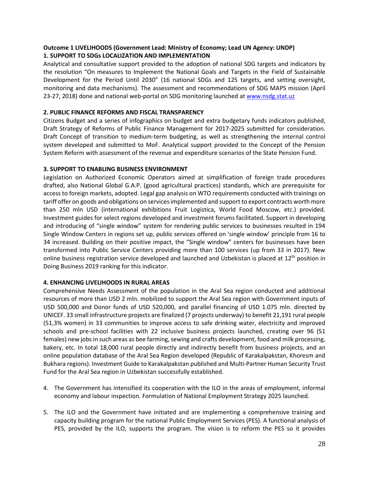# **Outcome 1 LIVELIHOODS (Government Lead: Ministry of Economy; Lead UN Agency: UNDP) 1. SUPPORT TO SDGs LOCALIZATION AND IMPLEMENTATION**

Analytical and consultative support provided to the adoption of national SDG targets and indicators by the resolution "On measures to Implement the National Goals and Targets in the Field of Sustainable Development for the Period Until 2030" (16 national SDGs and 125 targets, and setting oversight, monitoring and data mechanisms). The assessment and recommendations of SDG MAPS mission (April 23-27, 2018) done and national web-portal on SDG monitoring launched at [www.nsdg.stat.uz](http://www.nsdg.stat.uz/)

### **2. PUBLIC FINANCE REFORMS AND FISCAL TRANSPARENCY**

Citizens Budget and a series of infographics on budget and extra budgetary funds indicators published, Draft Strategy of Reforms of Public Finance Management for 2017-2025 submitted for consideration. Draft Concept of transition to medium-term budgeting, as well as strengthening the internal control system developed and submitted to MoF. Analytical support provided to the Concept of the Pension System Reform with assessment of the revenue and expenditure scenarios of the State Pension Fund.

### **3. SUPPORT TO ENABLING BUSINESS ENVIRONMENT**

Legislation on Authorized Economic Operators aimed at simplification of foreign trade procedures drafted, also National Global G.A.P. (good agricultural practices) standards, which are prerequisite for access to foreign markets, adopted. Legal gap analysis on WTO requirements conducted with trainings on tariff offer on goods and obligations on services implemented and support to export contracts worth more than 250 mln USD (international exhibitions Fruit Logistica, World Food Moscow, etc.) provided. Investment guides for select regions developed and investment forums facilitated. Support in developing and introducing of "single window" system for rendering public services to businesses resulted in 194 Single Window Centers in regions set up, public services offered on 'single window' principle from 16 to 34 increased. Building on their positive impact, the "Single window" centers for businesses have been transformed into Public Service Centers providing more than 100 services (up from 33 in 2017). New online business registration service developed and launched and Uzbekistan is placed at  $12<sup>th</sup>$  position in Doing Business 2019 ranking for this indicator.

# **4. ENHANCING LIVELIHOODS IN RURAL AREAS**

Comprehensive Needs Assessment of the population in the Aral Sea region conducted and additional resources of more than USD 2 mln. mobilized to support the Aral Sea region with Government inputs of USD 500,000 and Donor funds of USD 520,000, and parallel financing of USD 1.075 mln. directed by UNICEF. 33 small infrastructure projects are finalized (7 projects underway) to benefit 21,191 rural people (51,3% women) in 33 communities to improve access to safe drinking water, electricity and improved schools and pre-school facilities with 22 inclusive business projects launched, creating over 96 (51 females) new jobs in such areas as bee farming, sewing and crafts development, food and milk processing, bakery, etc. In total 18,000 rural people directly and indirectly benefit from business projects, and an online population database of the Aral Sea Region developed (Republic of Karakalpakstan, Khoresm and Bukhara regions). Investment Guide to Karakalpakstan published and Multi-Partner Human Security Trust Fund for the Aral Sea region in Uzbekistan successfully established.

- 4. The Government has intensified its cooperation with the ILO in the areas of employment, informal economy and labour inspection. Formulation of National Employment Strategy 2025 launched.
- 5. The ILO and the Government have initiated and are implementing a comprehensive training and capacity building program for the national Public Employment Services (PES). A functional analysis of PES, provided by the ILO, supports the program. The vision is to reform the PES so it provides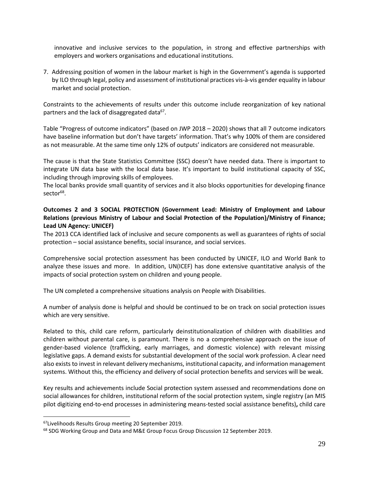innovative and inclusive services to the population, in strong and effective partnerships with employers and workers organisations and educational institutions.

7. Addressing position of women in the labour market is high in the Government's agenda is supported by ILO through legal, policy and assessment of institutional practices vis-à-vis gender equality in labour market and social protection.

Constraints to the achievements of results under this outcome include reorganization of key national partners and the lack of disaggregated data<sup>67</sup>.

Table "Progress of outcome indicators" (based on JWP 2018 – 2020) shows that all 7 outcome indicators have baseline information but don't have targets' information. That's why 100% of them are considered as not measurable. At the same time only 12% of outputs' indicators are considered not measurable.

The cause is that the State Statistics Committee (SSC) doesn't have needed data. There is important to integrate UN data base with the local data base. It's important to build institutional capacity of SSC, including through improving skills of employees.

The local banks provide small quantity of services and it also blocks opportunities for developing finance sector<sup>68</sup>.

# **Outcomes 2 and 3 SOCIAL PROTECTION (Government Lead: Ministry of Employment and Labour Relations (previous Ministry of Labour and Social Protection of the Population)/Ministry of Finance; Lead UN Agency: UNICEF)**

The 2013 CCA identified lack of inclusive and secure components as well as guarantees of rights of social protection – social assistance benefits, social insurance, and social services.

Comprehensive social protection assessment has been conducted by UNICEF, ILO and World Bank to analyze these issues and more. In addition, UN(ICEF) has done extensive quantitative analysis of the impacts of social protection system on children and young people.

The UN completed a comprehensive situations analysis on People with Disabilities.

A number of analysis done is helpful and should be continued to be on track on social protection issues which are very sensitive.

Related to this, child care reform, particularly deinstitutionalization of children with disabilities and children without parental care, is paramount. There is no a comprehensive approach on the issue of gender-based violence (trafficking, early marriages, and domestic violence) with relevant missing legislative gaps. A demand exists for substantial development of the social work profession. A clear need also exists to invest in relevant delivery mechanisms, institutional capacity, and information management systems. Without this, the efficiency and delivery of social protection benefits and services will be weak.

Key results and achievements include Social protection system assessed and recommendations done on social allowances for children, institutional reform of the social protection system, single registry (an MIS pilot digitizing end-to-end processes in administering means-tested social assistance benefits)**,** child care

<sup>67</sup>Livelihoods Results Group meeting 20 September 2019.

<sup>68</sup> SDG Working Group and Data and M&E Group Focus Group Discussion 12 September 2019.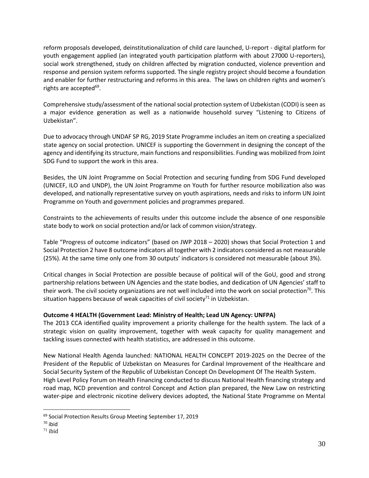reform proposals developed, deinstitutionalization of child care launched, U-report - digital platform for youth engagement applied (an integrated youth participation platform with about 27000 U-reporters), social work strengthened, study on children affected by migration conducted, violence prevention and response and pension system reforms supported. The single registry project should become a foundation and enabler for further restructuring and reforms in this area. The laws on children rights and women's rights are accepted<sup>69</sup>.

Comprehensive study/assessment of the national social protection system of Uzbekistan (CODI) is seen as a major evidence generation as well as a nationwide household survey "Listening to Citizens of Uzbekistan".

Due to advocacy through UNDAF SP RG, 2019 State Programme includes an item on creating a specialized state agency on social protection. UNICEF is supporting the Government in designing the concept of the agency and identifying its structure, main functions and responsibilities. Funding was mobilized from Joint SDG Fund to support the work in this area.

Besides, the UN Joint Programme on Social Protection and securing funding from SDG Fund developed (UNICEF, ILO and UNDP), the UN Joint Programme on Youth for further resource mobilization also was developed, and nationally representative survey on youth aspirations, needs and risks to inform UN Joint Programme on Youth and government policies and programmes prepared.

Constraints to the achievements of results under this outcome include the absence of one responsible state body to work on social protection and/or lack of common vision/strategy.

Table "Progress of outcome indicators" (based on JWP 2018 – 2020) shows that Social Protection 1 and Social Protection 2 have 8 outcome indicators all together with 2 indicators considered as not measurable (25%). At the same time only one from 30 outputs' indicators is considered not measurable (about 3%).

Critical changes in Social Protection are possible because of political will of the GoU, good and strong partnership relations between UN Agencies and the state bodies, and dedication of UN Agencies' staff to their work. The civil society organizations are not well included into the work on social protection<sup>70</sup>. This situation happens because of weak capacities of civil society $71$  in Uzbekistan.

# **Outcome 4 HEALTH (Government Lead: Ministry of Health; Lead UN Agency: UNFPA)**

The 2013 CCA identified quality improvement a priority challenge for the health system. The lack of a strategic vision on quality improvement, together with weak capacity for quality management and tackling issues connected with health statistics, are addressed in this outcome.

New National Health Agenda launched: NATIONAL HEALTH CONCEPT 2019-2025 on the Decree of the President of the Republic of Uzbekistan on Measures for Cardinal Improvement of the Healthcare and Social Security System of the Republic of Uzbekistan Concept On Development Of The Health System. High Level Policy Forum on Health Financing conducted to discuss National Health financing strategy and road map, NCD prevention and control Concept and Action plan prepared, the New Law on restricting water-pipe and electronic nicotine delivery devices adopted, the National State Programme on Mental

<sup>69</sup> Social Protection Results Group Meeting September 17, 2019

 $70$  ibid

 $71$  ibid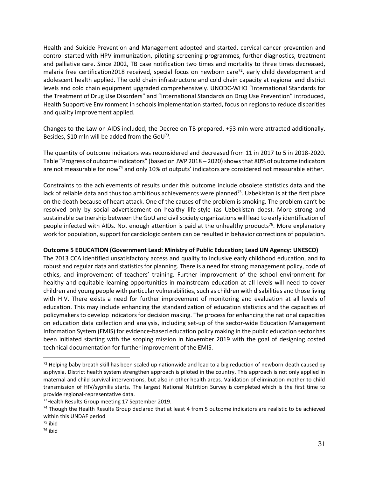Health and Suicide Prevention and Management adopted and started, cervical cancer prevention and control started with HPV immunization, piloting screening programmes, further diagnostics, treatment and palliative care. Since 2002, TB case notification two times and mortality to three times decreased, malaria free certification2018 received, special focus on newborn care<sup>72</sup>, early child development and adolescent health applied. The cold chain infrastructure and cold chain capacity at regional and district levels and cold chain equipment upgraded comprehensively. UNODC-WHO "International Standards for the Treatment of Drug Use Disorders" and "International Standards on Drug Use Prevention" introduced, Health Supportive Environment in schools implementation started, focus on regions to reduce disparities and quality improvement applied.

Changes to the Law on AIDS included, the Decree on TB prepared, +\$3 mln were attracted additionally. Besides, \$10 mln will be added from the GoU<sup>73</sup>.

The quantity of outcome indicators was reconsidered and decreased from 11 in 2017 to 5 in 2018-2020. Table "Progress of outcome indicators" (based on JWP 2018 – 2020) shows that 80% of outcome indicators are not measurable for now<sup>74</sup> and only 10% of outputs' indicators are considered not measurable either.

Constraints to the achievements of results under this outcome include obsolete statistics data and the lack of reliable data and thus too ambitious achievements were planned<sup>75</sup>. Uzbekistan is at the first place on the death because of heart attack. One of the causes of the problem is smoking. The problem can't be resolved only by social advertisement on healthy life-style (as Uzbekistan does). More strong and sustainable partnership between the GoU and civil society organizations will lead to early identification of people infected with AIDs. Not enough attention is paid at the unhealthy products<sup>76</sup>. More explanatory work for population, support for cardiologic centers can be resulted in behavior corrections of population.

#### **Outcome 5 EDUCATION (Government Lead: Ministry of Public Education; Lead UN Agency: UNESCO)**

The 2013 CCA identified unsatisfactory access and quality to inclusive early childhood education, and to robust and regular data and statistics for planning. There is a need for strong management policy, code of ethics, and improvement of teachers' training. Further improvement of the school environment for healthy and equitable learning opportunities in mainstream education at all levels will need to cover children and young people with particular vulnerabilities, such as children with disabilities and those living with HIV. There exists a need for further improvement of monitoring and evaluation at all levels of education. This may include enhancing the standardization of education statistics and the capacities of policymakers to develop indicators for decision making. The process for enhancing the national capacities on education data collection and analysis, including set-up of the sector-wide Education Management Information System (EMIS) for evidence-based education policy making in the public education sector has been initiated starting with the scoping mission in November 2019 with the goal of designing costed technical documentation for further improvement of the EMIS.

 $72$  Helping baby breath skill has been scaled up nationwide and lead to a big reduction of newborn death caused by asphyxia. District health system strengthen approach is piloted in the country. This approach is not only applied in maternal and child survival interventions, but also in other health areas. Validation of elimination mother to child transmission of HIV/syphilis starts. The largest National Nutrition Survey is completed which is the first time to provide regional-representative data.

<sup>&</sup>lt;sup>73</sup> Health Results Group meeting 17 September 2019.

 $74$  Though the Health Results Group declared that at least 4 from 5 outcome indicators are realistic to be achieved within this UNDAF period

 $75$  ibid

<sup>76</sup> ibid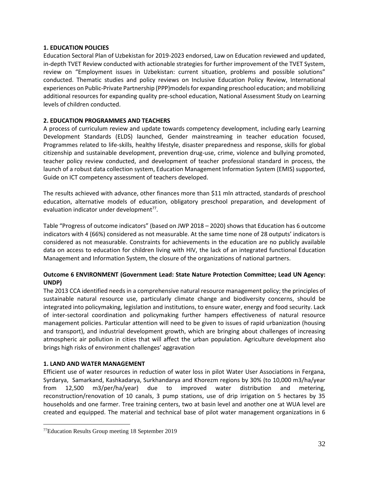### **1. EDUCATION POLICIES**

Education Sectoral Plan of Uzbekistan for 2019-2023 endorsed, Law on Education reviewed and updated, in-depth TVET Review conducted with actionable strategies for further improvement of the TVET System, review on "Employment issues in Uzbekistan: current situation, problems and possible solutions" conducted. Thematic studies and policy reviews on Inclusive Education Policy Review, International experiences on Public-Private Partnership (PPP)models for expanding preschool education; and mobilizing additional resources for expanding quality pre-school education, National Assessment Study on Learning levels of children conducted.

# **2. EDUCATION PROGRAMMES AND TEACHERS**

A process of curriculum review and update towards competency development, including early Learning Development Standards (ELDS) launched, Gender mainstreaming in teacher education focused, Programmes related to life-skills, healthy lifestyle, disaster preparedness and response, skills for global citizenship and sustainable development, prevention drug-use, crime, violence and bullying promoted, teacher policy review conducted, and development of teacher professional standard in process, the launch of a robust data collection system, Education Management Information System (EMIS) supported, Guide on ICT competency assessment of teachers developed.

The results achieved with advance, other finances more than \$11 mln attracted, standards of preschool education, alternative models of education, obligatory preschool preparation, and development of evaluation indicator under development<sup>77</sup>.

Table "Progress of outcome indicators" (based on JWP 2018 – 2020) shows that Education has 6 outcome indicators with 4 (66%) considered as not measurable. At the same time none of 28 outputs' indicators is considered as not measurable. Constraints for achievements in the education are no publicly available data on access to education for children living with HIV, the lack of an integrated functional Education Management and Information System, the closure of the organizations of national partners.

# **Outcome 6 ENVIRONMENT (Government Lead: State Nature Protection Committee; Lead UN Agency: UNDP)**

The 2013 CCA identified needs in a comprehensive natural resource management policy; the principles of sustainable natural resource use, particularly climate change and biodiversity concerns, should be integrated into policymaking, legislation and institutions, to ensure water, energy and food security. Lack of inter-sectoral coordination and policymaking further hampers effectiveness of natural resource management policies. Particular attention will need to be given to issues of rapid urbanization (housing and transport), and industrial development growth, which are bringing about challenges of increasing atmospheric air pollution in cities that will affect the urban population. Agriculture development also brings high risks of environment challenges' aggravation

# **1. LAND AND WATER MANAGEMENT**

Efficient use of water resources in reduction of water loss in pilot Water User Associations in Fergana, Syrdarya, Samarkand, Kashkadarya, Surkhandarya and Khorezm regions by 30% (to 10,000 m3/ha/year from 12,500 m3/per/ha/year) due to improved water distribution and metering, reconstruction/renovation of 10 canals, 3 pump stations, use of drip irrigation on 5 hectares by 35 households and one farmer. Tree training centers, two at basin level and another one at WUA level are created and equipped. The material and technical base of pilot water management organizations in 6

<sup>77</sup>Education Results Group meeting 18 September 2019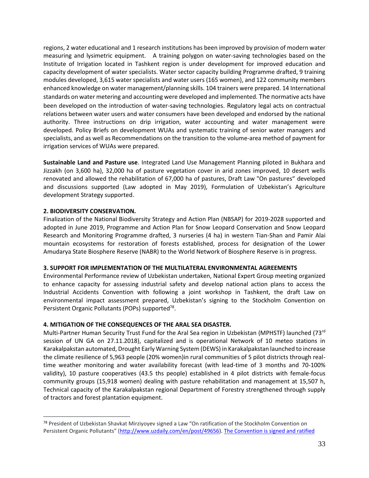regions, 2 water educational and 1 research institutions has been improved by provision of modern water measuring and lysimetric equipment. A training polygon on water-saving technologies based on the Institute of Irrigation located in Tashkent region is under development for improved education and capacity development of water specialists. Water sector capacity building Programme drafted, 9 training modules developed, 3,615 water specialists and water users (165 women), and 122 community members enhanced knowledge on water management/planning skills. 104 trainers were prepared. 14 International standards on water metering and accounting were developed and implemented. The normative acts have been developed on the introduction of water-saving technologies. Regulatory legal acts on contractual relations between water users and water consumers have been developed and endorsed by the national authority. Three instructions on drip irrigation, water accounting and water management were developed. Policy Briefs on development WUAs and systematic training of senior water managers and specialists, and as well as Recommendations on the transition to the volume-area method of payment for irrigation services of WUAs were prepared.

**Sustainable Land and Pasture use**. Integrated Land Use Management Planning piloted in Bukhara and Jizzakh (on 3,600 ha), 32,000 ha of pasture vegetation cover in arid zones improved, 10 desert wells renovated and allowed the rehabilitation of 67,000 ha of pastures, Draft Law "On pastures" developed and discussions supported (Law adopted in May 2019), Formulation of Uzbekistan's Agriculture development Strategy supported.

#### **2. BIODIVERSITY CONSERVATION.**

Finalization of the National Biodiversity Strategy and Action Plan (NBSAP) for 2019-2028 supported and adopted in June 2019, Programme and Action Plan for Snow Leopard Conservation and Snow Leopard Research and Monitoring Programme drafted, 3 nurseries (4 ha) in western Tian-Shan and Pamir Alai mountain ecosystems for restoration of forests established, process for designation of the Lower Amudarya State Biosphere Reserve (NABR) to the World Network of Biosphere Reserve is in progress.

#### **3. SUPPORT FOR IMPLEMENTATION OF THE MULTILATERAL ENVIRONMENTAL AGREEMENTS**

Environmental Performance review of Uzbekistan undertaken, National Expert Group meeting organized to enhance capacity for assessing industrial safety and develop national action plans to access the Industrial Accidents Convention with following a joint workshop in Tashkent, the draft Law on environmental impact assessment prepared, Uzbekistan's signing to the Stockholm Convention on Persistent Organic Pollutants (POPs) supported<sup>78</sup>.

# **4. MITIGATION OF THE CONSEQUENCES OF THE ARAL SEA DISASTER.**

Multi-Partner Human Security Trust Fund for the Aral Sea region in Uzbekistan (MPHSTF) launched (73rd session of UN GA on 27.11.2018), capitalized and is operational Network of 10 meteo stations in Karakalpakstan automated, Drought Early Warning System (DEWS) in Karakalpakstan launched to increase the climate resilience of 5,963 people (20% women)in rural communities of 5 pilot districts through realtime weather monitoring and water availability forecast (with lead-time of 3 months and 70-100% validity), 10 pasture cooperatives (43.5 ths people) established in 4 pilot districts with female-focus community groups (15,918 women) dealing with pasture rehabilitation and management at 15,507 h, Technical capacity of the Karakalpakstan regional Department of Forestry strengthened through supply of tractors and forest plantation equipment.

<sup>78</sup> President of Uzbekistan Shavkat Mirziyoyev signed a Law "On ratification of the Stockholm Convention on Persistent Organic Pollutants" ([http://www.uzdaily.com/en/post/49656\)](http://www.uzdaily.com/en/post/49656). The Convention is signed and ratified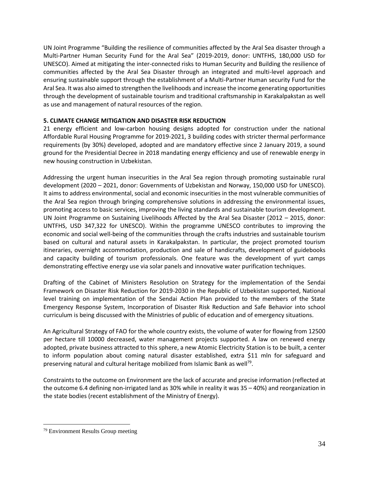UN Joint Programme "Building the resilience of communities affected by the Aral Sea disaster through a Multi-Partner Human Security Fund for the Aral Sea" (2019-2019, donor: UNTFHS, 180,000 USD for UNESCO). Aimed at mitigating the inter-connected risks to Human Security and Building the resilience of communities affected by the Aral Sea Disaster through an integrated and multi-level approach and ensuring sustainable support through the establishment of a Multi-Partner Human security Fund for the Aral Sea. It was also aimed to strengthen the livelihoods and increase the income generating opportunities through the development of sustainable tourism and traditional craftsmanship in Karakalpakstan as well as use and management of natural resources of the region.

# **5. CLIMATE CHANGE MITIGATION AND DISASTER RISK REDUCTION**

21 energy efficient and low-carbon housing designs adopted for construction under the national Affordable Rural Housing Programme for 2019-2021, 3 building codes with stricter thermal performance requirements (by 30%) developed, adopted and are mandatory effective since 2 January 2019, a sound ground for the Presidential Decree in 2018 mandating energy efficiency and use of renewable energy in new housing construction in Uzbekistan.

Addressing the urgent human insecurities in the Aral Sea region through promoting sustainable rural development (2020 – 2021, donor: Governments of Uzbekistan and Norway, 150,000 USD for UNESCO). It aims to address environmental, social and economic insecurities in the most vulnerable communities of the Aral Sea region through bringing comprehensive solutions in addressing the environmental issues, promoting access to basic services, improving the living standards and sustainable tourism development. UN Joint Programme on Sustaining Livelihoods Affected by the Aral Sea Disaster (2012 – 2015, donor: UNTFHS, USD 347,322 for UNESCO). Within the programme UNESCO contributes to improving the economic and social well-being of the communities through the crafts industries and sustainable tourism based on cultural and natural assets in Karakalpakstan. In particular, the project promoted tourism itineraries, overnight accommodation, production and sale of handicrafts, development of guidebooks and capacity building of tourism professionals. One feature was the development of yurt camps demonstrating effective energy use via solar panels and innovative water purification techniques.

Drafting of the Cabinet of Ministers Resolution on Strategy for the implementation of the Sendai Framework on Disaster Risk Reduction for 2019-2030 in the Republic of Uzbekistan supported, National level training on implementation of the Sendai Action Plan provided to the members of the State Emergency Response System, Incorporation of Disaster Risk Reduction and Safe Behavior into school curriculum is being discussed with the Ministries of public of education and of emergency situations.

An Agricultural Strategy of FAO for the whole country exists, the volume of water for flowing from 12500 per hectare till 10000 decreased, water management projects supported. A law on renewed energy adopted, private business attracted to this sphere, a new Atomic Electricity Station is to be built, a center to inform population about coming natural disaster established, extra \$11 mln for safeguard and preserving natural and cultural heritage mobilized from Islamic Bank as well<sup>79</sup>.

Constraints to the outcome on Environment are the lack of accurate and precise information (reflected at the outcome 6.4 defining non-irrigated land as 30% while in reality it was 35 – 40%) and reorganization in the state bodies (recent establishment of the Ministry of Energy).

<sup>79</sup> Environment Results Group meeting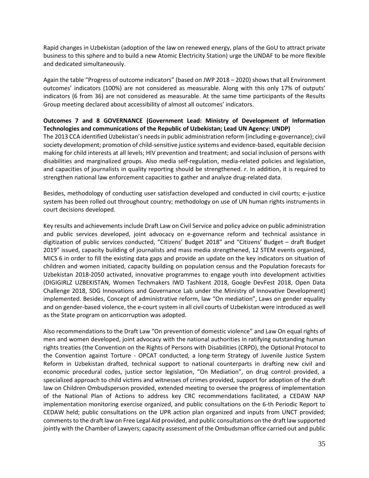Rapid changes in Uzbekistan (adoption of the law on renewed energy, plans of the GoU to attract private business to this sphere and to build a new Atomic Electricity Station) urge the UNDAF to be more flexible and dedicated simultaneously.

Again the table "Progress of outcome indicators" (based on JWP 2018 – 2020) shows that all Environment outcomes' indicators (100%) are not considered as measurable. Along with this only 17% of outputs' indicators (6 from 36) are not considered as measurable. At the same time participants of the Results Group meeting declared about accessibility of almost all outcomes' indicators.

# **Outcomes 7 and 8 GOVERNANCE (Government Lead: Ministry of Development of Information Technologies and communications of the Republic of Uzbekistan; Lead UN Agency: UNDP)**

The 2013 CCA identified Uzbekistan's needs in public administration reform (including e-governance); civil society development; promotion of child-sensitive justice systems and evidence-based, equitable decision making for child interests at all levels; HIV prevention and treatment; and social inclusion of persons with disabilities and marginalized groups. Also media self-regulation, media-related policies and legislation, and capacities of journalists in quality reporting should be strengthened. r. In addition, it is required to strengthen national law enforcement capacities to gather and analyze drug-related data.

Besides, methodology of conducting user satisfaction developed and conducted in civil courts; e-justice system has been rolled out throughout country; methodology on use of UN human rights instruments in court decisions developed.

Key results and achievements include Draft Law on Civil Service and policy advice on public administration and public services developed, joint advocacy on e-governance reform and technical assistance in digitization of public services conducted, "Citizens' Budget 2018" and "Citizens' Budget – draft Budget 2019" issued, capacity building of journalists and mass media strengthened, 12 STEM events organized, MICS 6 in order to fill the existing data gaps and provide an update on the key indicators on situation of children and women initiated, capacity building on population census and the Population forecasts for Uzbekistan 2018-2050 activated, innovative programmes to engage youth into development activities (DIGIGIRLZ UZBEKISTAN, Women Techmakers IWD Tashkent 2018, Google DevFest 2018, Open Data Challenge 2018, SDG Innovations and Governance Lab under the Ministry of Innovative Development) implemented. Besides, Concept of administrative reform, law "On mediation", Laws on gender equality and on gender-based violence, the e-court system in all civil courts of Uzbekistan were introduced as well as the State program on anticorruption was adopted.

Also recommendations to the Draft Law "On prevention of domestic violence" and Law On equal rights of men and women developed, joint advocacy with the national authorities in ratifying outstanding human rights treaties (the Convention on the Rights of Persons with Disabilities (CRPD), the Optional Protocol to the Convention against Torture - OPCAT conducted, a long-term Strategy of Juvenile Justice System Reform in Uzbekistan drafted, technical support to national counterparts in drafting new civil and economic procedural codes, justice sector legislation, "On Mediation", on drug control provided, a specialized approach to child victims and witnesses of crimes provided, support for adoption of the draft law on Children Ombudsperson provided, extended meeting to oversee the progress of implementation of the National Plan of Actions to address key CRC recommendations facilitated, a CEDAW NAP implementation monitoring exercise organized, and public consultations on the 6-th Periodic Report to CEDAW held; public consultations on the UPR action plan organized and inputs from UNCT provided; comments to the draft law on Free Legal Aid provided, and public consultations on the draft law supported jointly with the Chamber of Lawyers; capacity assessment of the Ombudsman office carried out and public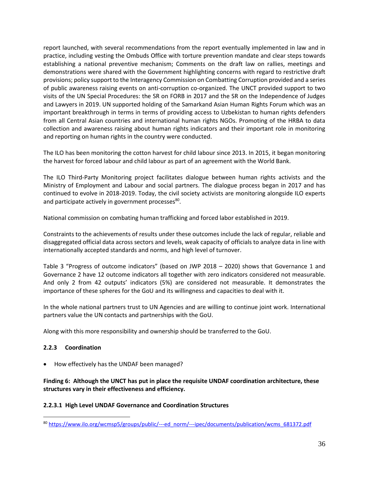report launched, with several recommendations from the report eventually implemented in law and in practice, including vesting the Ombuds Office with torture prevention mandate and clear steps towards establishing a national preventive mechanism; Comments on the draft law on rallies, meetings and demonstrations were shared with the Government highlighting concerns with regard to restrictive draft provisions; policy support to the Interagency Commission on Combatting Corruption provided and a series of public awareness raising events on anti-corruption co-organized. The UNCT provided support to two visits of the UN Special Procedures: the SR on FORB in 2017 and the SR on the Independence of Judges and Lawyers in 2019. UN supported holding of the Samarkand Asian Human Rights Forum which was an important breakthrough in terms in terms of providing access to Uzbekistan to human rights defenders from all Central Asian countries and international human rights NGOs. Promoting of the HRBA to data collection and awareness raising about human rights indicators and their important role in monitoring and reporting on human rights in the country were conducted.

The ILO has been monitoring the cotton harvest for child labour since 2013. In 2015, it began monitoring the harvest for forced labour and child labour as part of an agreement with the World Bank.

The ILO Third-Party Monitoring project facilitates dialogue between human rights activists and the Ministry of Employment and Labour and social partners. The dialogue process began in 2017 and has continued to evolve in 2018-2019. Today, the civil society activists are monitoring alongside ILO experts and participate actively in government processes<sup>80</sup>.

National commission on combating human trafficking and forced labor established in 2019.

Constraints to the achievements of results under these outcomes include the lack of regular, reliable and disaggregated official data across sectors and levels, weak capacity of officials to analyze data in line with internationally accepted standards and norms, and high level of turnover.

Table 3 "Progress of outcome indicators" (based on JWP 2018 – 2020) shows that Governance 1 and Governance 2 have 12 outcome indicators all together with zero indicators considered not measurable. And only 2 from 42 outputs' indicators (5%) are considered not measurable. It demonstrates the importance of these spheres for the GoU and its willingness and capacities to deal with it.

In the whole national partners trust to UN Agencies and are willing to continue joint work. International partners value the UN contacts and partnerships with the GoU.

Along with this more responsibility and ownership should be transferred to the GoU.

# **2.2.3 Coordination**

• How effectively has the UNDAF been managed?

### **Finding 6: Although the UNCT has put in place the requisite UNDAF coordination architecture, these structures vary in their effectiveness and efficiency.**

# **2.2.3.1 High Level UNDAF Governance and Coordination Structures**

<sup>80</sup> [https://www.ilo.org/wcmsp5/groups/public/---ed\\_norm/---ipec/documents/publication/wcms\\_681372.pdf](https://www.ilo.org/wcmsp5/groups/public/---ed_norm/---ipec/documents/publication/wcms_681372.pdf)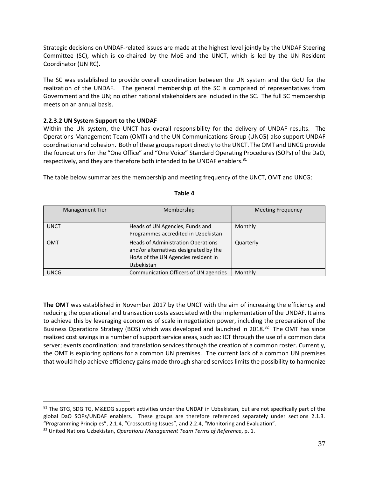Strategic decisions on UNDAF-related issues are made at the highest level jointly by the UNDAF Steering Committee (SC), which is co-chaired by the MoE and the UNCT, which is led by the UN Resident Coordinator (UN RC).

The SC was established to provide overall coordination between the UN system and the GoU for the realization of the UNDAF. The general membership of the SC is comprised of representatives from Government and the UN; no other national stakeholders are included in the SC. The full SC membership meets on an annual basis.

#### **2.2.3.2 UN System Support to the UNDAF**

Within the UN system, the UNCT has overall responsibility for the delivery of UNDAF results. The Operations Management Team (OMT) and the UN Communications Group (UNCG) also support UNDAF coordination and cohesion. Both of these groups report directly to the UNCT. The OMT and UNCG provide the foundations for the "One Office" and "One Voice" Standard Operating Procedures (SOPs) of the DaO, respectively, and they are therefore both intended to be UNDAF enablers.<sup>81</sup>

The table below summarizes the membership and meeting frequency of the UNCT, OMT and UNCG:

| <b>Management Tier</b> | Membership                            | <b>Meeting Frequency</b> |
|------------------------|---------------------------------------|--------------------------|
|                        |                                       |                          |
| <b>UNCT</b>            | Heads of UN Agencies, Funds and       | Monthly                  |
|                        | Programmes accredited in Uzbekistan   |                          |
| <b>OMT</b>             | Heads of Administration Operations    | Quarterly                |
|                        | and/or alternatives designated by the |                          |
|                        | HoAs of the UN Agencies resident in   |                          |
|                        | Uzbekistan                            |                          |
| <b>UNCG</b>            | Communication Officers of UN agencies | Monthly                  |

#### **Table 4**

**The OMT** was established in November 2017 by the UNCT with the aim of increasing the efficiency and reducing the operational and transaction costs associated with the implementation of the UNDAF. It aims to achieve this by leveraging economies of scale in negotiation power, including the preparation of the Business Operations Strategy (BOS) which was developed and launched in 2018.<sup>82</sup> The OMT has since realized cost savings in a number of support service areas, such as: ICT through the use of a common data server; events coordination; and translation services through the creation of a common roster. Currently, the OMT is exploring options for a common UN premises. The current lack of a common UN premises that would help achieve efficiency gains made through shared services limits the possibility to harmonize

<sup>&</sup>lt;sup>81</sup> The GTG, SDG TG, M&EDG support activities under the UNDAF in Uzbekistan, but are not specifically part of the global DaO SOPs/UNDAF enablers. These groups are therefore referenced separately under sections 2.1.3. "Programming Principles", 2.1.4, "Crosscutting Issues", and 2.2.4, "Monitoring and Evaluation".

<sup>82</sup> United Nations Uzbekistan, *Operations Management Team Terms of Reference*, p. 1.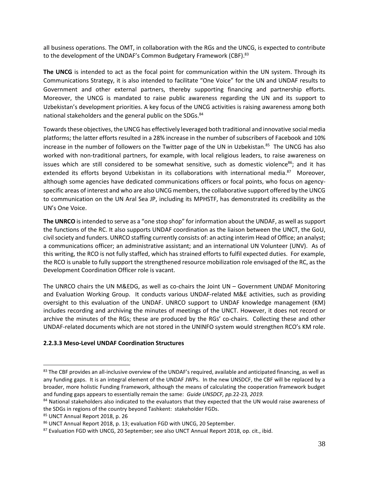all business operations. The OMT, in collaboration with the RGs and the UNCG, is expected to contribute to the development of the UNDAF's Common Budgetary Framework (CBF).<sup>83</sup>

**The UNCG** is intended to act as the focal point for communication within the UN system. Through its Communications Strategy, it is also intended to facilitate "One Voice" for the UN and UNDAF results to Government and other external partners, thereby supporting financing and partnership efforts. Moreover, the UNCG is mandated to raise public awareness regarding the UN and its support to Uzbekistan's development priorities. A key focus of the UNCG activities is raising awareness among both national stakeholders and the general public on the SDGs.<sup>84</sup>

Towards these objectives, the UNCG has effectively leveraged both traditional and innovative social media platforms; the latter efforts resulted in a 28% increase in the number of subscribers of Facebook and 10% increase in the number of followers on the Twitter page of the UN in Uzbekistan. 85 The UNCG has also worked with non-traditional partners, for example, with local religious leaders, to raise awareness on issues which are still considered to be somewhat sensitive, such as domestic violence $86$ ; and it has extended its efforts beyond Uzbekistan in its collaborations with international media.<sup>87</sup> Moreover, although some agencies have dedicated communications officers or focal points, who focus on agencyspecific areas of interest and who are also UNCG members, the collaborative support offered by the UNCG to communication on the UN Aral Sea JP, including its MPHSTF, has demonstrated its credibility as the UN's One Voice.

**The UNRCO** is intended to serve as a "one stop shop" for information about the UNDAF, as well as support the functions of the RC. It also supports UNDAF coordination as the liaison between the UNCT, the GoU, civil society and funders. UNRCO staffing currently consists of: an acting interim Head of Office; an analyst; a communications officer; an administrative assistant; and an international UN Volunteer (UNV). As of this writing, the RCO is not fully staffed, which has strained efforts to fulfil expected duties. For example, the RCO is unable to fully support the strengthened resource mobilization role envisaged of the RC, as the Development Coordination Officer role is vacant.

The UNRCO chairs the UN M&EDG, as well as co-chairs the Joint UN – Government UNDAF Monitoring and Evaluation Working Group. It conducts various UNDAF-related M&E activities, such as providing oversight to this evaluation of the UNDAF. UNRCO support to UNDAF knowledge management (KM) includes recording and archiving the minutes of meetings of the UNCT. However, it does not record or archive the minutes of the RGs; these are produced by the RGs' co-chairs. Collecting these and other UNDAF-related documents which are not stored in the UNINFO system would strengthen RCO's KM role.

## **2.2.3.3 Meso-Level UNDAF Coordination Structures**

 $83$  The CBF provides an all-inclusive overview of the UNDAF's required, available and anticipated financing, as well as any funding gaps. It is an integral element of the UNDAF JWPs. In the new UNSDCF, the CBF will be replaced by a broader, more holistic Funding Framework, although the means of calculating the cooperation framework budget and funding gaps appears to essentially remain the same: *Guide UNSDCF, pp.*22-23*, 2019.*

<sup>84</sup> National stakeholders also indicated to the evaluators that they expected that the UN would raise awareness of the SDGs in regions of the country beyond Tashkent: stakeholder FGDs.

<sup>85</sup> UNCT Annual Report 2018, p. 26

<sup>86</sup> UNCT Annual Report 2018, p. 13; evaluation FGD with UNCG, 20 September.

<sup>87</sup> Evaluation FGD with UNCG, 20 September; see also UNCT Annual Report 2018, op. cit., ibid.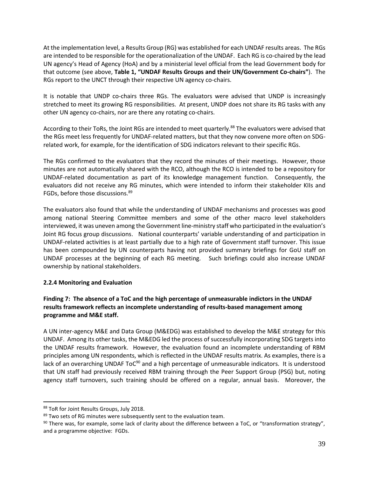At the implementation level, a Results Group (RG) was established for each UNDAF results areas. The RGs are intended to be responsible for the operationalization of the UNDAF. Each RG is co-chaired by the lead UN agency's Head of Agency (HoA) and by a ministerial level official from the lead Government body for that outcome (see above, **Table 1, "UNDAF Results Groups and their UN/Government Co-chairs"**). The RGs report to the UNCT through their respective UN agency co-chairs.

It is notable that UNDP co-chairs three RGs. The evaluators were advised that UNDP is increasingly stretched to meet its growing RG responsibilities. At present, UNDP does not share its RG tasks with any other UN agency co-chairs, nor are there any rotating co-chairs.

According to their ToRs, the Joint RGs are intended to meet quarterly.<sup>88</sup> The evaluators were advised that the RGs meet less frequently for UNDAF-related matters, but that they now convene more often on SDGrelated work, for example, for the identification of SDG indicators relevant to their specific RGs.

The RGs confirmed to the evaluators that they record the minutes of their meetings. However, those minutes are not automatically shared with the RCO, although the RCO is intended to be a repository for UNDAF-related documentation as part of its knowledge management function. Consequently, the evaluators did not receive any RG minutes, which were intended to inform their stakeholder KIIs and FGDs, before those discussions.<sup>89</sup>

The evaluators also found that while the understanding of UNDAF mechanisms and processes was good among national Steering Committee members and some of the other macro level stakeholders interviewed, it was uneven among the Government line-ministry staff who participated in the evaluation's Joint RG focus group discussions. National counterparts' variable understanding of and participation in UNDAF-related activities is at least partially due to a high rate of Government staff turnover. This issue has been compounded by UN counterparts having not provided summary briefings for GoU staff on UNDAF processes at the beginning of each RG meeting. Such briefings could also increase UNDAF ownership by national stakeholders.

## **2.2.4 Monitoring and Evaluation**

## **Finding 7: The absence of a ToC and the high percentage of unmeasurable indictors in the UNDAF results framework reflects an incomplete understanding of results-based management among programme and M&E staff.**

A UN inter-agency M&E and Data Group (M&EDG) was established to develop the M&E strategy for this UNDAF. Among its other tasks, the M&EDG led the process of successfully incorporating SDG targets into the UNDAF results framework. However, the evaluation found an incomplete understanding of RBM principles among UN respondents, which is reflected in the UNDAF results matrix. As examples, there is a lack of an overarching UNDAF ToC $90$  and a high percentage of unmeasurable indicators. It is understood that UN staff had previously received RBM training through the Peer Support Group (PSG) but, noting agency staff turnovers, such training should be offered on a regular, annual basis. Moreover, the

<sup>88</sup> ToR for Joint Results Groups, July 2018.

<sup>&</sup>lt;sup>89</sup> Two sets of RG minutes were subsequently sent to the evaluation team.

 $90$  There was, for example, some lack of clarity about the difference between a ToC, or "transformation strategy", and a programme objective: FGDs.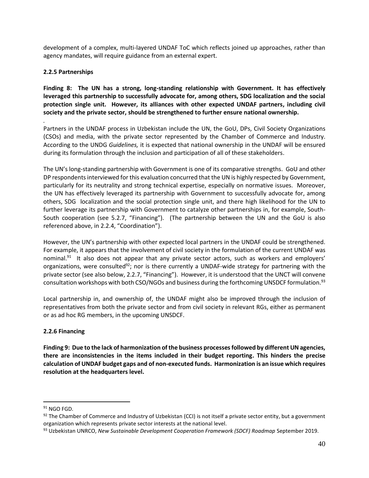development of a complex, multi-layered UNDAF ToC which reflects joined up approaches, rather than agency mandates, will require guidance from an external expert.

## **2.2.5 Partnerships**

**Finding 8: The UN has a strong, long-standing relationship with Government. It has effectively leveraged this partnership to successfully advocate for, among others, SDG localization and the social protection single unit. However, its alliances with other expected UNDAF partners, including civil society and the private sector, should be strengthened to further ensure national ownership.**

*.* Partners in the UNDAF process in Uzbekistan include the UN, the GoU, DPs, Civil Society Organizations (CSOs) and media, with the private sector represented by the Chamber of Commerce and Industry. According to the UNDG *Guidelines,* it is expected that national ownership in the UNDAF will be ensured during its formulation through the inclusion and participation of all of these stakeholders.

The UN's long-standing partnership with Government is one of its comparative strengths. GoU and other DP respondents interviewed for this evaluation concurred that the UN is highly respected by Government, particularly for its neutrality and strong technical expertise, especially on normative issues. Moreover, the UN has effectively leveraged its partnership with Government to successfully advocate for, among others, SDG localization and the social protection single unit, and there high likelihood for the UN to further leverage its partnership with Government to catalyze other partnerships in, for example, South-South cooperation (see 5.2.7, "Financing"). (The partnership between the UN and the GoU is also referenced above, in 2.2.4, "Coordination").

However, the UN's partnership with other expected local partners in the UNDAF could be strengthened. For example, it appears that the involvement of civil society in the formulation of the current UNDAF was nominal.<sup>91</sup> It also does not appear that any private sector actors, such as workers and employers' organizations, were consulted<sup>92</sup>; nor is there currently a UNDAF-wide strategy for partnering with the private sector (see also below, 2.2.7, "Financing"). However, it is understood that the UNCT will convene consultation workshops with both CSO/NGOs and business during the forthcoming UNSDCF formulation.<sup>93</sup>

Local partnership in, and ownership of, the UNDAF might also be improved through the inclusion of representatives from both the private sector and from civil society in relevant RGs, either as permanent or as ad hoc RG members, in the upcoming UNSDCF.

## **2.2.6 Financing**

**Finding 9: Due to the lack of harmonization of the business processes followed by different UN agencies, there are inconsistencies in the items included in their budget reporting. This hinders the precise calculation of UNDAF budget gaps and of non-executed funds. Harmonization is an issue which requires resolution at the headquarters level.**

 $91$  NGO FGD.

 $92$  The Chamber of Commerce and Industry of Uzbekistan (CCI) is not itself a private sector entity, but a government organization which represents private sector interests at the national level.

<sup>93</sup> Uzbekistan UNRCO, *New Sustainable Development Cooperation Framework (SDCF) Roadmap* September 2019.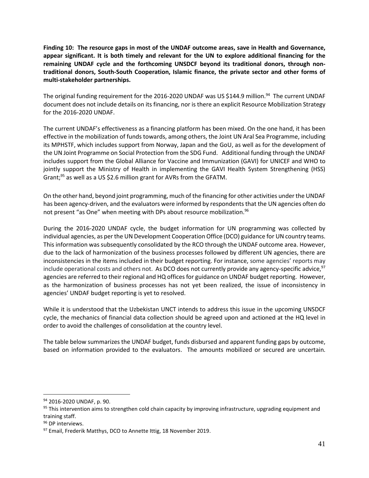**Finding 10: The resource gaps in most of the UNDAF outcome areas, save in Health and Governance, appear significant. It is both timely and relevant for the UN to explore additional financing for the remaining UNDAF cycle and the forthcoming UNSDCF beyond its traditional donors, through nontraditional donors, South-South Cooperation, Islamic finance, the private sector and other forms of multi-stakeholder partnerships.**

The original funding requirement for the 2016-2020 UNDAF was US \$144.9 million.<sup>94</sup> The current UNDAF document does not include details on its financing, nor is there an explicit Resource Mobilization Strategy for the 2016-2020 UNDAF.

The current UNDAF's effectiveness as a financing platform has been mixed. On the one hand, it has been effective in the mobilization of funds towards, among others, the Joint UN Aral Sea Programme, including its MPHSTF, which includes support from Norway, Japan and the GoU, as well as for the development of the UN Joint Programme on Social Protection from the SDG Fund. Additional funding through the UNDAF includes support from the Global Alliance for Vaccine and Immunization (GAVI) for UNICEF and WHO to jointly support the Ministry of Health in implementing the GAVI Health System Strengthening (HSS) Grant;<sup>95</sup> as well as a US \$2.6 million grant for AVRs from the GFATM.

On the other hand, beyond joint programming, much of the financing for other activities under the UNDAF has been agency-driven, and the evaluators were informed by respondents that the UN agencies often do not present "as One" when meeting with DPs about resource mobilization.<sup>96</sup>

During the 2016-2020 UNDAF cycle, the budget information for UN programming was collected by individual agencies, as per the UN Development Cooperation Office (DCO) guidance for UN country teams. This information was subsequently consolidated by the RCO through the UNDAF outcome area. However, due to the lack of harmonization of the business processes followed by different UN agencies, there are inconsistencies in the items included in their budget reporting. For instance, some agencies' reports may include operational costs and others not. As DCO does not currently provide any agency-specific advice,<sup>97</sup> agencies are referred to their regional and HQ offices for guidance on UNDAF budget reporting. However, as the harmonization of business processes has not yet been realized, the issue of inconsistency in agencies' UNDAF budget reporting is yet to resolved.

While it is understood that the Uzbekistan UNCT intends to address this issue in the upcoming UNSDCF cycle, the mechanics of financial data collection should be agreed upon and actioned at the HQ level in order to avoid the challenges of consolidation at the country level.

The table below summarizes the UNDAF budget, funds disbursed and apparent funding gaps by outcome, based on information provided to the evaluators. The amounts mobilized or secured are uncertain.

<sup>94</sup> 2016-2020 UNDAF, p. 90.

 $95$  This intervention aims to strengthen cold chain capacity by improving infrastructure, upgrading equipment and training staff.

<sup>&</sup>lt;sup>96</sup> DP interviews.

<sup>97</sup> Email, Frederik Matthys, DCO to Annette Ittig, 18 November 2019.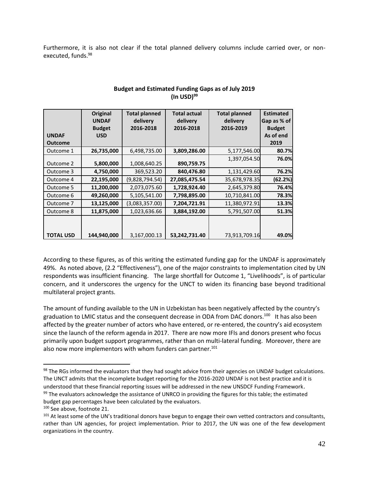Furthermore, it is also not clear if the total planned delivery columns include carried over, or nonexecuted, funds.<sup>98</sup>

|                  | Original<br><b>UNDAF</b><br><b>Budget</b> | <b>Total planned</b><br>delivery<br>2016-2018 | <b>Total actual</b><br>delivery<br>2016-2018 | <b>Total planned</b><br>delivery<br>2016-2019 | <b>Estimated</b><br>Gap as % of<br><b>Budget</b> |
|------------------|-------------------------------------------|-----------------------------------------------|----------------------------------------------|-----------------------------------------------|--------------------------------------------------|
| <b>UNDAF</b>     | <b>USD</b>                                |                                               |                                              |                                               | As of end                                        |
| <b>Outcome</b>   |                                           |                                               |                                              |                                               | 2019                                             |
| Outcome 1        | 26,735,000                                | 6,498,735.00                                  | 3,809,286.00                                 | 5,177,546.00                                  | 80.7%                                            |
| Outcome 2        | 5,800,000                                 | 1,008,640.25                                  | 890,759.75                                   | 1,397,054.50                                  | 76.0%                                            |
| Outcome 3        | 4,750,000                                 | 369,523.20                                    | 840,476.80                                   | 1,131,429.60                                  | 76.2%                                            |
| Outcome 4        | 22,195,000                                | (9,828,794.54)                                | 27,085,475.54                                | 35,678,978.35                                 | (62.2%)                                          |
| Outcome 5        | 11,200,000                                | 2,073,075.60                                  | 1,728,924.40                                 | 2,645,379.80                                  | 76.4%                                            |
| Outcome 6        | 49,260,000                                | 5,105,541.00                                  | 7,798,895.00                                 | 10,710,841.00                                 | 78.3%                                            |
| Outcome 7        | 13,125,000                                | (3,083,357.00)                                | 7,204,721.91                                 | 11,380,972.91                                 | 13.3%                                            |
| Outcome 8        | 11,875,000                                | 1,023,636.66                                  | 3,884,192.00                                 | 5,791,507.00                                  | 51.3%                                            |
| <b>TOTAL USD</b> | 144,940,000                               | 3,167,000.13                                  | 53,242,731.40                                | 73,913,709.16                                 | 49.0%                                            |

## **Budget and Estimated Funding Gaps as of July 2019 (In USD)<sup>99</sup>**

According to these figures, as of this writing the estimated funding gap for the UNDAF is approximately 49%. As noted above, (2.2 "Effectiveness"), one of the major constraints to implementation cited by UN respondents was insufficient financing. The large shortfall for Outcome 1, "Livelihoods", is of particular concern, and it underscores the urgency for the UNCT to widen its financing base beyond traditional multilateral project grants.

The amount of funding available to the UN in Uzbekistan has been negatively affected by the country's graduation to LMIC status and the consequent decrease in ODA from DAC donors.<sup>100</sup> It has also been affected by the greater number of actors who have entered, or re-entered, the country's aid ecosystem since the launch of the reform agenda in 2017. There are now more IFIs and donors present who focus primarily upon budget support programmes, rather than on multi-lateral funding. Moreover, there are also now more implementors with whom funders can partner.<sup>101</sup>

<sup>&</sup>lt;sup>98</sup> The RGs informed the evaluators that they had sought advice from their agencies on UNDAF budget calculations. The UNCT admits that the incomplete budget reporting for the 2016-2020 UNDAF is not best practice and it is understood that these financial reporting issues will be addressed in the new UNSDCF Funding Framework. <sup>99</sup> The evaluators acknowledge the assistance of UNRCO in providing the figures for this table; the estimated budget gap percentages have been calculated by the evaluators.

<sup>100</sup> See above, footnote 21.

<sup>&</sup>lt;sup>101</sup> At least some of the UN's traditional donors have begun to engage their own vetted contractors and consultants, rather than UN agencies, for project implementation. Prior to 2017, the UN was one of the few development organizations in the country.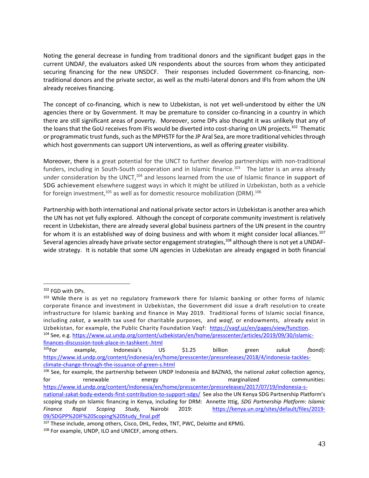Noting the general decrease in funding from traditional donors and the significant budget gaps in the current UNDAF, the evaluators asked UN respondents about the sources from whom they anticipated securing financing for the new UNSDCF. Their responses included Government co-financing, nontraditional donors and the private sector, as well as the multi-lateral donors and IFIs from whom the UN already receives financing.

The concept of co-financing, which is new to Uzbekistan, is not yet well-understood by either the UN agencies there or by Government. It may be premature to consider co-financing in a country in which there are still significant areas of poverty. Moreover, some DPs also thought it was unlikely that any of the loans that the GoU receives from IFIs would be diverted into cost-sharing on UN projects.<sup>102</sup> Thematic or programmatic trust funds, such as the MPHSTF for the JP Aral Sea, are more traditional vehicles through which host governments can support UN interventions, as well as offering greater visibility.

Moreover, there is a great potential for the UNCT to further develop partnerships with non-traditional funders, including in South-South cooperation and in Islamic finance.<sup>103</sup> The latter is an area already under consideration by the UNCT,<sup>104</sup> and lessons learned from the use of Islamic finance in support of SDG achievement elsewhere suggest ways in which it might be utilized in Uzbekistan, both as a vehicle for foreign investment, $^{105}$  as well as for domestic resource mobilization (DRM). $^{106}$ 

Partnership with both international and national private sector actors in Uzbekistan is another area which the UN has not yet fully explored. Although the concept of corporate community investment is relatively recent in Uzbekistan, there are already several global business partners of the UN present in the country for whom it is an established way of doing business and with whom it might consider local alliances.<sup>107</sup> Several agencies already have private sector engagement strategies,<sup>108</sup> although there is not yet a UNDAFwide strategy. It is notable that some UN agencies in Uzbekistan are already engaged in both financial

<sup>102</sup> FGD with DPs.

<sup>103</sup> While there is as yet no regulatory framework there for Islamic banking or other forms of Islamic corporate finance and investment in Uzbekistan, the Government did issue a draft resolution to create infrastructure for Islamic banking and finance in May 2019. Traditional forms of Islamic social finance, including *zakat,* a wealth tax used for charitable purposes,and *waqf,* or endowments, already exist in Uzbekistan, for example, the Public Charity Foundation Vaqf: [https://vaqf.uz/en/pages/view/function.](https://vaqf.uz/en/pages/view/function) <sup>104</sup> See, e.g. [https://www.uz.undp.org/content/uzbekistan/en/home/presscenter/articles/2019/09/30/islamic-](https://www.uz.undp.org/content/uzbekistan/en/home/presscenter/articles/2019/09/30/islamic-finances-discussion-took-place-in-tashkent-.html)

[finances-discussion-took-place-in-tashkent-.html](https://www.uz.undp.org/content/uzbekistan/en/home/presscenter/articles/2019/09/30/islamic-finances-discussion-took-place-in-tashkent-.html)

<sup>105</sup>For example, Indonesia's US \$1.25 billion green *sukuk (*bond): [https://www.id.undp.org/content/indonesia/en/home/presscenter/pressreleases/2018/4/indonesia-tackles](https://www.id.undp.org/content/indonesia/en/home/presscenter/pressreleases/2018/4/indonesia-tackles-climate-change-through-the-issuance-of-green-s.html)[climate-change-through-the-issuance-of-green-s.html](https://www.id.undp.org/content/indonesia/en/home/presscenter/pressreleases/2018/4/indonesia-tackles-climate-change-through-the-issuance-of-green-s.html)

<sup>106</sup> See, for example, the partnership between UNDP Indonesia and BAZNAS, the national *zakat* collection agency, for the renewable the energy the energinalized communities: [https://www.id.undp.org/content/indonesia/en/home/presscenter/pressreleases/2017/07/19/indonesia-s](https://www.id.undp.org/content/indonesia/en/home/presscenter/pressreleases/2017/07/19/indonesia-s-national-zakat-body-extends-first-contribution-to-support-sdgs/)[national-zakat-body-extends-first-contribution-to-support-sdgs/](https://www.id.undp.org/content/indonesia/en/home/presscenter/pressreleases/2017/07/19/indonesia-s-national-zakat-body-extends-first-contribution-to-support-sdgs/) See also the UN Kenya SDG Partnership Platform's scoping study on Islamic financing in Kenya, including for DRM: Annette Ittig, *SDG Partnership Platform: Islamic Finance Rapid Scoping Study,* Nairobi 2019: [https://kenya.un.org/sites/default/files/2019-](https://kenya.un.org/sites/default/files/2019-09/SDGPP%20IF%20Scoping%20Study_final.pdf) [09/SDGPP%20IF%20Scoping%20Study\\_final.pdf](https://kenya.un.org/sites/default/files/2019-09/SDGPP%20IF%20Scoping%20Study_final.pdf)

<sup>&</sup>lt;sup>107</sup> These include, among others, Cisco, DHL, Fedex, TNT, PWC, Deloitte and KPMG.

<sup>108</sup> For example, UNDP, ILO and UNICEF, among others.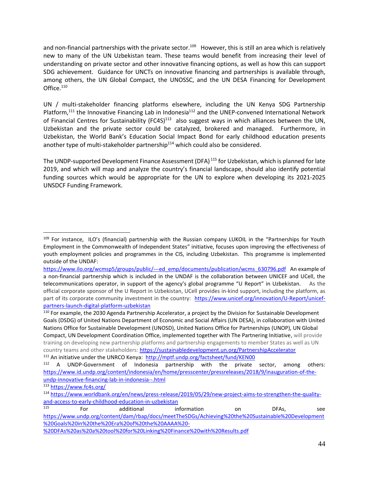and non-financial partnerships with the private sector.<sup>109</sup> However, this is still an area which is relatively new to many of the UN Uzbekistan team. These teams would benefit from increasing their level of understanding on private sector and other innovative financing options, as well as how this can support SDG achievement. Guidance for UNCTs on innovative financing and partnerships is available through, among others, the UN Global Compact, the UNOSSC, and the UN DESA Financing for Development Office.<sup>110</sup>

UN / multi-stakeholder financing platforms elsewhere, including the UN Kenya SDG Partnership Platform,<sup>111</sup> the Innovative Financing Lab in Indonesia<sup>112</sup> and the UNEP-convened International Network of Financial Centres for Sustainability (FC4S)<sup>113</sup> also suggest ways in which alliances between the UN, Uzbekistan and the private sector could be catalyzed, brokered and managed. Furthermore, in Uzbekistan, the World Bank's Education Social Impact Bond for early childhood education presents another type of multi-stakeholder partnership<sup>114</sup> which could also be considered.

The UNDP-supported Development Finance Assessment (DFA)<sup>115</sup> for Uzbekistan, which is planned for late 2019, and which will map and analyze the country's financial landscape, should also identify potential funding sources which would be appropriate for the UN to explore when developing its 2021-2025 UNSDCF Funding Framework.

<sup>&</sup>lt;sup>109</sup> For instance, ILO's (financial) partnership with the Russian company LUKOIL in the "Partnerships for Youth Employment in the Commonwealth of Independent States" initiative, focuses upon improving the effectiveness of youth employment policies and programmes in the CIS, including Uzbekistan. This programme is implemented outside of the UNDAF:

[https://www.ilo.org/wcmsp5/groups/public/---ed\\_emp/documents/publication/wcms\\_630796.pdf](https://www.ilo.org/wcmsp5/groups/public/---ed_emp/documents/publication/wcms_630796.pdf) An example of a non-financial partnership which is included in the UNDAF is the collaboration between UNICEF and UCell, the telecommunications operator, in support of the agency's global programme "U Report" in Uzbekistan. As the official corporate sponsor of the U Report in Uzbekistan, UCell provides in-kind support, including the platform, as part of its corporate community investment in the country: [https://www.unicef.org/innovation/U-Report/unicef](https://www.unicef.org/innovation/U-Report/unicef-partners-launch-digital-platform-uzbekistan)[partners-launch-digital-platform-uzbekistan](https://www.unicef.org/innovation/U-Report/unicef-partners-launch-digital-platform-uzbekistan)

<sup>110</sup> For example, the 2030 Agenda Partnership Accelerator, a project by the Division for Sustainable Development Goals (DSDG) of United Nations Department of Economic and Social Affairs (UN DESA), in collaboration with United Nations Office for Sustainable Development (UNOSD), United Nations Office for Partnerships (UNOP), UN Global Compact, UN Development Coordination Office, implemented together with The Partnering Initiative, will provide training on developing new partnership platforms and partnership engagements to member States as well as UN country teams and other stakeholders:<https://sustainabledevelopment.un.org/PartnershipAccelerator>

<sup>&</sup>lt;sup>111</sup> An initiative under the UNRCO Kenya: <http://mptf.undp.org/factsheet/fund/KEN00>

<sup>112</sup> A UNDP-Government of Indonesia partnership with the private sector, among others: [https://www.id.undp.org/content/indonesia/en/home/presscenter/pressreleases/2018/9/inauguration-of-the](https://www.id.undp.org/content/indonesia/en/home/presscenter/pressreleases/2018/9/inauguration-of-the-undp-innovative-financing-lab-in-indonesia--.html)[undp-innovative-financing-lab-in-indonesia--.html](https://www.id.undp.org/content/indonesia/en/home/presscenter/pressreleases/2018/9/inauguration-of-the-undp-innovative-financing-lab-in-indonesia--.html)

<sup>113</sup> <https://www.fc4s.org/>

<sup>114</sup> [https://www.worldbank.org/en/news/press-release/2019/05/29/new-project-aims-to-strengthen-the-quality](https://www.worldbank.org/en/news/press-release/2019/05/29/new-project-aims-to-strengthen-the-quality-and-access-to-early-childhood-education-in-uzbekistan)[and-access-to-early-childhood-education-in-uzbekistan](https://www.worldbank.org/en/news/press-release/2019/05/29/new-project-aims-to-strengthen-the-quality-and-access-to-early-childhood-education-in-uzbekistan)

<sup>&</sup>lt;sup>115</sup> For additional information on DFAs, see [https://www.undp.org/content/dam/rbap/docs/meetTheSDGs/Achieving%20the%20Sustainable%20Development](https://www.undp.org/content/dam/rbap/docs/meetTheSDGs/Achieving%20the%20Sustainable%20Development%20Goals%20in%20the%20Era%20of%20the%20AAAA%20-%20DFAs%20as%20a%20tool%20for%20Linking%20Finance%20with%20Results.pdf) [%20Goals%20in%20the%20Era%20of%20the%20AAAA%20-](https://www.undp.org/content/dam/rbap/docs/meetTheSDGs/Achieving%20the%20Sustainable%20Development%20Goals%20in%20the%20Era%20of%20the%20AAAA%20-%20DFAs%20as%20a%20tool%20for%20Linking%20Finance%20with%20Results.pdf)

[<sup>%20</sup>DFAs%20as%20a%20tool%20for%20Linking%20Finance%20with%20Results.pdf](https://www.undp.org/content/dam/rbap/docs/meetTheSDGs/Achieving%20the%20Sustainable%20Development%20Goals%20in%20the%20Era%20of%20the%20AAAA%20-%20DFAs%20as%20a%20tool%20for%20Linking%20Finance%20with%20Results.pdf)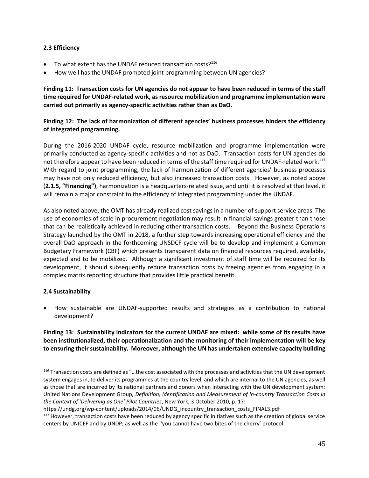#### **2.3 Efficiency**

- To what extent has the UNDAF reduced transaction costs?<sup>116</sup>
- How well has the UNDAF promoted joint programming between UN agencies?

**Finding 11: Transaction costs for UN agencies do not appear to have been reduced in terms of the staff time required for UNDAF-related work, as resource mobilization and programme implementation were carried out primarily as agency-specific activities rather than as DaO.**

## **Finding 12: The lack of harmonization of different agencies' business processes hinders the efficiency of integrated programming.**

During the 2016-2020 UNDAF cycle, resource mobilization and programme implementation were primarily conducted as agency-specific activities and not as DaO. Transaction costs for UN agencies do not therefore appear to have been reduced in terms of the staff time required for UNDAF-related work.<sup>117</sup> With regard to joint programming, the lack of harmonization of different agencies' business processes may have not only reduced efficiency, but also increased transaction costs. However, as noted above (**2.1.5, "Financing")**, harmonization is a headquarters-related issue, and until it is resolved at that level, it will remain a major constraint to the efficiency of integrated programming under the UNDAF.

As also noted above, the OMT has already realized cost savings in a number of support service areas. The use of economies of scale in procurement negotiation may result in financial savings greater than those that can be realistically achieved in reducing other transaction costs. Beyond the Business Operations Strategy launched by the OMT in 2018, a further step towards increasing operational efficiency and the overall DaO approach in the forthcoming UNSDCF cycle will be to develop and implement a Common Budgetary Framework (CBF) which presents transparent data on financial resources required, available, expected and to be mobilized. Although a significant investment of staff time will be required for its development, it should subsequently reduce transaction costs by freeing agencies from engaging in a complex matrix reporting structure that provides little practical benefit.

## **2.4 Sustainability**

• How sustainable are UNDAF-supported results and strategies as a contribution to national development?

## **Finding 13: Sustainability indicators for the current UNDAF are mixed: while some of its results have been institutionalized, their operationalization and the monitoring of their implementation will be key to ensuring their sustainability. Moreover, although the UN has undertaken extensive capacity building**

[https://undg.org/wp-content/uploads/2014/06/UNDG\\_incountry\\_transaction\\_costs\\_FINAL3.pdf](https://undg.org/wp-content/uploads/2014/06/UNDG_incountry_transaction_costs_FINAL3.pdf)

<sup>&</sup>lt;sup>116</sup> Transaction costs are defined as "...the cost associated with the processes and activities that the UN development system engages in, to deliver its programmes at the country level, and which are internal to the UN agencies, as well as those that are incurred by its national partners and donors when interacting with the UN development system: United Nations Development Group, *Definition, Identification and Measurement of In-country Transaction Costs in the Context of 'Delivering as One' Pilot Countries*, New York, 3 October 2010, p. 17:

<sup>&</sup>lt;sup>117</sup> However, transaction costs have been reduced by agency specific initiatives such as the creation of global service centers by UNICEF and by UNDP, as well as the 'you cannot have two bites of the cherry' protocol.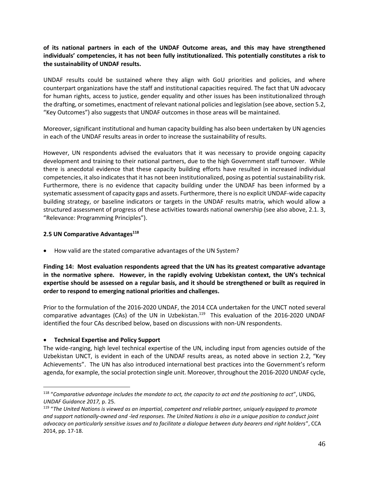## **of its national partners in each of the UNDAF Outcome areas, and this may have strengthened individuals' competencies, it has not been fully institutionalized. This potentially constitutes a risk to the sustainability of UNDAF results.**

UNDAF results could be sustained where they align with GoU priorities and policies, and where counterpart organizations have the staff and institutional capacities required. The fact that UN advocacy for human rights, access to justice, gender equality and other issues has been institutionalized through the drafting, or sometimes, enactment of relevant national policies and legislation (see above, section 5.2, "Key Outcomes") also suggests that UNDAF outcomes in those areas will be maintained.

Moreover, significant institutional and human capacity building has also been undertaken by UN agencies in each of the UNDAF results areas in order to increase the sustainability of results.

However, UN respondents advised the evaluators that it was necessary to provide ongoing capacity development and training to their national partners, due to the high Government staff turnover. While there is anecdotal evidence that these capacity building efforts have resulted in increased individual competencies, it also indicates that it has not been institutionalized, posing as potential sustainability risk. Furthermore, there is no evidence that capacity building under the UNDAF has been informed by a systematic assessment of capacity gaps and assets. Furthermore, there is no explicit UNDAF-wide capacity building strategy, or baseline indicators or targets in the UNDAF results matrix, which would allow a structured assessment of progress of these activities towards national ownership (see also above, 2.1. 3, "Relevance: Programming Principles").

#### **2.5 UN Comparative Advantages<sup>118</sup>**

• How valid are the stated comparative advantages of the UN System?

**Finding 14: Most evaluation respondents agreed that the UN has its greatest comparative advantage in the normative sphere. However, in the rapidly evolving Uzbekistan context, the UN's technical expertise should be assessed on a regular basis, and it should be strengthened or built as required in order to respond to emerging national priorities and challenges.**

Prior to the formulation of the 2016-2020 UNDAF, the 2014 CCA undertaken for the UNCT noted several comparative advantages (CAs) of the UN in Uzbekistan.<sup>119</sup> This evaluation of the 2016-2020 UNDAF identified the four CAs described below, based on discussions with non-UN respondents.

#### • **Technical Expertise and Policy Support**

The wide-ranging, high level technical expertise of the UN, including input from agencies outside of the Uzbekistan UNCT, is evident in each of the UNDAF results areas, as noted above in section 2.2, "Key Achievements". The UN has also introduced international best practices into the Government's reform agenda, for example, the social protection single unit. Moreover, throughout the 2016-2020 UNDAF cycle,

<sup>118</sup> "*Comparative advantage includes the mandate to act, the capacity to act and the positioning to act*", UNDG, *UNDAF Guidance 2017,* p. 25.

<sup>&</sup>lt;sup>119</sup> "The United Nations is viewed as an impartial, competent and reliable partner, uniquely equipped to promote *and support nationally-owned and -led responses. The United Nations is also in a unique position to conduct joint advocacy on particularly sensitive issues and to facilitate a dialogue between duty bearers and right holders*", CCA 2014, pp. 17-18.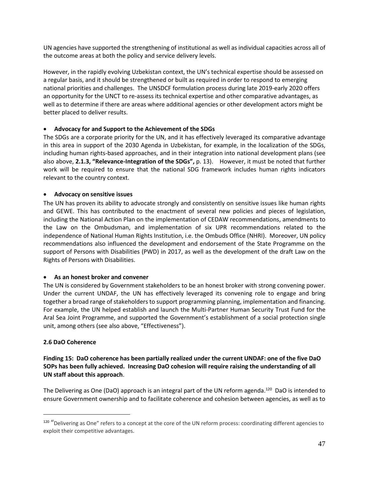UN agencies have supported the strengthening of institutional as well as individual capacities across all of the outcome areas at both the policy and service delivery levels.

However, in the rapidly evolving Uzbekistan context, the UN's technical expertise should be assessed on a regular basis, and it should be strengthened or built as required in order to respond to emerging national priorities and challenges. The UNSDCF formulation process during late 2019-early 2020 offers an opportunity for the UNCT to re-assess its technical expertise and other comparative advantages, as well as to determine if there are areas where additional agencies or other development actors might be better placed to deliver results.

### • **Advocacy for and Support to the Achievement of the SDGs**

The SDGs are a corporate priority for the UN, and it has effectively leveraged its comparative advantage in this area in support of the 2030 Agenda in Uzbekistan, for example, in the localization of the SDGs, including human rights-based approaches, and in their integration into national development plans (see also above, **2.1.3, "Relevance-Integration of the SDGs",** p. 13). However, it must be noted that further work will be required to ensure that the national SDG framework includes human rights indicators relevant to the country context.

### • **Advocacy on sensitive issues**

The UN has proven its ability to advocate strongly and consistently on sensitive issues like human rights and GEWE. This has contributed to the enactment of several new policies and pieces of legislation, including the National Action Plan on the implementation of CEDAW recommendations, amendments to the Law on the Ombudsman, and implementation of six UPR recommendations related to the independence of National Human Rights Institution, i.e. the Ombuds Office (NHRI). Moreover, UN policy recommendations also influenced the development and endorsement of the State Programme on the support of Persons with Disabilities (PWD) in 2017, as well as the development of the draft Law on the Rights of Persons with Disabilities.

## • **As an honest broker and convener**

The UN is considered by Government stakeholders to be an honest broker with strong convening power. Under the current UNDAF, the UN has effectively leveraged its convening role to engage and bring together a broad range of stakeholders to support programming planning, implementation and financing. For example, the UN helped establish and launch the Multi-Partner Human Security Trust Fund for the Aral Sea Joint Programme, and supported the Government's establishment of a social protection single unit, among others (see also above, "Effectiveness").

#### **2.6 DaO Coherence**

**Finding 15: DaO coherence has been partially realized under the current UNDAF: one of the five DaO SOPs has been fully achieved. Increasing DaO cohesion will require raising the understanding of all UN staff about this approach**.

The Delivering as One (DaO) approach is an integral part of the UN reform agenda.<sup>120</sup> DaO is intended to ensure Government ownership and to facilitate coherence and cohesion between agencies, as well as to

<sup>&</sup>lt;sup>120</sup> "Delivering as One" refers to a concept at the core of the UN reform process: coordinating different agencies to exploit their competitive advantages.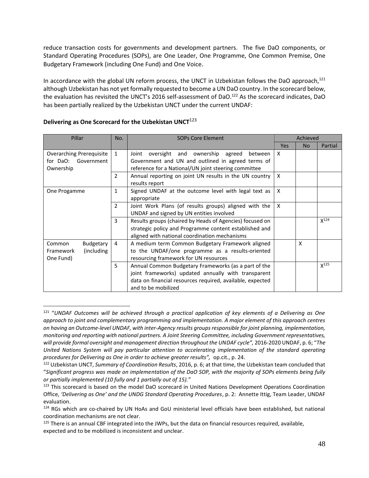reduce transaction costs for governments and development partners. The five DaO components, or Standard Operating Procedures (SOPs), are One Leader, One Programme, One Common Premise, One Budgetary Framework (including One Fund) and One Voice.

In accordance with the global UN reform process, the UNCT in Uzbekistan follows the DaO approach,<sup>121</sup> although Uzbekistan has not yet formally requested to become a UN DaO country. In the scorecard below, the evaluation has revisited the UNCT's 2016 self-assessment of DaO.<sup>122</sup> As the scorecard indicates, DaO has been partially realized by the Uzbekistan UNCT under the current UNDAF:

| Pillar                                        | No.                                              | <b>SOPs Core Element</b>                                  |     | Achieved  |           |
|-----------------------------------------------|--------------------------------------------------|-----------------------------------------------------------|-----|-----------|-----------|
|                                               |                                                  |                                                           | Yes | <b>No</b> | Partial   |
| <b>Overarching Prerequisite</b>               | 1                                                | oversight and<br>ownership<br>agreed<br>Joint<br>between  | X   |           |           |
| for DaO: Government                           |                                                  | Government and UN and outlined in agreed terms of         |     |           |           |
| Ownership                                     |                                                  | reference for a National/UN joint steering committee      |     |           |           |
|                                               | $\overline{2}$                                   | Annual reporting on joint UN results in the UN country    | X   |           |           |
|                                               |                                                  | results report                                            |     |           |           |
| One Progamme                                  | 1                                                | Signed UNDAF at the outcome level with legal text as      | X   |           |           |
|                                               |                                                  | appropriate                                               |     |           |           |
|                                               | $\overline{2}$                                   | Joint Work Plans (of results groups) aligned with the     | X   |           |           |
|                                               |                                                  | UNDAF and signed by UN entities involved                  |     |           |           |
|                                               | 3                                                | Results groups (chaired by Heads of Agencies) focused on  |     |           | $X^{124}$ |
|                                               |                                                  | strategic policy and Programme content established and    |     |           |           |
| aligned with national coordination mechanisms |                                                  |                                                           |     |           |           |
| Budgetary<br>Common                           | 4                                                | A medium term Common Budgetary Framework aligned          |     | X         |           |
| (including)<br>Framework                      | to the UNDAF/one programme as a results-oriented |                                                           |     |           |           |
| One Fund)                                     |                                                  | resourcing framework for UN resources                     |     |           |           |
|                                               | 5                                                | Annual Common Budgetary Frameworks (as a part of the      |     |           | $X^{125}$ |
|                                               |                                                  | joint frameworks) updated annually with transparent       |     |           |           |
|                                               |                                                  | data on financial resources required, available, expected |     |           |           |
|                                               |                                                  | and to be mobilized                                       |     |           |           |

### **Delivering as One Scorecard for the Uzbekistan UNCT**<sup>123</sup>

<sup>121</sup> "*UNDAF Outcomes will be achieved through a practical application of key elements of a Delivering as One approach to joint and complementary programming and implementation. A major element of this approach centres on having an Outcome-level UNDAF, with inter-Agency results groups responsible for joint planning, implementation, monitoring and reporting with national partners. A Joint Steering Committee, including Government representatives, will provide formal oversight and management direction throughout the UNDAF cycle",* 2016-2020 UNDAF, p. 6; "*The United Nations System will pay particular attention to accelerating implementation of the standard operating procedures for Delivering as One in order to achieve greater results",* op.cit., p. 24.

<sup>122</sup> Uzbekistan UNCT, *Summary of Coordination Results*, 2016, p. 6; at that time, the Uzbekistan team concluded that "*Significant progress was made on implementation of the DaO SOP, with the majority of SOPs elements being fully or partially implemented (10 fully and 1 partially out of 15)."*

<sup>&</sup>lt;sup>123</sup> This scorecard is based on the model DaO scorecard in United Nations Development Operations Coordination Office, *'Delivering as One' and the UNDG Standard Operating Procedures*, p. 2: Annette Ittig, Team Leader, UNDAF evaluation.

<sup>&</sup>lt;sup>124</sup> RGs which are co-chaired by UN HoAs and GoU ministerial level officials have been established, but national coordination mechanisms are not clear.

 $125$  There is an annual CBF integrated into the JWPs, but the data on financial resources required, available, expected and to be mobilized is inconsistent and unclear.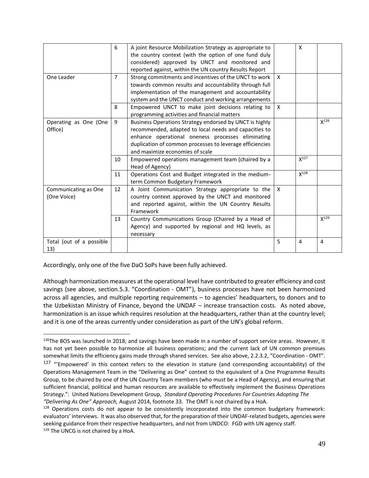|                                     | 6              | A joint Resource Mobilization Strategy as appropriate to<br>the country context (with the option of one fund duly<br>considered) approved by UNCT and monitored and<br>reported against, within the UN country Results Report                                        |              | X         |                |
|-------------------------------------|----------------|----------------------------------------------------------------------------------------------------------------------------------------------------------------------------------------------------------------------------------------------------------------------|--------------|-----------|----------------|
| One Leader                          | $\overline{7}$ | Strong commitments and incentives of the UNCT to work  <br>towards common results and accountability through full<br>implementation of the management and accountability<br>system and the UNCT conduct and working arrangements                                     | $\mathsf{x}$ |           |                |
|                                     | 8              | Empowered UNCT to make joint decisions relating to<br>programming activities and financial matters                                                                                                                                                                   | $\mathsf{x}$ |           |                |
| Operating as One (One<br>Office)    | 9              | Business Operations Strategy endorsed by UNCT is highly<br>recommended, adapted to local needs and capacities to<br>enhance operational oneness processes eliminating<br>duplication of common processes to leverage efficiencies<br>and maximize economies of scale |              |           | $X^{126}$      |
|                                     | 10             | Empowered operations management team (chaired by a<br>Head of Agency)                                                                                                                                                                                                |              | $X^{127}$ |                |
|                                     | 11             | Operations Cost and Budget integrated in the medium-<br>term Common Budgetary Framework                                                                                                                                                                              |              | $X^{128}$ |                |
| Communicating as One<br>(One Voice) | 12             | A Joint Communication Strategy appropriate to the<br>country context approved by the UNCT and monitored<br>and reported against, within the UN Country Results<br>Framework                                                                                          | X            |           |                |
|                                     | 13             | Country Communications Group (Chaired by a Head of<br>Agency) and supported by regional and HQ levels, as<br>necessary                                                                                                                                               |              |           | $X^{129}$      |
| Total (out of a possible<br>13)     |                |                                                                                                                                                                                                                                                                      | 5            | 4         | $\overline{4}$ |

Accordingly, only one of the five DaO SoPs have been fully achieved.

Although harmonization measures at the operational level have contributed to greater efficiency and cost savings (see above, section.5.3. "Coordination - OMT"), business processes have not been harmonized across all agencies, and multiple reporting requirements – to agencies' headquarters, to donors and to the Uzbekistan Ministry of Finance, beyond the UNDAF – increase transaction costs. As noted above, harmonization is an issue which requires resolution at the headquarters, rather than at the country level; and it is one of the areas currently under consideration as part of the UN's global reform.

<sup>126</sup>The BOS was launched in 2018; and savings have been made in a number of support service areas. However, it has not yet been possible to harmonize all business operations; and the current lack of UN common premises somewhat limits the efficiency gains made through shared services. See also above, 2.2.3.2, "Coordination - OMT".

 $127$  "Empowered' in this context refers to the elevation in stature (and corresponding accountability) of the Operations Management Team in the "Delivering as One" context to the equivalent of a One Programme Results Group, to be chaired by one of the UN Country Team members (who must be a Head of Agency), and ensuring that sufficient financial, political and human resources are available to effectively implement the Business Operations Strategy.": United Nations Development Group, *Standard Operating Procedures For Countries Adopting The "Delivering As One" Approach,* August 2014, footnote 33. The OMT is not chaired by a HoA.

<sup>&</sup>lt;sup>128</sup> Operations costs do not appear to be consistently incorporated into the common budgetary framework: evaluators' interviews. It was also observed that, for the preparation of their UNDAF-related budgets, agencies were seeking guidance from their respective headquarters, and not from UNDCO: FGD with UN agency staff. 129 The UNCG is not chaired by a HoA.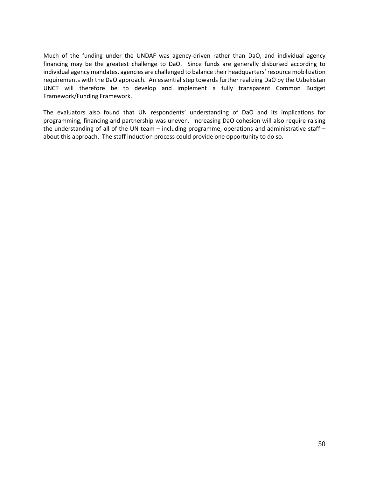Much of the funding under the UNDAF was agency-driven rather than DaO, and individual agency financing may be the greatest challenge to DaO. Since funds are generally disbursed according to individual agency mandates, agencies are challenged to balance their headquarters' resource mobilization requirements with the DaO approach. An essential step towards further realizing DaO by the Uzbekistan UNCT will therefore be to develop and implement a fully transparent Common Budget Framework/Funding Framework.

The evaluators also found that UN respondents' understanding of DaO and its implications for programming, financing and partnership was uneven. Increasing DaO cohesion will also require raising the understanding of all of the UN team – including programme, operations and administrative staff – about this approach. The staff induction process could provide one opportunity to do so.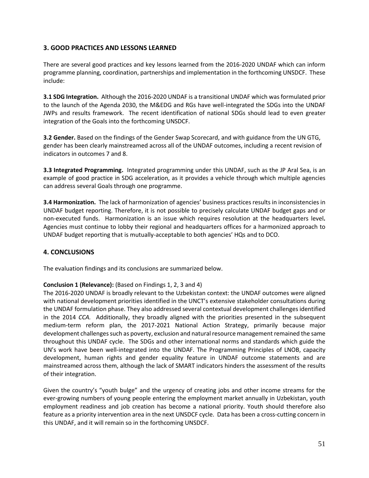## **3. GOOD PRACTICES AND LESSONS LEARNED**

There are several good practices and key lessons learned from the 2016-2020 UNDAF which can inform programme planning, coordination, partnerships and implementation in the forthcoming UNSDCF. These include:

**3.1 SDG Integration.** Although the 2016-2020 UNDAF is a transitional UNDAF which was formulated prior to the launch of the Agenda 2030, the M&EDG and RGs have well-integrated the SDGs into the UNDAF JWPs and results framework. The recent identification of national SDGs should lead to even greater integration of the Goals into the forthcoming UNSDCF.

**3.2 Gender.** Based on the findings of the Gender Swap Scorecard, and with guidance from the UN GTG, gender has been clearly mainstreamed across all of the UNDAF outcomes, including a recent revision of indicators in outcomes 7 and 8.

**3.3 Integrated Programming.** Integrated programming under this UNDAF, such as the JP Aral Sea, is an example of good practice in SDG acceleration, as it provides a vehicle through which multiple agencies can address several Goals through one programme.

**3.4 Harmonization.** The lack of harmonization of agencies' business practices results in inconsistencies in UNDAF budget reporting. Therefore, it is not possible to precisely calculate UNDAF budget gaps and or non-executed funds. Harmonization is an issue which requires resolution at the headquarters level**.**  Agencies must continue to lobby their regional and headquarters offices for a harmonized approach to UNDAF budget reporting that is mutually-acceptable to both agencies' HQs and to DCO.

## **4. CONCLUSIONS**

The evaluation findings and its conclusions are summarized below.

## **Conclusion 1 (Relevance):** (Based on Findings 1, 2, 3 and 4)

The 2016-2020 UNDAF is broadly relevant to the Uzbekistan context: the UNDAF outcomes were aligned with national development priorities identified in the UNCT's extensive stakeholder consultations during the UNDAF formulation phase. They also addressed several contextual development challenges identified in the 2014 *CCA.* Additionally, they broadly aligned with the priorities presented in the subsequent medium-term reform plan, the 2017-2021 National Action Strategy, primarily because major development challenges such as poverty, exclusion and natural resource management remained the same throughout this UNDAF cycle. The SDGs and other international norms and standards which guide the UN's work have been well-integrated into the UNDAF. The Programming Principles of LNOB, capacity development, human rights and gender equality feature in UNDAF outcome statements and are mainstreamed across them, although the lack of SMART indicators hinders the assessment of the results of their integration.

Given the country's "youth bulge" and the urgency of creating jobs and other income streams for the ever-growing numbers of young people entering the employment market annually in Uzbekistan, youth employment readiness and job creation has become a national priority. Youth should therefore also feature as a priority intervention area in the next UNSDCF cycle. Data has been a cross-cutting concern in this UNDAF, and it will remain so in the forthcoming UNSDCF.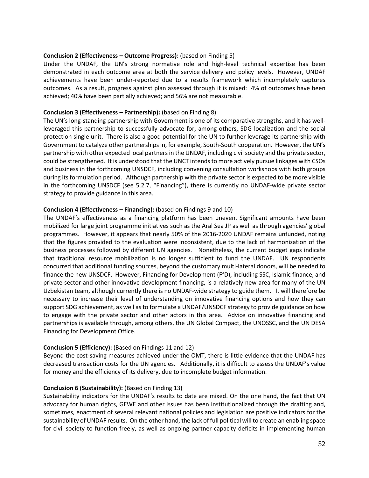#### **Conclusion 2 (Effectiveness – Outcome Progress):** (based on Finding 5)

Under the UNDAF, the UN's strong normative role and high-level technical expertise has been demonstrated in each outcome area at both the service delivery and policy levels. However, UNDAF achievements have been under-reported due to a results framework which incompletely captures outcomes. As a result, progress against plan assessed through it is mixed: 4% of outcomes have been achieved; 40% have been partially achieved; and 56% are not measurable.

#### **Conclusion 3 (Effectiveness – Partnership):** (based on Finding 8)

The UN's long-standing partnership with Government is one of its comparative strengths, and it has wellleveraged this partnership to successfully advocate for, among others, SDG localization and the social protection single unit. There is also a good potential for the UN to further leverage its partnership with Government to catalyze other partnerships in, for example, South-South cooperation. However, the UN's partnership with other expected local partners in the UNDAF, including civil society and the private sector, could be strengthened. It is understood that the UNCT intends to more actively pursue linkages with CSOs and business in the forthcoming UNSDCF, including convening consultation workshops with both groups during its formulation period. Although partnership with the private sector is expected to be more visible in the forthcoming UNSDCF (see 5.2.7, "Financing"), there is currently no UNDAF-wide private sector strategy to provide guidance in this area.

#### **Conclusion 4 (Effectiveness – Financing):** (based on Findings 9 and 10)

The UNDAF's effectiveness as a financing platform has been uneven. Significant amounts have been mobilized for large joint programme initiatives such as the Aral Sea JP as well as through agencies' global programmes. However, it appears that nearly 50% of the 2016-2020 UNDAF remains unfunded, noting that the figures provided to the evaluation were inconsistent, due to the lack of harmonization of the business processes followed by different UN agencies. Nonetheless, the current budget gaps indicate that traditional resource mobilization is no longer sufficient to fund the UNDAF. UN respondents concurred that additional funding sources, beyond the customary multi-lateral donors, will be needed to finance the new UNSDCF. However, Financing for Development (FfD), including SSC, Islamic finance, and private sector and other innovative development financing, is a relatively new area for many of the UN Uzbekistan team, although currently there is no UNDAF-wide strategy to guide them. It will therefore be necessary to increase their level of understanding on innovative financing options and how they can support SDG achievement, as well as to formulate a UNDAF/UNSDCF strategy to provide guidance on how to engage with the private sector and other actors in this area. Advice on innovative financing and partnerships is available through, among others, the UN Global Compact, the UNOSSC, and the UN DESA Financing for Development Office.

#### **Conclusion 5 (Efficiency):** (Based on Findings 11 and 12)

Beyond the cost-saving measures achieved under the OMT, there is little evidence that the UNDAF has decreased transaction costs for the UN agencies. Additionally, it is difficult to assess the UNDAF's value for money and the efficiency of its delivery, due to incomplete budget information.

#### **Conclusion 6** (**Sustainability):** (Based on Finding 13)

Sustainability indicators for the UNDAF's results to date are mixed. On the one hand, the fact that UN advocacy for human rights, GEWE and other issues has been institutionalized through the drafting and, sometimes, enactment of several relevant national policies and legislation are positive indicators for the sustainability of UNDAF results. On the other hand, the lack of full political will to create an enabling space for civil society to function freely, as well as ongoing partner capacity deficits in implementing human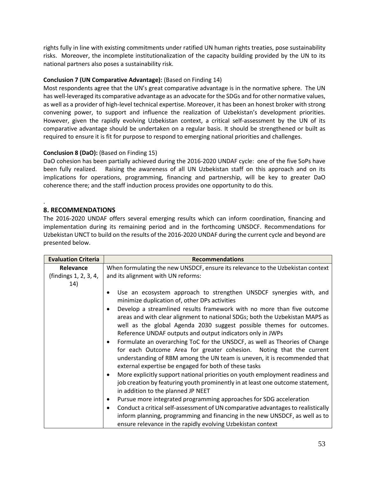rights fully in line with existing commitments under ratified UN human rights treaties, pose sustainability risks. Moreover, the incomplete institutionalization of the capacity building provided by the UN to its national partners also poses a sustainability risk.

## **Conclusion 7 (UN Comparative Advantage):** (Based on Finding 14)

Most respondents agree that the UN's great comparative advantage is in the normative sphere. The UN has well-leveraged its comparative advantage as an advocate for the SDGs and for other normative values, as well as a provider of high-level technical expertise. Moreover, it has been an honest broker with strong convening power, to support and influence the realization of Uzbekistan's development priorities. However, given the rapidly evolving Uzbekistan context, a critical self-assessment by the UN of its comparative advantage should be undertaken on a regular basis. It should be strengthened or built as required to ensure it is fit for purpose to respond to emerging national priorities and challenges.

## **Conclusion 8 (DaO):** (Based on Finding 15)

DaO cohesion has been partially achieved during the 2016-2020 UNDAF cycle: one of the five SoPs have been fully realized. Raising the awareness of all UN Uzbekistan staff on this approach and on its implications for operations, programming, financing and partnership, will be key to greater DaO coherence there; and the staff induction process provides one opportunity to do this.

#### . **8. RECOMMENDATIONS**

The 2016-2020 UNDAF offers several emerging results which can inform coordination, financing and implementation during its remaining period and in the forthcoming UNSDCF. Recommendations for Uzbekistan UNCT to build on the results of the 2016-2020 UNDAF during the current cycle and beyond are presented below.

| <b>Evaluation Criteria</b> | <b>Recommendations</b>                                                                                                                                                                                                                                                                       |  |  |  |  |  |
|----------------------------|----------------------------------------------------------------------------------------------------------------------------------------------------------------------------------------------------------------------------------------------------------------------------------------------|--|--|--|--|--|
| Relevance                  | When formulating the new UNSDCF, ensure its relevance to the Uzbekistan context                                                                                                                                                                                                              |  |  |  |  |  |
| (findings 1, 2, 3, 4,      | and its alignment with UN reforms:                                                                                                                                                                                                                                                           |  |  |  |  |  |
| 14)                        |                                                                                                                                                                                                                                                                                              |  |  |  |  |  |
|                            | Use an ecosystem approach to strengthen UNSDCF synergies with, and<br>minimize duplication of, other DPs activities                                                                                                                                                                          |  |  |  |  |  |
|                            | Develop a streamlined results framework with no more than five outcome<br>areas and with clear alignment to national SDGs; both the Uzbekistan MAPS as<br>well as the global Agenda 2030 suggest possible themes for outcomes.<br>Reference UNDAF outputs and output indicators only in JWPs |  |  |  |  |  |
|                            | Formulate an overarching ToC for the UNSDCF, as well as Theories of Change<br>for each Outcome Area for greater cohesion. Noting that the current<br>understanding of RBM among the UN team is uneven, it is recommended that<br>external expertise be engaged for both of these tasks       |  |  |  |  |  |
|                            | More explicitly support national priorities on youth employment readiness and<br>٠<br>job creation by featuring youth prominently in at least one outcome statement,<br>in addition to the planned JP NEET                                                                                   |  |  |  |  |  |
|                            | Pursue more integrated programming approaches for SDG acceleration<br>٠                                                                                                                                                                                                                      |  |  |  |  |  |
|                            | Conduct a critical self-assessment of UN comparative advantages to realistically                                                                                                                                                                                                             |  |  |  |  |  |
|                            | inform planning, programming and financing in the new UNSDCF, as well as to<br>ensure relevance in the rapidly evolving Uzbekistan context                                                                                                                                                   |  |  |  |  |  |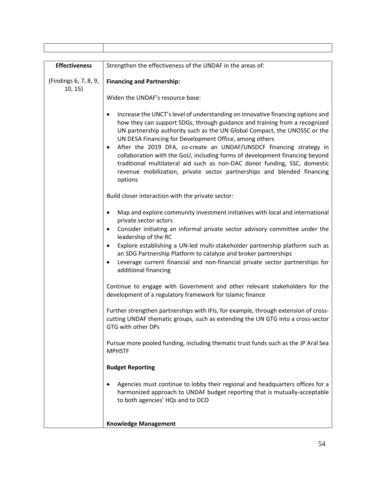| <b>Effectiveness</b>             | Strengthen the effectiveness of the UNDAF in the areas of:                                                                                                                                                                                                                                                                                                                                                                                                                                                                                                                                                                   |  |  |  |
|----------------------------------|------------------------------------------------------------------------------------------------------------------------------------------------------------------------------------------------------------------------------------------------------------------------------------------------------------------------------------------------------------------------------------------------------------------------------------------------------------------------------------------------------------------------------------------------------------------------------------------------------------------------------|--|--|--|
| (Findings 6, 7, 8, 9,<br>10, 15) | <b>Financing and Partnership:</b>                                                                                                                                                                                                                                                                                                                                                                                                                                                                                                                                                                                            |  |  |  |
|                                  | Widen the UNDAF's resource base:                                                                                                                                                                                                                                                                                                                                                                                                                                                                                                                                                                                             |  |  |  |
|                                  | Increase the UNCT's level of understanding on innovative financing options and<br>how they can support SDGs, through guidance and training from a recognized<br>UN partnership authority such as the UN Global Compact, the UNOSSC or the<br>UN DESA Financing for Development Office, among others<br>After the 2019 DFA, co-create an UNDAF/UNSDCF financing strategy in<br>collaboration with the GoU, including forms of development financing beyond<br>traditional multilateral aid such as non-DAC donor funding, SSC, domestic<br>revenue mobilization, private sector partnerships and blended financing<br>options |  |  |  |
|                                  | Build closer interaction with the private sector:                                                                                                                                                                                                                                                                                                                                                                                                                                                                                                                                                                            |  |  |  |
|                                  | Map and explore community investment initiatives with local and international<br>private sector actors<br>Consider initiating an informal private sector advisory committee under the<br>$\bullet$<br>leadership of the RC<br>Explore establishing a UN-led multi-stakeholder partnership platform such as<br>an SDG Partnership Platform to catalyze and broker partnerships<br>Leverage current financial and non-financial private sector partnerships for<br>$\bullet$                                                                                                                                                   |  |  |  |
|                                  | additional financing<br>Continue to engage with Government and other relevant stakeholders for the<br>development of a regulatory framework for Islamic finance                                                                                                                                                                                                                                                                                                                                                                                                                                                              |  |  |  |
|                                  | Further strengthen partnerships with IFIs, for example, through extension of cross-<br>cutting UNDAF thematic groups, such as extending the UN GTG into a cross-sector<br>GTG with other DPs                                                                                                                                                                                                                                                                                                                                                                                                                                 |  |  |  |
|                                  | Pursue more pooled funding, including thematic trust funds such as the JP Aral Sea<br><b>MPHSTF</b>                                                                                                                                                                                                                                                                                                                                                                                                                                                                                                                          |  |  |  |
|                                  | <b>Budget Reporting</b>                                                                                                                                                                                                                                                                                                                                                                                                                                                                                                                                                                                                      |  |  |  |
|                                  | Agencies must continue to lobby their regional and headquarters offices for a<br>harmonized approach to UNDAF budget reporting that is mutually-acceptable<br>to both agencies' HQs and to DCO                                                                                                                                                                                                                                                                                                                                                                                                                               |  |  |  |
|                                  | <b>Knowledge Management</b>                                                                                                                                                                                                                                                                                                                                                                                                                                                                                                                                                                                                  |  |  |  |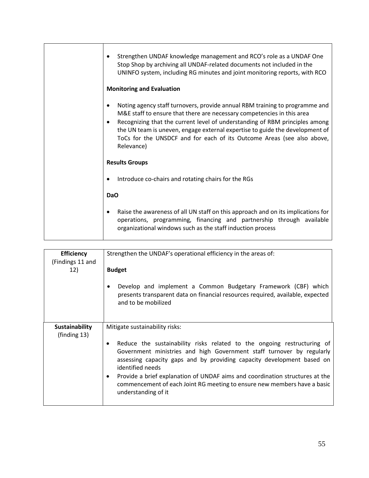| Strengthen UNDAF knowledge management and RCO's role as a UNDAF One<br>Stop Shop by archiving all UNDAF-related documents not included in the<br>UNINFO system, including RG minutes and joint monitoring reports, with RCO<br><b>Monitoring and Evaluation</b>                                                                                                                                                           |  |  |
|---------------------------------------------------------------------------------------------------------------------------------------------------------------------------------------------------------------------------------------------------------------------------------------------------------------------------------------------------------------------------------------------------------------------------|--|--|
| Noting agency staff turnovers, provide annual RBM training to programme and<br>M&E staff to ensure that there are necessary competencies in this area<br>Recognizing that the current level of understanding of RBM principles among<br>$\bullet$<br>the UN team is uneven, engage external expertise to guide the development of<br>ToCs for the UNSDCF and for each of its Outcome Areas (see also above,<br>Relevance) |  |  |
| <b>Results Groups</b>                                                                                                                                                                                                                                                                                                                                                                                                     |  |  |
| Introduce co-chairs and rotating chairs for the RGs                                                                                                                                                                                                                                                                                                                                                                       |  |  |
| DaO                                                                                                                                                                                                                                                                                                                                                                                                                       |  |  |
| Raise the awareness of all UN staff on this approach and on its implications for<br>operations, programming, financing and partnership through available<br>organizational windows such as the staff induction process                                                                                                                                                                                                    |  |  |

| <b>Efficiency</b><br>(Findings 11 and<br>12)    | Strengthen the UNDAF's operational efficiency in the areas of:<br><b>Budget</b><br>Develop and implement a Common Budgetary Framework (CBF) which<br>presents transparent data on financial resources required, available, expected<br>and to be mobilized                                                                                                                                                                                                                            |  |  |  |
|-------------------------------------------------|---------------------------------------------------------------------------------------------------------------------------------------------------------------------------------------------------------------------------------------------------------------------------------------------------------------------------------------------------------------------------------------------------------------------------------------------------------------------------------------|--|--|--|
| <b>Sustainability</b><br>$(\text{finding } 13)$ | Mitigate sustainability risks:<br>Reduce the sustainability risks related to the ongoing restructuring of<br>$\bullet$<br>Government ministries and high Government staff turnover by regularly<br>assessing capacity gaps and by providing capacity development based on<br>identified needs<br>Provide a brief explanation of UNDAF aims and coordination structures at the<br>٠<br>commencement of each Joint RG meeting to ensure new members have a basic<br>understanding of it |  |  |  |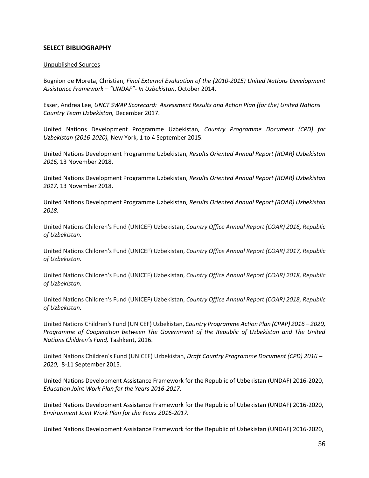### **SELECT BIBLIOGRAPHY**

#### Unpublished Sources

Bugnion de Moreta, Christian, *Final External Evaluation of the (2010-2015) United Nations Development Assistance Framework – "UNDAF"- In Uzbekistan*, October 2014.

Esser, Andrea Lee, *UNCT SWAP Scorecard: Assessment Results and Action Plan (for the) United Nations Country Team Uzbekistan,* December 2017.

United Nations Development Programme Uzbekistan*, Country Programme Document (CPD) for Uzbekistan (2016-2020),* New York, 1 to 4 September 2015.

United Nations Development Programme Uzbekistan*, Results Oriented Annual Report (ROAR) Uzbekistan 2016,* 13 November 2018.

United Nations Development Programme Uzbekistan*, Results Oriented Annual Report (ROAR) Uzbekistan 2017,* 13 November 2018.

United Nations Development Programme Uzbekistan*, Results Oriented Annual Report (ROAR) Uzbekistan 2018.*

United Nations Children's Fund (UNICEF) Uzbekistan, *Country Office Annual Report (COAR) 2016, Republic of Uzbekistan.*

United Nations Children's Fund (UNICEF) Uzbekistan, *Country Office Annual Report (COAR) 2017, Republic of Uzbekistan.*

United Nations Children's Fund (UNICEF) Uzbekistan, *Country Office Annual Report (COAR) 2018, Republic of Uzbekistan.*

United Nations Children's Fund (UNICEF) Uzbekistan, *Country Office Annual Report (COAR) 2018, Republic of Uzbekistan.*

United Nations Children's Fund (UNICEF) Uzbekistan, *Country Programme Action Plan (CPAP) 2016 – 2020, Programme of Cooperation between The Government of the Republic of Uzbekistan and The United Nations Children's Fund,* Tashkent, 2016.

United Nations Children's Fund (UNICEF) Uzbekistan, *Draft Country Programme Document (CPD) 2016 – 2020,* 8-11 September 2015.

United Nations Development Assistance Framework for the Republic of Uzbekistan (UNDAF) 2016-2020, *Education Joint Work Plan for the Years 2016-2017.* 

United Nations Development Assistance Framework for the Republic of Uzbekistan (UNDAF) 2016-2020, *Environment Joint Work Plan for the Years 2016-2017.* 

United Nations Development Assistance Framework for the Republic of Uzbekistan (UNDAF) 2016-2020,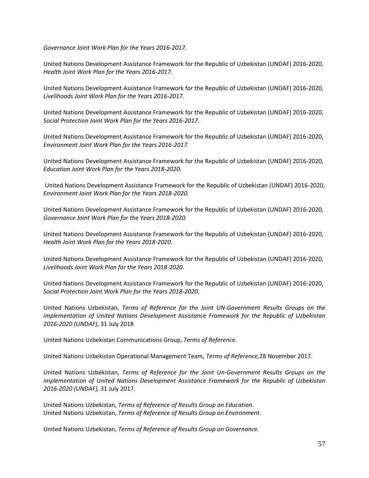*Governance Joint Work Plan for the Years 2016-2017.* 

United Nations Development Assistance Framework for the Republic of Uzbekistan (UNDAF) 2016-2020, *Health Joint Work Plan for the Years 2016-2017.* 

United Nations Development Assistance Framework for the Republic of Uzbekistan (UNDAF) 2016-2020, *Livelihoods Joint Work Plan for the Years 2016-2017.* 

United Nations Development Assistance Framework for the Republic of Uzbekistan (UNDAF) 2016-2020, *Social Protection Joint Work Plan for the Years 2016-2017.* 

United Nations Development Assistance Framework for the Republic of Uzbekistan (UNDAF) 2016-2020, *Environment Joint Work Plan for the Years 2016-2017.* 

United Nations Development Assistance Framework for the Republic of Uzbekistan (UNDAF) 2016-2020, *Education Joint Work Plan for the Years 2018-2020.* 

United Nations Development Assistance Framework for the Republic of Uzbekistan (UNDAF) 2016-2020, *Environment Joint Work Plan for the Years 2018-2020.* 

United Nations Development Assistance Framework for the Republic of Uzbekistan (UNDAF) 2016-2020, *Governance Joint Work Plan for the Years 2018-2020.* 

United Nations Development Assistance Framework for the Republic of Uzbekistan (UNDAF) 2016-2020, *Health Joint Work Plan for the Years 2018-2020.* 

United Nations Development Assistance Framework for the Republic of Uzbekistan (UNDAF) 2016-2020, *Livelihoods Joint Work Plan for the Years 2018-2020.* 

United Nations Development Assistance Framework for the Republic of Uzbekistan (UNDAF) 2016-2020, *Social Protection Joint Work Plan for the Years 2018-2020.* 

United Nations Uzbekistan, *Terms of Reference for the Joint UN-Government Results Groups on the implementation of United Nations Development Assistance Framework for the Republic of Uzbekistan 2016-2020 (UNDAF)*, 31 July 2018

United Nations Uzbekistan Communications Group, *Terms of Reference*.

United Nations Uzbekistan Operational Management Team, *Terms of Reference,*28 November 2017.

United Nations Uzbekistan, *Terms of Reference for the Joint Un-Government Results Groups on the implementation of United Nations Development Assistance Framework for the Republic of Uzbekistan 2016-2020 (UNDAF),* 31 July 2017.

United Nations Uzbekistan, *Terms of Reference of Results Group on Education.*  United Nations Uzbekistan, *Terms of Reference of Results Group on Environment.*

United Nations Uzbekistan, *Terms of Reference of Results Group on Governance.*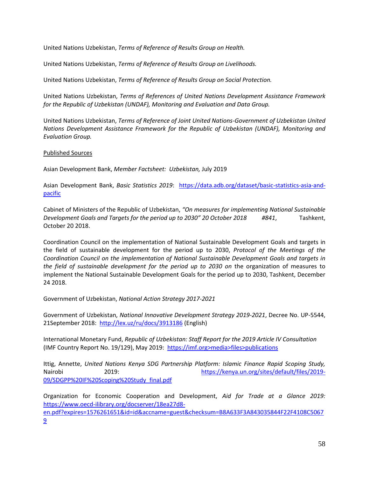United Nations Uzbekistan, *Terms of Reference of Results Group on Health.* 

United Nations Uzbekistan, *Terms of Reference of Results Group on Livelihoods.*

United Nations Uzbekistan, *Terms of Reference of Results Group on Social Protection.*

United Nations Uzbekistan, *Terms of References of United Nations Development Assistance Framework for the Republic of Uzbekistan (UNDAF), Monitoring and Evaluation and Data Group.*

United Nations Uzbekistan, *Terms of Reference of Joint United Nations-Government of Uzbekistan United Nations Development Assistance Framework for the Republic of Uzbekistan (UNDAF), Monitoring and Evaluation Group.*

Published Sources

Asian Development Bank, *Member Factsheet: Uzbekistan,* July 2019

Asian Development Bank, *Basic Statistics 2019*: [https://data.adb.org/dataset/basic-statistics-asia-and](https://data.adb.org/dataset/basic-statistics-asia-and-pacific)[pacific](https://data.adb.org/dataset/basic-statistics-asia-and-pacific)

Cabinet of Ministers of the Republic of Uzbekistan, *"On measures for implementing National Sustainable Development Goals and Targets for the period up to 2030" 20 October 2018 #841*, Tashkent, October 20 2018.

Coordination Council on the implementation of National Sustainable Development Goals and targets in the field of sustainable development for the period up to 2030, *Protocol of the Meetings of the Coordination Council on the implementation of National Sustainable Development Goals and targets in the field of sustainable development for the period up to 2030 on* the organization of measures to implement the National Sustainable Development Goals for the period up to 2030, Tashkent, December 24 2018.

Government of Uzbekistan, *National Action Strategy 2017-2021*

Government of Uzbekistan, *National Innovative Development Strategy 2019-2021*, Decree No. UP-5544, 21September 2018: <http://lex.uz/ru/docs/3913186> (English)

International Monetary Fund, *Republic of Uzbekistan: Staff Report for the 2019 Article IV Consultation*  (IMF Country Report No. 19/129), May 2019: https://imf.org>media>files>publications

Ittig, Annette, *United Nations Kenya SDG Partnership Platform: Islamic Finance Rapid Scoping Study,*  Nairobi 2019: [https://kenya.un.org/sites/default/files/2019-](https://kenya.un.org/sites/default/files/2019-09/SDGPP%20IF%20Scoping%20Study_final.pdf) [09/SDGPP%20IF%20Scoping%20Study\\_final.pdf](https://kenya.un.org/sites/default/files/2019-09/SDGPP%20IF%20Scoping%20Study_final.pdf)

Organization for Economic Cooperation and Development, *Aid for Trade at a Glance 2019:* [https://www.oecd-ilibrary.org/docserver/18ea27d8](https://www.oecd-ilibrary.org/docserver/18ea27d8-en.pdf?expires=1576261651&id=id&accname=guest&checksum=B8A633F3A843035844F22F4108C50679) [en.pdf?expires=1576261651&id=id&accname=guest&checksum=B8A633F3A843035844F22F4108C5067](https://www.oecd-ilibrary.org/docserver/18ea27d8-en.pdf?expires=1576261651&id=id&accname=guest&checksum=B8A633F3A843035844F22F4108C50679) [9](https://www.oecd-ilibrary.org/docserver/18ea27d8-en.pdf?expires=1576261651&id=id&accname=guest&checksum=B8A633F3A843035844F22F4108C50679)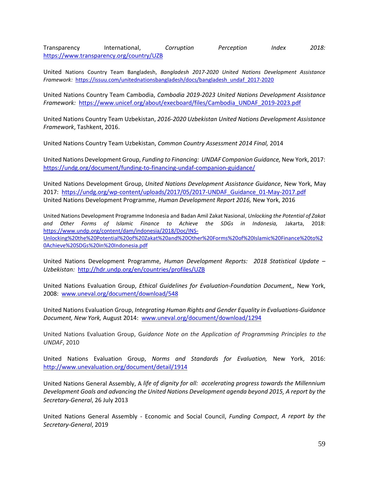Transparency International, *Corruption Perception Index 2018:*  <https://www.transparency.org/country/UZB>

United Nations Country Team Bangladesh, *Bangladesh 2017-2020 United Nations Development Assistance Framework:* [https://issuu.com/unitednationsbangladesh/docs/bangladesh\\_undaf\\_2017-2020](https://issuu.com/unitednationsbangladesh/docs/bangladesh_undaf_2017-2020)

United Nations Country Team Cambodia, *Cambodia 2019-2023 United Nations Development Assistance Framework:* [https://www.unicef.org/about/execboard/files/Cambodia\\_UNDAF\\_2019-2023.pdf](https://www.unicef.org/about/execboard/files/Cambodia_UNDAF_2019-2023.pdf)

United Nations Country Team Uzbekistan, *2016-2020 Uzbekistan United Nations Development Assistance Framework*, Tashkent, 2016.

United Nations Country Team Uzbekistan, *Common Country Assessment 2014 Final,* 2014

United Nations Development Group, *Funding to Financing: UNDAF Companion Guidance,* New York, 2017: <https://undg.org/document/funding-to-financing-undaf-companion-guidance/>

United Nations Development Group, *United Nations Development Assistance Guidance*, New York, May 2017: [https://undg.org/wp-content/uploads/2017/05/2017-UNDAF\\_Guidance\\_01-May-2017.pdf](https://undg.org/wp-content/uploads/2017/05/2017-UNDAF_Guidance_01-May-2017.pdf) United Nations Development Programme, *Human Development Report 2016,* New York, 2016

United Nations Development Programme Indonesia and Badan Amil Zakat Nasional, *Unlocking the Potential of Zakat and Other Forms of Islamic Finance to Achieve the SDGs in Indonesia,* Jakarta, 2018: [https://www.undp.org/content/dam/indonesia/2018/Doc/INS-](https://www.undp.org/content/dam/indonesia/2018/Doc/INS-Unlocking%20the%20Potential%20of%20Zakat%20and%20Other%20Forms%20of%20Islamic%20Finance%20to%20Achieve%20SDGs%20in%20Indonesia.pdf)[Unlocking%20the%20Potential%20of%20Zakat%20and%20Other%20Forms%20of%20Islamic%20Finance%20to%2](https://www.undp.org/content/dam/indonesia/2018/Doc/INS-Unlocking%20the%20Potential%20of%20Zakat%20and%20Other%20Forms%20of%20Islamic%20Finance%20to%20Achieve%20SDGs%20in%20Indonesia.pdf) [0Achieve%20SDGs%20in%20Indonesia.pdf](https://www.undp.org/content/dam/indonesia/2018/Doc/INS-Unlocking%20the%20Potential%20of%20Zakat%20and%20Other%20Forms%20of%20Islamic%20Finance%20to%20Achieve%20SDGs%20in%20Indonesia.pdf)

United Nations Development Programme, *Human Development Reports: 2018 Statistical Update – Uzbekistan:* <http://hdr.undp.org/en/countries/profiles/UZB>

United Nations Evaluation Group, *Ethical Guidelines for Evaluation-Foundation Document,,* New York, 2008: [www.uneval.org/document/download/548](http://www.uneval.org/document/download/548)

United Nations Evaluation Group, *Integrating Human Rights and Gender Equality in Evaluations-Guidance Document, New York,* August 2014: [www.uneval.org/document/download/1294](http://www.uneval.org/document/download/1294)

United Nations Evaluation Group, G*uidance Note on the Application of Programming Principles to the UNDAF*, 2010

United Nations Evaluation Group, *Norms and Standards for Evaluation,* New York, 2016: <http://www.unevaluation.org/document/detail/1914>

United Nations General Assembly, A *life of dignity for all: accelerating progress towards the Millennium Development Goals and advancing the United Nations Development agenda beyond 2015, A report by the Secretary-General*, 26 July 2013

United Nations General Assembly - Economic and Social Council, *Funding Compact*, *A report by the Secretary-General*, 2019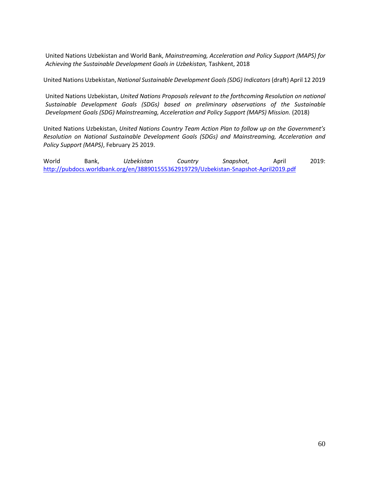United Nations Uzbekistan and World Bank, *Mainstreaming, Acceleration and Policy Support (MAPS) for Achieving the Sustainable Development Goals in Uzbekistan,* Tashkent, 2018

United Nations Uzbekistan, *National Sustainable Development Goals (SDG) Indicators* (draft) April 12 2019

United Nations Uzbekistan, *United Nations Proposals relevant to the forthcoming Resolution on national Sustainable Development Goals (SDGs) based on preliminary observations of the Sustainable Development Goals (SDG) Mainstreaming, Acceleration and Policy Support (MAPS) Mission.* (2018)

United Nations Uzbekistan, *United Nations Country Team Action Plan to follow up on the Government's Resolution on National Sustainable Development Goals (SDGs) and Mainstreaming, Acceleration and Policy Support (MAPS)*, February 25 2019.

World Bank, *Uzbekistan Country Snapshot*, April 2019: <http://pubdocs.worldbank.org/en/388901555362919729/Uzbekistan-Snapshot-April2019.pdf>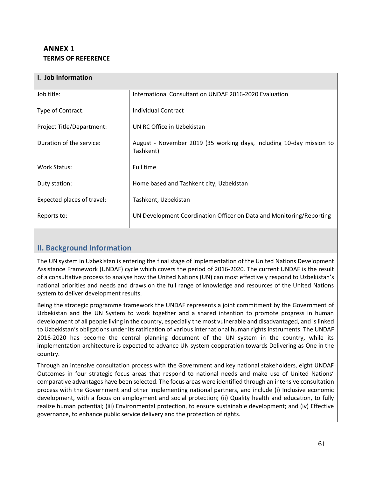## **ANNEX 1 TERMS OF REFERENCE**

| I. Job Information         |                                                                                   |
|----------------------------|-----------------------------------------------------------------------------------|
| Job title:                 | International Consultant on UNDAF 2016-2020 Evaluation                            |
| Type of Contract:          | Individual Contract                                                               |
| Project Title/Department:  | UN RC Office in Uzbekistan                                                        |
| Duration of the service:   | August - November 2019 (35 working days, including 10-day mission to<br>Tashkent) |
| Work Status:               | Full time                                                                         |
| Duty station:              | Home based and Tashkent city, Uzbekistan                                          |
| Expected places of travel: | Tashkent, Uzbekistan                                                              |
| Reports to:                | UN Development Coordination Officer on Data and Monitoring/Reporting              |

## **II. Background Information**

The UN system in Uzbekistan is entering the final stage of implementation of the United Nations Development Assistance Framework (UNDAF) cycle which covers the period of 2016-2020. The current UNDAF is the result of a consultative process to analyse how the United Nations (UN) can most effectively respond to Uzbekistan's national priorities and needs and draws on the full range of knowledge and resources of the United Nations system to deliver development results.

Being the strategic programme framework the UNDAF represents a joint commitment by the Government of Uzbekistan and the UN System to work together and a shared intention to promote progress in human development of all people living in the country, especially the most vulnerable and disadvantaged, and is linked to Uzbekistan's obligations under its ratification of various international human rights instruments. The UNDAF 2016-2020 has become the central planning document of the UN system in the country, while its implementation architecture is expected to advance UN system cooperation towards Delivering as One in the country.

Through an intensive consultation process with the Government and key national stakeholders, eight UNDAF Outcomes in four strategic focus areas that respond to national needs and make use of United Nations' comparative advantages have been selected. The focus areas were identified through an intensive consultation process with the Government and other implementing national partners, and include (i) Inclusive economic development, with a focus on employment and social protection; (ii) Quality health and education, to fully realize human potential; (iii) Environmental protection, to ensure sustainable development; and (iv) Effective governance, to enhance public service delivery and the protection of rights.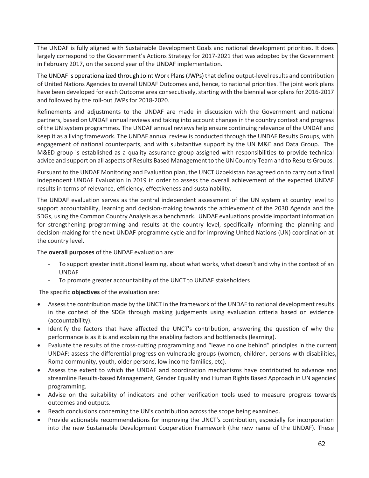The UNDAF is fully aligned with Sustainable Development Goals and national development priorities. It does largely correspond to the Government's Actions Strategy for 2017-2021 that was adopted by the Government in February 2017, on the second year of the UNDAF implementation.

The UNDAF is operationalized through Joint Work Plans (JWPs) that define output-level results and contribution of United Nations Agencies to overall UNDAF Outcomes and, hence, to national priorities. The joint work plans have been developed for each Outcome area consecutively, starting with the biennial workplans for 2016-2017 and followed by the roll-out JWPs for 2018-2020.

Refinements and adjustments to the UNDAF are made in discussion with the Government and national partners, based on UNDAF annual reviews and taking into account changes in the country context and progress of the UN system programmes. The UNDAF annual reviews help ensure continuing relevance of the UNDAF and keep it as a living framework. The UNDAF annual review is conducted through the UNDAF Results Groups, with engagement of national counterparts, and with substantive support by the UN M&E and Data Group. The M&ED group is established as a quality assurance group assigned with responsibilities to provide technical advice and support on all aspects of Results Based Management to the UN Country Team and to Results Groups.

Pursuant to the UNDAF Monitoring and Evaluation plan, the UNCT Uzbekistan has agreed on to carry out a final independent UNDAF Evaluation in 2019 in order to assess the overall achievement of the expected UNDAF results in terms of relevance, efficiency, effectiveness and sustainability.

The UNDAF evaluation serves as the central independent assessment of the UN system at country level to support accountability, learning and decision-making towards the achievement of the 2030 Agenda and the SDGs, using the Common Country Analysis as a benchmark. UNDAF evaluations provide important information for strengthening programming and results at the country level, specifically informing the planning and decision-making for the next UNDAF programme cycle and for improving United Nations (UN) coordination at the country level.

The **overall purposes** of the UNDAF evaluation are:

- To support greater institutional learning, about what works, what doesn't and why in the context of an UNDAF
- To promote greater accountability of the UNCT to UNDAF stakeholders

The specific **objectives** of the evaluation are:

- Assess the contribution made by the UNCT in the framework of the UNDAF to national development results in the context of the SDGs through making judgements using evaluation criteria based on evidence (accountability).
- Identify the factors that have affected the UNCT's contribution, answering the question of why the performance is as it is and explaining the enabling factors and bottlenecks (learning).
- Evaluate the results of the cross-cutting programming and "leave no one behind" principles in the current UNDAF: assess the differential progress on vulnerable groups (women, children, persons with disabilities, Roma community, youth, older persons, low income families, etc).
- Assess the extent to which the UNDAF and coordination mechanisms have contributed to advance and streamline Results-based Management, Gender Equality and Human Rights Based Approach in UN agencies' programming.
- Advise on the suitability of indicators and other verification tools used to measure progress towards outcomes and outputs.
- Reach conclusions concerning the UN's contribution across the scope being examined.
- Provide actionable recommendations for improving the UNCT's contribution, especially for incorporation into the new Sustainable Development Cooperation Framework (the new name of the UNDAF). These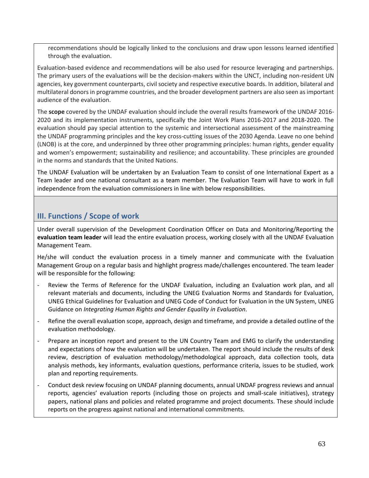recommendations should be logically linked to the conclusions and draw upon lessons learned identified through the evaluation.

Evaluation-based evidence and recommendations will be also used for resource leveraging and partnerships. The primary users of the evaluations will be the decision-makers within the UNCT, including non-resident UN agencies, key government counterparts, civil society and respective executive boards. In addition, bilateral and multilateral donors in programme countries, and the broader development partners are also seen as important audience of the evaluation.

The **scope** covered by the UNDAF evaluation should include the overall results framework of the UNDAF 2016- 2020 and its implementation instruments, specifically the Joint Work Plans 2016-2017 and 2018-2020. The evaluation should pay special attention to the systemic and intersectional assessment of the mainstreaming the UNDAF programming principles and the key cross-cutting issues of the 2030 Agenda. Leave no one behind (LNOB) is at the core, and underpinned by three other programming principles: human rights, gender equality and women's empowerment; sustainability and resilience; and accountability. These principles are grounded in the norms and standards that the United Nations.

The UNDAF Evaluation will be undertaken by an Evaluation Team to consist of one International Expert as a Team leader and one national consultant as a team member. The Evaluation Team will have to work in full independence from the evaluation commissioners in line with below responsibilities.

## **III. Functions / Scope of work**

Under overall supervision of the Development Coordination Officer on Data and Monitoring/Reporting the **evaluation team leader** will lead the entire evaluation process, working closely with all the UNDAF Evaluation Management Team.

He/she will conduct the evaluation process in a timely manner and communicate with the Evaluation Management Group on a regular basis and highlight progress made/challenges encountered. The team leader will be responsible for the following:

- Review the Terms of Reference for the UNDAF Evaluation, including an Evaluation work plan, and all relevant materials and documents, including the UNEG Evaluation Norms and Standards for Evaluation, UNEG Ethical Guidelines for Evaluation and UNEG Code of Conduct for Evaluation in the UN System, UNEG Guidance on *Integrating Human Rights and Gender Equality in Evaluation*.
- Refine the overall evaluation scope, approach, design and timeframe, and provide a detailed outline of the evaluation methodology.
- Prepare an inception report and present to the UN Country Team and EMG to clarify the understanding and expectations of how the evaluation will be undertaken. The report should include the results of desk review, description of evaluation methodology/methodological approach, data collection tools, data analysis methods, key informants, evaluation questions, performance criteria, issues to be studied, work plan and reporting requirements.
- Conduct desk review focusing on UNDAF planning documents, annual UNDAF progress reviews and annual reports, agencies' evaluation reports (including those on projects and small-scale initiatives), strategy papers, national plans and policies and related programme and project documents. These should include reports on the progress against national and international commitments.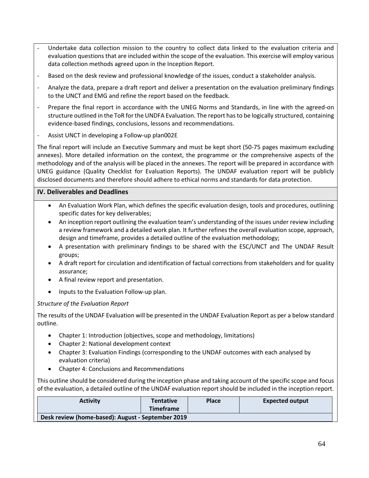- Undertake data collection mission to the country to collect data linked to the evaluation criteria and evaluation questions that are included within the scope of the evaluation. This exercise will employ various data collection methods agreed upon in the Inception Report.
- Based on the desk review and professional knowledge of the issues, conduct a stakeholder analysis.
- Analyze the data, prepare a draft report and deliver a presentation on the evaluation preliminary findings to the UNCT and EMG and refine the report based on the feedback.
- Prepare the final report in accordance with the UNEG Norms and Standards, in line with the agreed-on structure outlined in the ToR for the UNDFA Evaluation. The report has to be logically structured, containing evidence-based findings, conclusions, lessons and recommendations.
- Assist UNCT in developing a Follow-up plan002E

The final report will include an Executive Summary and must be kept short (50-75 pages maximum excluding annexes). More detailed information on the context, the programme or the comprehensive aspects of the methodology and of the analysis will be placed in the annexes. The report will be prepared in accordance with UNEG guidance (Quality Checklist for Evaluation Reports). The UNDAF evaluation report will be publicly disclosed documents and therefore should adhere to ethical norms and standards for data protection.

## **IV. Deliverables and Deadlines**

- An Evaluation Work Plan, which defines the specific evaluation design, tools and procedures, outlining specific dates for key deliverables;
- An inception report outlining the evaluation team's understanding of the issues under review including a review framework and a detailed work plan. It further refines the overall evaluation scope, approach, design and timeframe, provides a detailed outline of the evaluation methodology;
- A presentation with preliminary findings to be shared with the ESC/UNCT and The UNDAF Result groups;
- A draft report for circulation and identification of factual corrections from stakeholders and for quality assurance;
- A final review report and presentation.
- Inputs to the Evaluation Follow-up plan.

## *Structure of the Evaluation Report*

The results of the UNDAF Evaluation will be presented in the UNDAF Evaluation Report as per a below standard outline.

- Chapter 1: Introduction (objectives, scope and methodology, limitations)
- Chapter 2: National development context
- Chapter 3: Evaluation Findings (corresponding to the UNDAF outcomes with each analysed by evaluation criteria)
- Chapter 4: Conclusions and Recommendations

This outline should be considered during the inception phase and taking account of the specific scope and focus of the evaluation, a detailed outline of the UNDAF evaluation report should be included in the inception report.

| <b>Activity</b>                                   | <b>Tentative</b><br>Timeframe | <b>Place</b> | <b>Expected output</b> |
|---------------------------------------------------|-------------------------------|--------------|------------------------|
| Desk review (home-based): August - September 2019 |                               |              |                        |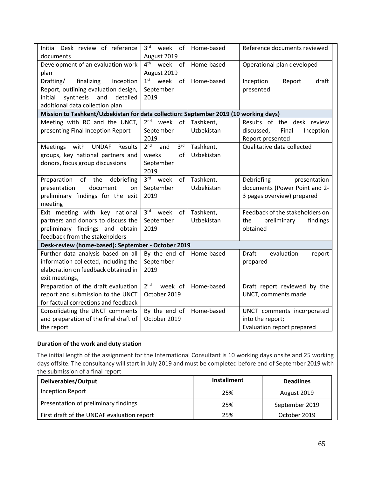| Initial Desk review of reference<br>documents                                        | 3 <sup>rd</sup><br>week of<br>August 2019 | Home-based | Reference documents reviewed         |  |
|--------------------------------------------------------------------------------------|-------------------------------------------|------------|--------------------------------------|--|
|                                                                                      |                                           |            |                                      |  |
| Development of an evaluation work                                                    | $4^{\text{th}}$<br>week<br>of             | Home-based | Operational plan developed           |  |
| plan                                                                                 | August 2019                               |            |                                      |  |
| finalizing<br>Drafting/<br>Inception                                                 | 1 <sup>st</sup><br>week<br>of             | Home-based | Inception<br>Report<br>draft         |  |
| Report, outlining evaluation design,                                                 | September                                 |            | presented                            |  |
| synthesis<br>and<br>initial<br>detailed                                              | 2019                                      |            |                                      |  |
| additional data collection plan                                                      |                                           |            |                                      |  |
| Mission to Tashkent/Uzbekistan for data collection: September 2019 (10 working days) |                                           |            |                                      |  |
| Meeting with RC and the UNCT,                                                        | 2 <sup>nd</sup><br>week<br>of             | Tashkent,  | Results of the desk review           |  |
| presenting Final Inception Report                                                    | September                                 | Uzbekistan | Final<br>Inception<br>discussed,     |  |
|                                                                                      | 2019                                      |            | Report presented                     |  |
| Meetings with UNDAF<br>Results                                                       | 2 <sup>nd</sup><br>3 <sup>rd</sup><br>and | Tashkent,  | Qualitative data collected           |  |
| groups, key national partners and                                                    | weeks<br>of                               | Uzbekistan |                                      |  |
| donors, focus group discussions                                                      | September                                 |            |                                      |  |
|                                                                                      | 2019                                      |            |                                      |  |
| Preparation of the<br>debriefing                                                     | 3 <sup>rd</sup><br>week<br>of             | Tashkent,  | Debriefing<br>presentation           |  |
| presentation<br>document<br>on                                                       | September                                 | Uzbekistan | documents (Power Point and 2-        |  |
| preliminary findings for the exit                                                    | 2019                                      |            | 3 pages overview) prepared           |  |
| meeting                                                                              |                                           |            |                                      |  |
| Exit meeting with key national                                                       | 3 <sup>rd</sup><br>week<br>of             | Tashkent,  | Feedback of the stakeholders on      |  |
| partners and donors to discuss the                                                   | September                                 | Uzbekistan | findings<br>the<br>preliminary       |  |
| preliminary findings and obtain                                                      | 2019                                      |            | obtained                             |  |
| feedback from the stakeholders                                                       |                                           |            |                                      |  |
| Desk-review (home-based): September - October 2019                                   |                                           |            |                                      |  |
| Further data analysis based on all                                                   | By the end of                             | Home-based | <b>Draft</b><br>evaluation<br>report |  |
| information collected, including the                                                 | September                                 |            | prepared                             |  |
| elaboration on feedback obtained in                                                  | 2019                                      |            |                                      |  |
| exit meetings,                                                                       |                                           |            |                                      |  |
| Preparation of the draft evaluation                                                  | 2 <sup>nd</sup><br>week of                | Home-based | Draft report reviewed by the         |  |
| report and submission to the UNCT                                                    | October 2019                              |            | UNCT, comments made                  |  |
| for factual corrections and feedback                                                 |                                           |            |                                      |  |
| Consolidating the UNCT comments                                                      | By the end of                             | Home-based | UNCT comments incorporated           |  |
| and preparation of the final draft of                                                | October 2019                              |            | into the report;                     |  |
|                                                                                      |                                           |            |                                      |  |
| the report                                                                           |                                           |            | Evaluation report prepared           |  |

## **Duration of the work and duty station**

The initial length of the assignment for the International Consultant is 10 working days onsite and 25 working days offsite. The consultancy will start in July 2019 and must be completed before end of September 2019 with the submission of a final report

| Deliverables/Output                        | <b>Installment</b> | <b>Deadlines</b> |
|--------------------------------------------|--------------------|------------------|
| Inception Report                           | 25%                | August 2019      |
| Presentation of preliminary findings       | 25%                | September 2019   |
| First draft of the UNDAF evaluation report | 25%                | October 2019     |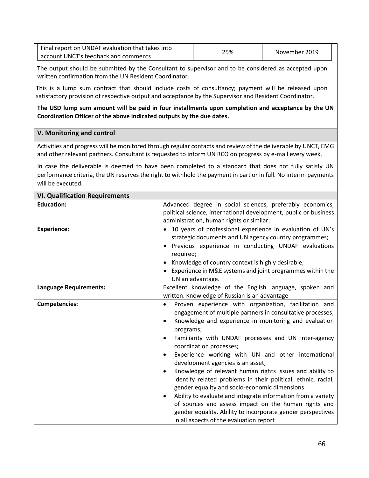| Final report on UNDAF evaluation that takes into | 25% | November 2019 |
|--------------------------------------------------|-----|---------------|
| account UNCT's feedback and comments             |     |               |

The output should be submitted by the Consultant to supervisor and to be considered as accepted upon written confirmation from the UN Resident Coordinator.

This is a lump sum contract that should include costs of consultancy; payment will be released upon satisfactory provision of respective output and acceptance by the Supervisor and Resident Coordinator.

**The USD lump sum amount will be paid in four installments upon completion and acceptance by the UN Coordination Officer of the above indicated outputs by the due dates.**

### **V. Monitoring and control**

Activities and progress will be monitored through regular contacts and review of the deliverable by UNCT, EMG and other relevant partners. Consultant is requested to inform UN RCO on progress by e-mail every week.

In case the deliverable is deemed to have been completed to a standard that does not fully satisfy UN performance criteria, the UN reserves the right to withhold the payment in part or in full. No interim payments will be executed.

| <b>VI. Qualification Requirements</b> |                                                                                                                                                                                                                                                                                                                                                                                                                                                                                                                                                                                                                                                                                                                                                                                                                                               |
|---------------------------------------|-----------------------------------------------------------------------------------------------------------------------------------------------------------------------------------------------------------------------------------------------------------------------------------------------------------------------------------------------------------------------------------------------------------------------------------------------------------------------------------------------------------------------------------------------------------------------------------------------------------------------------------------------------------------------------------------------------------------------------------------------------------------------------------------------------------------------------------------------|
| <b>Education:</b>                     | Advanced degree in social sciences, preferably economics,<br>political science, international development, public or business                                                                                                                                                                                                                                                                                                                                                                                                                                                                                                                                                                                                                                                                                                                 |
|                                       | administration, human rights or similar;                                                                                                                                                                                                                                                                                                                                                                                                                                                                                                                                                                                                                                                                                                                                                                                                      |
| <b>Experience:</b>                    | • 10 years of professional experience in evaluation of UN's<br>strategic documents and UN agency country programmes;<br>Previous experience in conducting UNDAF evaluations<br>$\bullet$<br>required;<br>Knowledge of country context is highly desirable;<br>Experience in M&E systems and joint programmes within the<br>UN an advantage.                                                                                                                                                                                                                                                                                                                                                                                                                                                                                                   |
| <b>Language Requirements:</b>         | Excellent knowledge of the English language, spoken and<br>written. Knowledge of Russian is an advantage                                                                                                                                                                                                                                                                                                                                                                                                                                                                                                                                                                                                                                                                                                                                      |
| <b>Competencies:</b>                  | Proven experience with organization, facilitation and<br>$\bullet$<br>engagement of multiple partners in consultative processes;<br>Knowledge and experience in monitoring and evaluation<br>$\bullet$<br>programs;<br>Familiarity with UNDAF processes and UN inter-agency<br>٠<br>coordination processes;<br>Experience working with UN and other international<br>$\bullet$<br>development agencies is an asset;<br>Knowledge of relevant human rights issues and ability to<br>٠<br>identify related problems in their political, ethnic, racial,<br>gender equality and socio-economic dimensions<br>Ability to evaluate and integrate information from a variety<br>٠<br>of sources and assess impact on the human rights and<br>gender equality. Ability to incorporate gender perspectives<br>in all aspects of the evaluation report |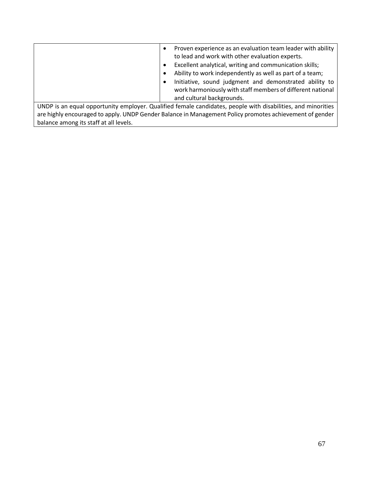|                                                                                                              |  | Proven experience as an evaluation team leader with ability<br>to lead and work with other evaluation experts.<br>Excellent analytical, writing and communication skills;<br>Ability to work independently as well as part of a team;<br>Initiative, sound judgment and demonstrated ability to<br>work harmoniously with staff members of different national<br>and cultural backgrounds. |  |
|--------------------------------------------------------------------------------------------------------------|--|--------------------------------------------------------------------------------------------------------------------------------------------------------------------------------------------------------------------------------------------------------------------------------------------------------------------------------------------------------------------------------------------|--|
| UNDP is an equal opportunity employer. Qualified female candidates, people with disabilities, and minorities |  |                                                                                                                                                                                                                                                                                                                                                                                            |  |

are highly encouraged to apply. UNDP Gender Balance in Management Policy promotes achievement of gender balance among its staff at all levels.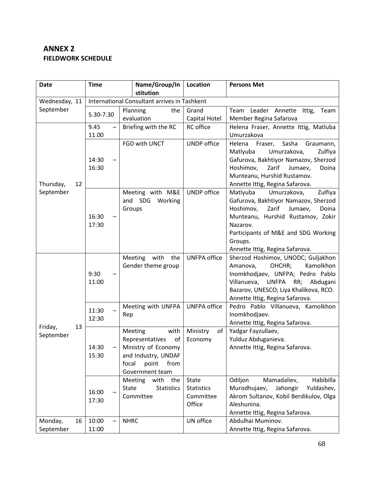# **ANNEX 2 FIELDWORK SCHEDULE**

| <b>Date</b>                | <b>Time</b>                                  |              | Name/Group/In                  | <b>Location</b>                | <b>Persons Met</b>                                                               |
|----------------------------|----------------------------------------------|--------------|--------------------------------|--------------------------------|----------------------------------------------------------------------------------|
|                            | stitution                                    |              |                                |                                |                                                                                  |
| Wednesday, 11<br>September | International Consultant arrives in Tashkent |              |                                |                                |                                                                                  |
|                            | 5.30-7.30                                    |              | the<br>Planning<br>evaluation  | Grand<br>Capital Hotel         | Team Leader Annette Ittig,<br>Team<br>Member Regina Safarova                     |
|                            | 9.45                                         |              | Briefing with the RC           | <b>RC</b> office               | Helena Fraser, Annette Ittig, Matluba                                            |
|                            | 11.00                                        |              |                                |                                | Umurzakova                                                                       |
|                            |                                              |              | FGD with UNCT                  | <b>UNDP</b> office             | Helena Fraser,<br>Sasha<br>Graumann,                                             |
|                            |                                              |              |                                |                                | Matlyuba<br>Umurzakova,<br>Zulfiya                                               |
|                            | 14:30<br>16:30                               |              |                                |                                | Gafurova, Bakhtiyor Namazov, Sherzod<br>Zarif                                    |
|                            |                                              |              |                                |                                | Hoshimov,<br>Jumaev,<br>Doina<br>Munteanu, Hurshid Rustamov.                     |
| 12<br>Thursday,            |                                              |              |                                |                                | Annette Ittig, Regina Safarova.                                                  |
| September                  |                                              |              | Meeting with M&E               | <b>UNDP</b> office             | Matlyuba<br>Umurzakova,<br>Zulfiya                                               |
|                            |                                              |              | and SDG<br>Working             |                                | Gafurova, Bakhtiyor Namazov, Sherzod                                             |
|                            |                                              |              | Groups                         |                                | Hoshimov,<br>Zarif<br>Jumaev,<br>Doina                                           |
|                            | 16:30                                        |              |                                |                                | Munteanu, Hurshid Rustamov, Zokir                                                |
|                            | 17:30                                        |              |                                |                                | Nazarov.                                                                         |
|                            |                                              |              |                                |                                | Participants of M&E and SDG Working                                              |
|                            |                                              |              |                                |                                | Groups.                                                                          |
|                            |                                              |              | with<br>the<br><b>Meeting</b>  | <b>UNFPA office</b>            | Annette Ittig, Regina Safarova.<br>Sherzod Hoshimov, UNODC; Guljakhon            |
|                            |                                              |              | Gender theme group             |                                | OHCHR;<br>Kamolkhon<br>Amanova,                                                  |
|                            | 9:30                                         |              |                                |                                | Inomkhodjaev, UNFPA; Pedro Pablo                                                 |
|                            | 11:00                                        |              |                                |                                | Villanueva, UNFPA<br>RR; Abdugani                                                |
|                            |                                              |              |                                |                                | Bazarov, UNESCO; Liya Khalikova, RCO.                                            |
|                            |                                              |              |                                |                                | Annette Ittig, Regina Safarova.                                                  |
|                            | 11:30                                        |              | Meeting with UNFPA             | <b>UNFPA office</b>            | Pedro Pablo Villanueva, Kamolkhon                                                |
|                            | 12:30                                        | Rep          |                                |                                | Inomkhodjaev.                                                                    |
| Friday,<br>13              |                                              |              | with<br>Meeting                | Ministry<br>of                 | Annette Ittig, Regina Safarova.<br>Yadgar Fayzullaev,                            |
| September                  |                                              |              | Representatives<br>οf          | Economy                        | Yulduz Abduganieva.                                                              |
|                            | 14:30                                        |              | Ministry of Economy            |                                | Annette Ittig, Regina Safarova.                                                  |
|                            | 15:30                                        |              | and Industry, UNDAF            |                                |                                                                                  |
|                            |                                              | focal        | point<br>from                  |                                |                                                                                  |
|                            |                                              |              | Government team                |                                |                                                                                  |
|                            |                                              |              | with<br><b>Meeting</b><br>the  | State                          | Odiljon<br>Mamadaliev,<br>Habibilla                                              |
|                            | 16:00                                        | <b>State</b> | <b>Statistics</b><br>Committee | <b>Statistics</b><br>Committee | Murodhujaev,<br>Jahongir<br>Yuldashev,<br>Akrom Sultanov, Kobil Berdikulov, Olga |
|                            | 17:30                                        |              |                                | Office                         | Aleshunina.                                                                      |
|                            |                                              |              |                                |                                | Annette Ittig, Regina Safarova.                                                  |
| Monday,<br>16              | 10:00                                        | <b>NHRC</b>  |                                | UN office                      | Abdulhai Muminov.                                                                |
| September                  | 11:00                                        |              |                                |                                | Annette Ittig, Regina Safarova.                                                  |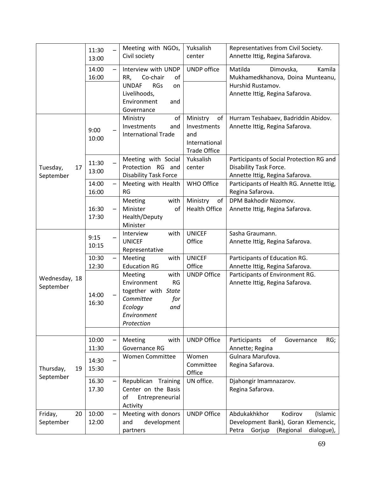|                             | 11:30<br>13:00          | Meeting with NGOs,<br>Civil society                                                                                                   | Yuksalish<br>center                                                          | Representatives from Civil Society.<br>Annette Ittig, Regina Safarova.                                                     |
|-----------------------------|-------------------------|---------------------------------------------------------------------------------------------------------------------------------------|------------------------------------------------------------------------------|----------------------------------------------------------------------------------------------------------------------------|
|                             | 14:00<br>16:00          | Interview with UNDP<br>Co-chair<br>RR,<br>of<br><b>UNDAF</b><br><b>RGs</b><br>on<br>Livelihoods,<br>Environment<br>and<br>Governance  | <b>UNDP</b> office                                                           | Matilda<br>Dimovska,<br>Kamila<br>Mukhamedkhanova, Doina Munteanu,<br>Hurshid Rustamov.<br>Annette Ittig, Regina Safarova. |
|                             | 9:00<br>10:00           | of<br>Ministry<br>Investments<br>and<br><b>International Trade</b>                                                                    | Ministry<br>of<br>Investments<br>and<br>International<br><b>Trade Office</b> | Hurram Teshabaev, Badriddin Abidov.<br>Annette Ittig, Regina Safarova.                                                     |
| Tuesday,<br>17<br>September | 11:30<br>13:00          | Meeting with Social<br>Protection RG and<br><b>Disability Task Force</b>                                                              | Yuksalish<br>center                                                          | Participants of Social Protection RG and<br>Disability Task Force.<br>Annette Ittig, Regina Safarova.                      |
|                             | 14:00<br>16:00          | Meeting with Health<br><b>RG</b>                                                                                                      | <b>WHO Office</b>                                                            | Participants of Health RG. Annette Ittig,<br>Regina Safarova.                                                              |
|                             | 16:30<br>17:30          | with<br>Meeting<br>Minister<br>of<br>Health/Deputy<br>Minister                                                                        | Ministry<br>of<br><b>Health Office</b>                                       | DPM Bakhodir Nizomov.<br>Annette Ittig, Regina Safarova.                                                                   |
|                             | 9:15<br>10:15           | with<br>Interview<br><b>UNICEF</b><br>Representative                                                                                  | <b>UNICEF</b><br>Office                                                      | Sasha Graumann.<br>Annette Ittig, Regina Safarova.                                                                         |
|                             | 10:30<br>12:30          | Meeting<br>with<br><b>Education RG</b>                                                                                                | <b>UNICEF</b><br>Office                                                      | Participants of Education RG.<br>Annette Ittig, Regina Safarova.                                                           |
| Wednesday, 18<br>September  | 14:00<br>16:30          | with<br>Meeting<br>Environment<br><b>RG</b><br>together with State<br>Committee<br>for<br>Ecology<br>and<br>Environment<br>Protection | <b>UNDP Office</b>                                                           | Participants of Environment RG.<br>Annette Ittig, Regina Safarova.                                                         |
|                             | 10:00                   | with<br>Meeting                                                                                                                       | <b>UNDP Office</b>                                                           | Participants<br>of<br>Governance<br>RG;                                                                                    |
| Thursday,<br>19             | 11:30<br>14:30<br>15:30 | Governance RG<br><b>Women Committee</b>                                                                                               | Women<br>Committee<br>Office                                                 | Annette; Regina<br>Gulnara Marufova.<br>Regina Safarova.                                                                   |
| September                   | 16.30<br>17.30          | Republican Training<br>Center on the Basis<br>оf<br>Entrepreneurial<br>Activity                                                       | UN office.                                                                   | Djahongir Imamnazarov.<br>Regina Safarova.                                                                                 |
| Friday,<br>20<br>September  | 10:00<br>12:00          | Meeting with donors<br>development<br>and<br>partners                                                                                 | <b>UNDP Office</b>                                                           | Abdukakhkhor<br>Kodirov<br>(Islamic<br>Development Bank), Goran Klemencic,<br>dialogue),<br>Petra<br>Gorjup<br>(Regional   |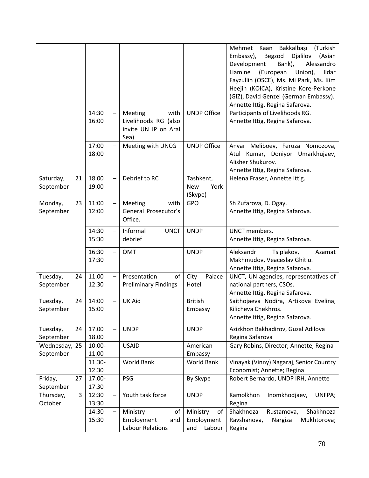|                              | 14:30           | with<br><b>Meeting</b>                                         | <b>UNDP Office</b>                            | Mehmet Kaan Bakkalbaşı<br>(Turkish<br>Embassy),<br>Begzod<br>Djalilov<br>(Asian<br>Development<br>Bank),<br>Alessandro<br>Liamine<br>(European<br>Union),<br>Ildar<br>Fayzullin (OSCE), Ms. Mi Park, Ms. Kim<br>Heejin (KOICA), Kristine Kore-Perkone<br>(GIZ), David Genzel (German Embassy).<br>Annette Ittig, Regina Safarova.<br>Participants of Livelihoods RG. |
|------------------------------|-----------------|----------------------------------------------------------------|-----------------------------------------------|----------------------------------------------------------------------------------------------------------------------------------------------------------------------------------------------------------------------------------------------------------------------------------------------------------------------------------------------------------------------|
|                              | 16:00           | Livelihoods RG (also<br>invite UN JP on Aral<br>Sea)           |                                               | Annette Ittig, Regina Safarova.                                                                                                                                                                                                                                                                                                                                      |
|                              | 17:00<br>18:00  | Meeting with UNCG                                              | <b>UNDP Office</b>                            | Anvar Meliboev, Feruza Nomozova,<br>Atul Kumar, Doniyor Umarkhujaev,<br>Alisher Shukurov.<br>Annette Ittig, Regina Safarova.                                                                                                                                                                                                                                         |
| Saturday,<br>21<br>September | 18.00<br>19.00  | Debrief to RC                                                  | Tashkent,<br><b>New</b><br>York<br>(Skype)    | Helena Fraser, Annette Ittig.                                                                                                                                                                                                                                                                                                                                        |
| Monday,<br>23<br>September   | 11:00<br>12:00  | Meeting<br>with<br>General Prosecutor's<br>Office.             | GPO                                           | Sh Zufarova, D. Ogay.<br>Annette Ittig, Regina Safarova.                                                                                                                                                                                                                                                                                                             |
|                              | 14:30<br>15:30  | Informal<br><b>UNCT</b><br>debrief                             | <b>UNDP</b>                                   | UNCT members.<br>Annette Ittig, Regina Safarova.                                                                                                                                                                                                                                                                                                                     |
|                              | 16:30<br>17:30  | <b>OMT</b>                                                     | <b>UNDP</b>                                   | Aleksandr<br>Tsiplakov,<br>Azamat<br>Makhmudov, Veaceslav Ghitiu.<br>Annette Ittig, Regina Safarova.                                                                                                                                                                                                                                                                 |
| Tuesday,<br>24<br>September  | 11.00<br>12.30  | Presentation<br>of<br><b>Preliminary Findings</b>              | City<br>Palace<br>Hotel                       | UNCT, UN agencies, representatives of<br>national partners, CSOs.<br>Annette Ittig, Regina Safarova.                                                                                                                                                                                                                                                                 |
| Tuesday,<br>24<br>September  | 14:00<br>15:00  | <b>UK Aid</b>                                                  | <b>British</b><br>Embassy                     | Saithojaeva Nodira, Artikova Evelina,<br>Kilicheva Chekhros.<br>Annette Ittig, Regina Safarova.                                                                                                                                                                                                                                                                      |
| Tuesday,<br>24<br>September  | 17.00<br>18.00  | <b>UNDP</b>                                                    | <b>UNDP</b>                                   | Azizkhon Bakhadirov, Guzal Adilova<br>Regina Safarova                                                                                                                                                                                                                                                                                                                |
| Wednesday, 25<br>September   | 10.00-<br>11.00 | <b>USAID</b>                                                   | American<br>Embassy                           | Gary Robins, Director; Annette; Regina                                                                                                                                                                                                                                                                                                                               |
|                              | 11.30-<br>12.30 | World Bank                                                     | World Bank                                    | Vinayak (Vinny) Nagaraj, Senior Country<br>Economist; Annette; Regina                                                                                                                                                                                                                                                                                                |
| Friday,<br>27<br>September   | 17.00-<br>17.30 | PSG                                                            | By Skype                                      | Robert Bernardo, UNDP IRH, Annette                                                                                                                                                                                                                                                                                                                                   |
| 3<br>Thursday,<br>October    | 12:30<br>13:30  | Youth task force                                               | <b>UNDP</b>                                   | Kamolkhon<br>Inomkhodjaev,<br>UNFPA;<br>Regina                                                                                                                                                                                                                                                                                                                       |
|                              | 14:30<br>15:30  | of<br>Ministry<br>Employment<br>and<br><b>Labour Relations</b> | Ministry<br>of<br>Employment<br>Labour<br>and | Shakhnoza<br>Shakhnoza<br>Rustamova,<br>Mukhtorova;<br>Ravshanova,<br>Nargiza<br>Regina                                                                                                                                                                                                                                                                              |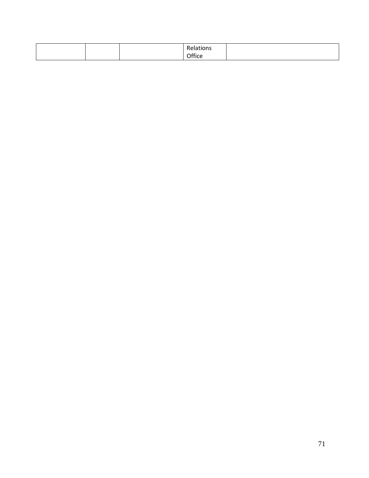|  | $\sim$<br>.          |  |
|--|----------------------|--|
|  | ~ rr·<br><br>.<br>__ |  |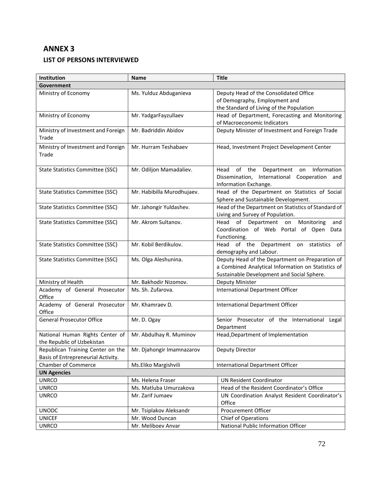# **ANNEX 3**

## **LIST OF PERSONS INTERVIEWED**

| Institution                                                             | <b>Name</b>                | <b>Title</b>                                                                                                                                        |  |  |  |
|-------------------------------------------------------------------------|----------------------------|-----------------------------------------------------------------------------------------------------------------------------------------------------|--|--|--|
| Government                                                              |                            |                                                                                                                                                     |  |  |  |
| Ministry of Economy                                                     | Ms. Yulduz Abduganieva     | Deputy Head of the Consolidated Office                                                                                                              |  |  |  |
|                                                                         |                            | of Demography, Employment and                                                                                                                       |  |  |  |
|                                                                         |                            | the Standard of Living of the Population                                                                                                            |  |  |  |
| Ministry of Economy                                                     | Mr. YadgarFayzullaev       | Head of Department, Forecasting and Monitoring                                                                                                      |  |  |  |
|                                                                         |                            | of Macroeconomic Indicators                                                                                                                         |  |  |  |
| Ministry of Investment and Foreign<br>Trade                             | Mr. Badriddin Abidov       | Deputy Minister of Investment and Foreign Trade                                                                                                     |  |  |  |
| Ministry of Investment and Foreign<br>Trade                             | Mr. Hurram Teshabaev       | Head, Investment Project Development Center                                                                                                         |  |  |  |
| <b>State Statistics Committee (SSC)</b>                                 | Mr. Odiljon Mamadaliev.    | Information<br>of the<br>Department on<br>Head<br>Dissemination, International Cooperation and<br>Information Exchange.                             |  |  |  |
| <b>State Statistics Committee (SSC)</b>                                 | Mr. Habibilla Murodhujaev. | Head of the Department on Statistics of Social<br>Sphere and Sustainable Development.                                                               |  |  |  |
| State Statistics Committee (SSC)                                        | Mr. Jahongir Yuldashev.    | Head of the Department on Statistics of Standard of<br>Living and Survey of Population.                                                             |  |  |  |
| <b>State Statistics Committee (SSC)</b>                                 | Mr. Akrom Sultanov.        | Head<br>of Department on<br>Monitoring<br>and<br>Coordination of Web Portal of Open Data<br>Functioning.                                            |  |  |  |
| State Statistics Committee (SSC)                                        | Mr. Kobil Berdikulov.      | Head of the Department on statistics<br>of<br>demography and Labour.                                                                                |  |  |  |
| <b>State Statistics Committee (SSC)</b>                                 | Ms. Olga Aleshunina.       | Deputy Head of the Department on Preparation of<br>a Combined Analytical Information on Statistics of<br>Sustainable Development and Social Sphere. |  |  |  |
| Ministry of Health                                                      | Mr. Bakhodir Nizomov.      | Deputy Minister                                                                                                                                     |  |  |  |
| Academy of General Prosecutor<br>Office                                 | Ms. Sh. Zufarova.          | International Department Officer                                                                                                                    |  |  |  |
| Academy of General Prosecutor<br>Office                                 | Mr. Khamraev D.            | International Department Officer                                                                                                                    |  |  |  |
| <b>General Prosecutor Office</b>                                        | Mr. D. Ogay                | Senior Prosecutor of the International Legal<br>Department                                                                                          |  |  |  |
| National Human Rights Center of<br>the Republic of Uzbekistan           | Mr. Abdulhay R. Muminov    | Head, Department of Implementation                                                                                                                  |  |  |  |
| Republican Training Center on the<br>Basis of Entrepreneurial Activity. | Mr. Djahongir Imamnazarov  | Deputy Director                                                                                                                                     |  |  |  |
| <b>Chamber of Commerce</b>                                              | Ms.Eliko Margishvili       | International Department Officer                                                                                                                    |  |  |  |
| <b>UN Agencies</b>                                                      |                            |                                                                                                                                                     |  |  |  |
| <b>UNRCO</b>                                                            | Ms. Helena Fraser          | <b>UN Resident Coordinator</b>                                                                                                                      |  |  |  |
| <b>UNRCO</b>                                                            | Ms. Matluba Umurzakova     | Head of the Resident Coordinator's Office                                                                                                           |  |  |  |
| <b>UNRCO</b>                                                            | Mr. Zarif Jumaev           | UN Coordination Analyst Resident Coordinator's<br>Office                                                                                            |  |  |  |
| <b>UNODC</b>                                                            | Mr. Tsiplakov Aleksandr    | Procurement Officer                                                                                                                                 |  |  |  |
| <b>UNICEF</b>                                                           | Mr. Wood Duncan            | Chief of Operations                                                                                                                                 |  |  |  |
| <b>UNRCO</b>                                                            | Mr. Meliboev Anvar         | National Public Information Officer                                                                                                                 |  |  |  |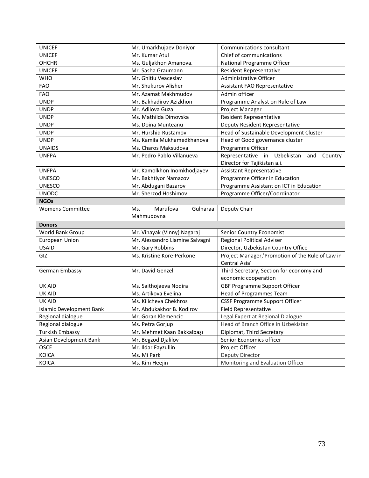| <b>UNICEF</b>                   | Mr. Umarkhujaev Doniyor         | Communications consultant                         |  |
|---------------------------------|---------------------------------|---------------------------------------------------|--|
| <b>UNICEF</b>                   | Mr. Kumar Atul                  | Chief of communications                           |  |
| <b>OHCHR</b>                    | Ms. Guljakhon Amanova.          | National Programme Officer                        |  |
| <b>UNICEF</b>                   | Mr. Sasha Graumann              | Resident Representative                           |  |
| <b>WHO</b>                      | Mr. Ghitiu Veaceslav            | Administrative Officer                            |  |
| <b>FAO</b>                      | Mr. Shukurov Alisher            | Assistant FAO Representative                      |  |
| <b>FAO</b>                      | Mr. Azamat Makhmudov            | Admin officer                                     |  |
| <b>UNDP</b>                     | Mr. Bakhadirov Azizkhon         | Programme Analyst on Rule of Law                  |  |
| <b>UNDP</b>                     | Mr. Adilova Guzal               | Project Manager                                   |  |
| <b>UNDP</b>                     | Ms. Mathilda Dimovska           | <b>Resident Representative</b>                    |  |
| <b>UNDP</b>                     | Ms. Doina Munteanu              | Deputy Resident Representative                    |  |
| <b>UNDP</b>                     | Mr. Hurshid Rustamov            | Head of Sustainable Development Cluster           |  |
| <b>UNDP</b>                     | Ms. Kamila Mukhamedkhanova      | Head of Good governance cluster                   |  |
| <b>UNAIDS</b>                   | Ms. Charos Maksudova            | Programme Officer                                 |  |
| <b>UNFPA</b>                    | Mr. Pedro Pablo Villanueva      | Representative in<br>Uzbekistan<br>and<br>Country |  |
|                                 |                                 | Director for Tajikistan a.i.                      |  |
| <b>UNFPA</b>                    | Mr. Kamolkhon Inomkhodjayev     | <b>Assistant Representative</b>                   |  |
| <b>UNESCO</b>                   | Mr. Bakhtiyor Namazov           | Programme Officer in Education                    |  |
| <b>UNESCO</b>                   | Mr. Abdugani Bazarov            | Programme Assistant on ICT in Education           |  |
| <b>UNODC</b>                    | Mr. Sherzod Hoshimov            | Programme Officer/Coordinator                     |  |
| <b>NGOs</b>                     |                                 |                                                   |  |
| <b>Womens Committee</b>         | Marufova<br>Gulnaraa<br>Ms.     | Deputy Chair                                      |  |
|                                 | Mahmudovna                      |                                                   |  |
| <b>Donors</b>                   |                                 |                                                   |  |
| World Bank Group                | Mr. Vinayak (Vinny) Nagaraj     | Senior Country Economist                          |  |
| <b>European Union</b>           | Mr. Alessandro Liamine Salvagni | <b>Regional Political Adviser</b>                 |  |
| <b>USAID</b>                    | Mr. Gary Robbins                | Director, Uzbekistan Country Office               |  |
| GIZ                             | Ms. Kristine Kore-Perkone       | Project Manager, 'Promotion of the Rule of Law in |  |
|                                 |                                 | Central Asia'                                     |  |
| German Embassy                  | Mr. David Genzel                | Third Secretary, Section for economy and          |  |
|                                 |                                 | economic cooperation                              |  |
| <b>UK AID</b>                   | Ms. Saithojaeva Nodira          | <b>GBF Programme Support Officer</b>              |  |
| <b>UK AID</b>                   | Ms. Artikova Evelina            | <b>Head of Programmes Team</b>                    |  |
| <b>UK AID</b>                   | Ms. Kilicheva Chekhros          | <b>CSSF Programme Support Officer</b>             |  |
| <b>Islamic Development Bank</b> | Mr. Abdukakhor B. Kodirov       | <b>Field Representative</b>                       |  |
| Regional dialogue               | Mr. Goran Klemencic             | Legal Expert at Regional Dialogue                 |  |
| Regional dialogue               | Ms. Petra Gorjup                | Head of Branch Office in Uzbekistan               |  |
| <b>Turkish Embassy</b>          | Mr. Mehmet Kaan Bakkalbaşı      | Diplomat, Third Secretary                         |  |
| Asian Development Bank          | Mr. Begzod Djalilov             | Senior Economics officer                          |  |
| OSCE                            | Mr. Ildar Fayzullin             | Project Officer                                   |  |
| KOICA                           | Ms. Mi Park                     | Deputy Director                                   |  |
| KOICA                           | Ms. Kim Heejin                  | Monitoring and Evaluation Officer                 |  |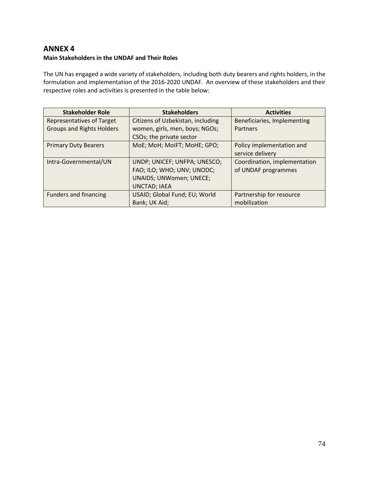## **ANNEX 4**

## **Main Stakeholders in the UNDAF and Their Roles**

The UN has engaged a wide variety of stakeholders, including both duty bearers and rights holders, in the formulation and implementation of the 2016-2020 UNDAF. An overview of these stakeholders and their respective roles and activities is presented in the table below:

| <b>Stakeholder Role</b>          | <b>Stakeholders</b>               | <b>Activities</b>            |
|----------------------------------|-----------------------------------|------------------------------|
| <b>Representatives of Target</b> | Citizens of Uzbekistan, including | Beneficiaries, Implementing  |
| <b>Groups and Rights Holders</b> | women, girls, men, boys; NGOs;    | Partners                     |
|                                  | CSOs; the private sector          |                              |
| <b>Primary Duty Bearers</b>      | MoE; MoH; MoIFT; MoHE; GPO;       | Policy implementation and    |
|                                  |                                   | service delivery             |
| Intra-Governmental/UN            | UNDP; UNICEF; UNFPA; UNESCO;      | Coordination, implementation |
|                                  | FAO; ILO; WHO; UNV; UNODC;        | of UNDAF programmes          |
|                                  | <b>UNAIDS; UNWomen; UNECE;</b>    |                              |
|                                  | <b>UNCTAD; IAEA</b>               |                              |
| <b>Funders and financing</b>     | USAID; Global Fund; EU; World     | Partnership for resource     |
|                                  | Bank; UK Aid;                     | mobilization                 |